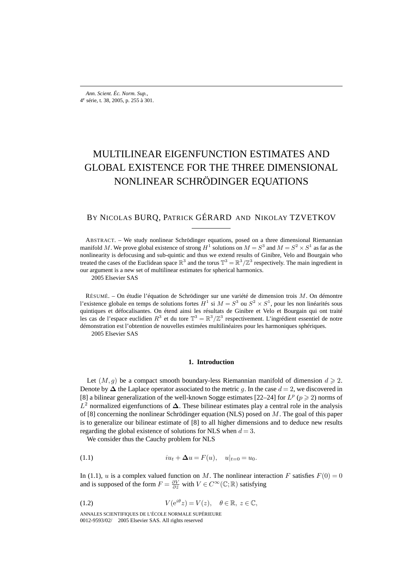# MULTILINEAR EIGENFUNCTION ESTIMATES AND GLOBAL EXISTENCE FOR THE THREE DIMENSIONAL NONLINEAR SCHRÖDINGER EQUATIONS

# BY NICOLAS BURQ, PATRICK GÉRARD AND NIKOLAY TZVETKOV

ABSTRACT. – We study nonlinear Schrödinger equations, posed on a three dimensional Riemannian manifold M. We prove global existence of strong  $H^1$  solutions on  $M = S^3$  and  $M = S^2 \times S^1$  as far as the nonlinearity is defocusing and sub-quintic and thus we extend results of Ginibre, Velo and Bourgain who treated the cases of the Euclidean space  $\mathbb{R}^3$  and the torus  $\mathbb{T}^3 = \mathbb{R}^3/\mathbb{Z}^3$  respectively. The main ingredient in our argument is a new set of multilinear estimates for spherical harmonics.

2005 Elsevier SAS

RÉSUMÉ. – On étudie l'équation de Schrödinger sur une variété de dimension trois M. On démontre l'existence globale en temps de solutions fortes  $H^1$  si  $M = S^3$  ou  $S^2 \times S^1$ , pour les non linéarités sous quintiques et défocalisantes. On étend ainsi les résultats de Ginibre et Velo et Bourgain qui ont traité les cas de l'espace euclidien  $R^3$  et du tore  $\mathbb{T}^3 = \mathbb{R}^3 / \mathbb{Z}^3$  respectivement. L'ingrédient essentiel de notre démonstration est l'obtention de nouvelles estimées multilinéaires pour les harmoniques sphériques. 2005 Elsevier SAS

### **1. Introduction**

Let  $(M, g)$  be a compact smooth boundary-less Riemannian manifold of dimension  $d \ge 2$ . Denote by  $\Delta$  the Laplace operator associated to the metric g. In the case  $d = 2$ , we discovered in [8] a bilinear generalization of the well-known Sogge estimates [22–24] for  $L^p$  ( $p \ge 2$ ) norms of L<sup>2</sup> normalized eigenfunctions of **∆**. These bilinear estimates play a central role in the analysis of [8] concerning the nonlinear Schrödinger equation (NLS) posed on  $M$ . The goal of this paper is to generalize our bilinear estimate of [8] to all higher dimensions and to deduce new results regarding the global existence of solutions for NLS when  $d = 3$ .

We consider thus the Cauchy problem for NLS

(1.1) 
$$
iu_t + \Delta u = F(u), \quad u|_{t=0} = u_0.
$$

In (1.1), u is a complex valued function on M. The nonlinear interaction F satisfies  $F(0) = 0$ and is supposed of the form  $F = \frac{\partial V}{\partial \bar{z}}$  with  $V \in C^{\infty}(\mathbb{C}; \mathbb{R})$  satisfying

(1.2) 
$$
V(e^{i\theta}z) = V(z), \quad \theta \in \mathbb{R}, \ z \in \mathbb{C},
$$

ANNALES SCIENTIFIQUES DE L'ÉCOLE NORMALE SUPÉRIEURE 0012-9593/02/© 2005 Elsevier SAS. All rights reserved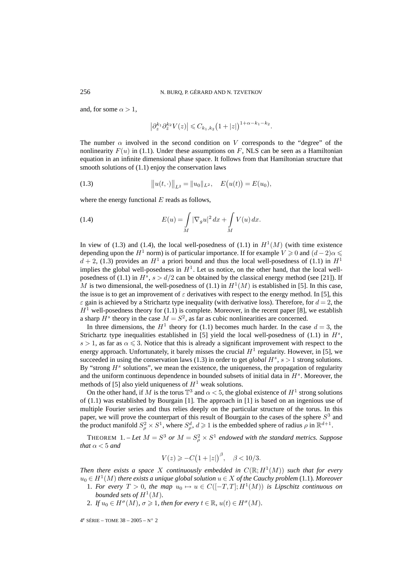and, for some  $\alpha > 1$ ,

$$
\left|\partial_{z}^{k_{1}}\partial_{\bar{z}}^{k_{2}}V(z)\right|\leqslant C_{k_{1},k_{2}}\big(1+|z|\big)^{1+\alpha-k_{1}-k_{2}}.
$$

The number  $\alpha$  involved in the second condition on V corresponds to the "degree" of the nonlinearity  $F(u)$  in (1.1). Under these assumptions on F, NLS can be seen as a Hamiltonian equation in an infinite dimensional phase space. It follows from that Hamiltonian structure that smooth solutions of (1.1) enjoy the conservation laws

(1.3) 
$$
\|u(t, \cdot)\|_{L^2} = \|u_0\|_{L^2}, \quad E(u(t)) = E(u_0),
$$

where the energy functional  $E$  reads as follows,

(1.4) 
$$
E(u) = \int_{M} |\nabla_{g} u|^{2} dx + \int_{M} V(u) dx.
$$

In view of (1.3) and (1.4), the local well-posedness of (1.1) in  $H^1(M)$  (with time existence depending upon the  $H^1$  norm) is of particular importance. If for example  $V \geq 0$  and  $(d-2)\alpha \leq$  $d + 2$ , (1.3) provides an  $H<sup>1</sup>$  a priori bound and thus the local well-posedness of (1.1) in  $H<sup>1</sup>$ implies the global well-posedness in  $H<sup>1</sup>$ . Let us notice, on the other hand, that the local wellposedness of (1.1) in  $H^s$ ,  $s > d/2$  can be obtained by the classical energy method (see [21]). If M is two dimensional, the well-posedness of (1.1) in  $H^1(M)$  is established in [5]. In this case, the issue is to get an improvement of  $\varepsilon$  derivatives with respect to the energy method. In [5], this  $\varepsilon$  gain is achieved by a Strichartz type inequality (with derivative loss). Therefore, for  $d = 2$ , the  $H<sup>1</sup>$  well-posedness theory for (1.1) is complete. Moreover, in the recent paper [8], we establish a sharp  $H<sup>s</sup>$  theory in the case  $M = S<sup>2</sup>$ , as far as cubic nonlinearities are concerned.

In three dimensions, the  $H^1$  theory for (1.1) becomes much harder. In the case  $d = 3$ , the Strichartz type inequalities established in [5] yield the local well-posedness of (1.1) in  $H<sup>s</sup>$ ,  $s > 1$ , as far as  $\alpha \leq 3$ . Notice that this is already a significant improvement with respect to the energy approach. Unfortunately, it barely misses the crucial  $H<sup>1</sup>$  regularity. However, in [5], we succeeded in using the conservation laws (1.3) in order to get *global*  $H<sup>s</sup>$ ,  $s > 1$  strong solutions. By "strong  $H<sup>s</sup>$  solutions", we mean the existence, the uniqueness, the propagation of regularity and the uniform continuous dependence in bounded subsets of initial data in  $H<sup>s</sup>$ . Moreover, the methods of [5] also yield uniqueness of  $H<sup>1</sup>$  weak solutions.

On the other hand, if M is the torus  $\mathbb{T}^3$  and  $\alpha < 5$ , the global existence of  $H^1$  strong solutions of (1.1) was established by Bourgain [1]. The approach in [1] is based on an ingenious use of multiple Fourier series and thus relies deeply on the particular structure of the torus. In this paper, we will prove the counterpart of this result of Bourgain to the cases of the sphere  $S<sup>3</sup>$  and the product manifold  $S^2_\rho \times S^1$ , where  $S^d_\rho$ ,  $d \geq 1$  is the embedded sphere of radius  $\rho$  in  $\mathbb{R}^{d+1}$ .

**THEOREM** 1. – Let  $M = S^3$  or  $M = S^2$   $\times S^1$  endowed with the standard metrics. Suppose *that*  $\alpha$  < 5 *and* 

$$
V(z) \geqslant -C\big(1+|z|\big)^{\beta}, \quad \beta < 10/3.
$$

*Then there exists a space* X *continuously embedded in*  $C(\mathbb{R}; H^1(M))$  *such that for every*  $u<sub>0</sub> ∈ H<sup>1</sup>(M)$  *there exists a unique global solution*  $u ∈ X$  *of the Cauchy problem* (1.1)*. Moreover* 

- 1. For every  $T > 0$ , the map  $u_0 \mapsto u \in C([-T,T]; H^1(M))$  is Lipschitz continuous on *bounded sets of*  $H^1(M)$ .
- 2. *If*  $u_0 \in H^{\sigma}(M)$ ,  $\sigma \geq 1$ , then for every  $t \in \mathbb{R}$ ,  $u(t) \in H^{\sigma}(M)$ .

 $4^e$  SÉRIE – TOME 38 – 2005 – N° 2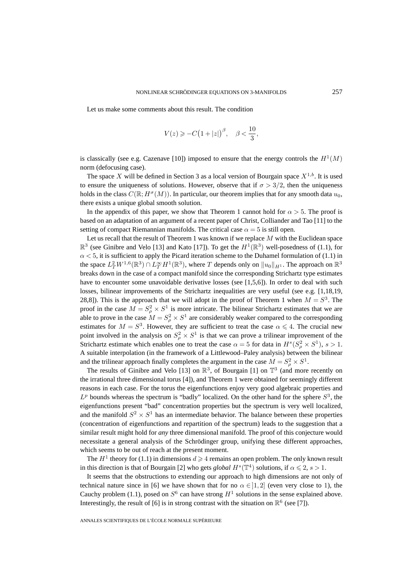Let us make some comments about this result. The condition

$$
V(z) \geqslant -C\big(1+|z|\big)^{\beta}, \quad \beta < \frac{10}{3},
$$

is classically (see e.g. Cazenave [10]) imposed to ensure that the energy controls the  $H<sup>1</sup>(M)$ norm (defocusing case).

The space X will be defined in Section 3 as a local version of Bourgain space  $X^{1,b}$ . It is used to ensure the uniqueness of solutions. However, observe that if  $\sigma > 3/2$ , then the uniqueness holds in the class  $C(\mathbb{R}; H^{\sigma}(M))$ . In particular, our theorem implies that for any smooth data  $u_0$ , there exists a unique global smooth solution.

In the appendix of this paper, we show that Theorem 1 cannot hold for  $\alpha > 5$ . The proof is based on an adaptation of an argument of a recent paper of Christ, Colliander and Tao [11] to the setting of compact Riemannian manifolds. The critical case  $\alpha = 5$  is still open.

Let us recall that the result of Theorem 1 was known if we replace  $M$  with the Euclidean space  $\mathbb{R}^3$  (see Ginibre and Velo [13] and Kato [17]). To get the  $H^1(\mathbb{R}^3)$  well-posedness of (1.1), for  $\alpha$  < 5, it is sufficient to apply the Picard iteration scheme to the Duhamel formulation of (1.1) in the space  $L^2_TW^{1,6}(\mathbb{R}^3)\cap L^\infty_T H^1(\mathbb{R}^3)$ , where  $T$  depends only on  $\|u_0\|_{H^1}$ . The approach on  $\mathbb{R}^3$ breaks down in the case of a compact manifold since the corresponding Strichartz type estimates have to encounter some unavoidable derivative losses (see [1,5,6]). In order to deal with such losses, bilinear improvements of the Strichartz inequalities are very useful (see e.g. [1,18,19, 28,8]). This is the approach that we will adopt in the proof of Theorem 1 when  $M = S<sup>3</sup>$ . The proof in the case  $M = S_\rho^2 \times S^1$  is more intricate. The bilinear Strichartz estimates that we are able to prove in the case  $M = S_\rho^2 \times S^1$  are considerably weaker compared to the corresponding estimates for  $M = S<sup>3</sup>$ . However, they are sufficient to treat the case  $\alpha \le 4$ . The crucial new point involved in the analysis on  $S^2_\rho \times S^1$  is that we can prove a trilinear improvement of the Strichartz estimate which enables one to treat the case  $\alpha = 5$  for data in  $H^s(S^2_\rho \times S^1), s > 1$ . A suitable interpolation (in the framework of a Littlewood–Paley analysis) between the bilinear and the trilinear approach finally completes the argument in the case  $M = S_\rho^2 \times S^1$ .

The results of Ginibre and Velo [13] on  $\mathbb{R}^3$ , of Bourgain [1] on  $\mathbb{T}^3$  (and more recently on the irrational three dimensional torus [4]), and Theorem 1 were obtained for seemingly different reasons in each case. For the torus the eigenfunctions enjoy very good algebraic properties and  $L^p$  bounds whereas the spectrum is "badly" localized. On the other hand for the sphere  $S^3$ , the eigenfunctions present "bad" concentration properties but the spectrum is very well localized, and the manifold  $S^2 \times S^1$  has an intermediate behavior. The balance between these properties (concentration of eigenfunctions and repartition of the spectrum) leads to the suggestion that a similar result might hold for *any* three dimensional manifold. The proof of this conjecture would necessitate a general analysis of the Schrödinger group, unifying these different approaches, which seems to be out of reach at the present moment.

The  $H^1$  theory for (1.1) in dimensions  $d \geq 4$  remains an open problem. The only known result in this direction is that of Bourgain [2] who gets *global*  $H^s(\mathbb{T}^4)$  solutions, if  $\alpha \leq 2$ ,  $s > 1$ .

It seems that the obstructions to extending our approach to high dimensions are not only of technical nature since in [6] we have shown that for no  $\alpha \in ]1,2]$  (even very close to 1), the Cauchy problem (1.1), posed on  $S^6$  can have strong  $H^1$  solutions in the sense explained above. Interestingly, the result of [6] is in strong contrast with the situation on  $\mathbb{R}^6$  (see [7]).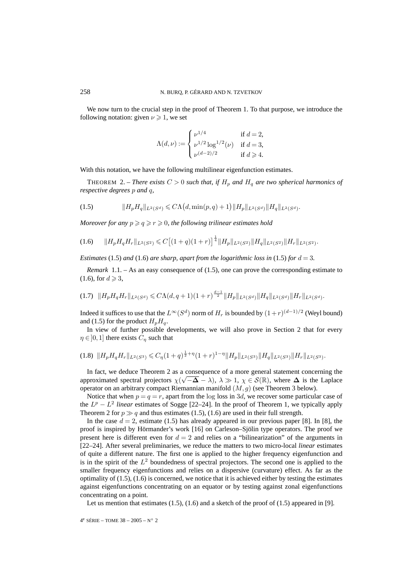We now turn to the crucial step in the proof of Theorem 1. To that purpose, we introduce the following notation: given  $\nu \geq 1$ , we set

$$
\Lambda(d,\nu) := \begin{cases} \nu^{1/4} & \text{if } d = 2, \\ \nu^{1/2} \log^{1/2}(\nu) & \text{if } d = 3, \\ \nu^{(d-2)/2} & \text{if } d \ge 4. \end{cases}
$$

With this notation, we have the following multilinear eigenfunction estimates.

THEOREM 2. – *There exists*  $C > 0$  *such that, if*  $H_p$  *and*  $H_q$  *are two spherical harmonics of respective degrees* p *and* q*,*

(1.5) 
$$
||H_pH_q||_{L^2(S^d)} \leq C\Lambda\big(d, \min(p, q) + 1\big) ||H_p||_{L^2(S^d)} ||H_q||_{L^2(S^d)}.
$$

*Moreover for any*  $p \ge q \ge r \ge 0$ , the following trilinear estimates hold

$$
(1.6) \t||H_pH_qH_r||_{L^2(S^2)} \leq C\big[(1+q)(1+r)\big]^{\frac{1}{4}}||H_p||_{L^2(S^2)}||H_q||_{L^2(S^2)}||H_r||_{L^2(S^2)}.
$$

*Estimates* (1.5) *and* (1.6) *are sharp, apart from the logarithmic loss in* (1.5) *for*  $d = 3$ *.* 

*Remark* 1.1. – As an easy consequence of (1.5), one can prove the corresponding estimate to  $(1.6)$ , for  $d \geq 3$ ,

$$
(1.7) \quad \|H_p H_q H_r\|_{L^2(S^d)} \leq C\Lambda(d,q+1)(1+r)^{\frac{d-1}{2}} \|H_p\|_{L^2(S^d)} \|H_q\|_{L^2(S^d)} \|H_r\|_{L^2(S^d)}.
$$

Indeed it suffices to use that the  $L^{\infty}(S^d)$  norm of  $H_r$  is bounded by  $(1+r)^{(d-1)/2}$  (Weyl bound) and (1.5) for the product  $H_pH_q$ .

In view of further possible developments, we will also prove in Section 2 that for every  $\eta \in ]0,1]$  there exists  $C_{\eta}$  such that

$$
(1.8)\ \Vert H_p H_q H_r \Vert_{L^2(S^3)} \leq C_\eta (1+q)^{\frac{1}{2}+\eta} (1+r)^{1-\eta} \Vert H_p \Vert_{L^2(S^3)} \Vert H_q \Vert_{L^2(S^3)} \Vert H_r \Vert_{L^2(S^3)}.
$$

In fact, we deduce Theorem 2 as a consequence of a more general statement concerning the In fact, we deduce Theorem 2 as a consequence of a more general statement concerning the approximated spectral projectors  $\chi(\sqrt{-\Delta} - \lambda)$ ,  $\lambda \gg 1$ ,  $\chi \in S(\mathbb{R})$ , where  $\Delta$  is the Laplace operator on an arbitrary compact Riemannian manifold  $(M, g)$  (see Theorem 3 below).

Notice that when  $p = q = r$ , apart from the log loss in 3d, we recover some particular case of the  $L^p - L^2$  *linear* estimates of Sogge [22–24]. In the proof of Theorem 1, we typically apply Theorem 2 for  $p \gg q$  and thus estimates (1.5), (1.6) are used in their full strength.

In the case  $d = 2$ , estimate (1.5) has already appeared in our previous paper [8]. In [8], the proof is inspired by Hörmander's work [16] on Carleson–Sjölin type operators. The proof we present here is different even for  $d = 2$  and relies on a "bilinearization" of the arguments in [22–24]. After several preliminaries, we reduce the matters to two micro-local *linear* estimates of quite a different nature. The first one is applied to the higher frequency eigenfunction and is in the spirit of the  $L^2$  boundedness of spectral projectors. The second one is applied to the smaller frequency eigenfunctions and relies on a dispersive (curvature) effect. As far as the optimality of  $(1.5)$ ,  $(1.6)$  is concerned, we notice that it is achieved either by testing the estimates against eigenfunctions concentrating on an equator or by testing against zonal eigenfunctions concentrating on a point.

Let us mention that estimates  $(1.5)$ ,  $(1.6)$  and a sketch of the proof of  $(1.5)$  appeared in [9].

 $4^e$  SÉRIE – TOME 38 – 2005 – N° 2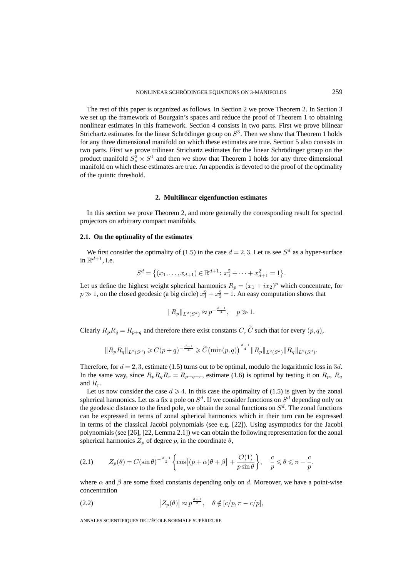The rest of this paper is organized as follows. In Section 2 we prove Theorem 2. In Section 3 we set up the framework of Bourgain's spaces and reduce the proof of Theorem 1 to obtaining nonlinear estimates in this framework. Section 4 consists in two parts. First we prove bilinear Strichartz estimates for the linear Schrödinger group on  $S<sup>3</sup>$ . Then we show that Theorem 1 holds for any three dimensional manifold on which these estimates are true. Section 5 also consists in two parts. First we prove trilinear Strichartz estimates for the linear Schrödinger group on the product manifold  $S^2_{\rho} \times S^1$  and then we show that Theorem 1 holds for any three dimensional manifold on which these estimates are true. An appendix is devoted to the proof of the optimality of the quintic threshold.

#### **2. Multilinear eigenfunction estimates**

In this section we prove Theorem 2, and more generally the corresponding result for spectral projectors on arbitrary compact manifolds.

## **2.1. On the optimality of the estimates**

We first consider the optimality of (1.5) in the case  $d = 2, 3$ . Let us see  $S^d$  as a hyper-surface in  $\mathbb{R}^{d+1}$ , i.e.

$$
S^{d} = \{(x_1, \ldots, x_{d+1}) \in \mathbb{R}^{d+1}: x_1^2 + \cdots + x_{d+1}^2 = 1\}.
$$

Let us define the highest weight spherical harmonics  $R_p = (x_1 + ix_2)^p$  which concentrate, for  $p \gg 1$ , on the closed geodesic (a big circle)  $x_1^2 + x_2^2 = 1$ . An easy computation shows that

$$
||R_p||_{L^2(S^d)} \approx p^{-\frac{d-1}{4}}, \quad p \gg 1.
$$

Clearly  $R_p R_q = R_{p+q}$  and therefore there exist constants C,  $\tilde{C}$  such that for every  $(p, q)$ ,

$$
\|R_pR_q\|_{L^2(S^d)}\geqslant C(p+q)^{-\frac{d-1}{4}}\geqslant \widetilde{C}\bigl(\min(p,q)\bigr)^{\frac{d-1}{4}}\|R_p\|_{L^2(S^d)}\|R_q\|_{L^2(S^d)}.
$$

Therefore, for  $d = 2, 3$ , estimate (1.5) turns out to be optimal, modulo the logarithmic loss in 3d. In the same way, since  $R_p R_q R_r = R_{p+q+r}$ , estimate (1.6) is optimal by testing it on  $R_p$ ,  $R_q$ and  $R_r$ .

Let us now consider the case  $d \geq 4$ . In this case the optimality of (1.5) is given by the zonal spherical harmonics. Let us a fix a pole on  $S^d$ . If we consider functions on  $S^d$  depending only on the geodesic distance to the fixed pole, we obtain the zonal functions on  $S<sup>d</sup>$ . The zonal functions can be expressed in terms of zonal spherical harmonics which in their turn can be expressed in terms of the classical Jacobi polynomials (see e.g. [22]). Using asymptotics for the Jacobi polynomials (see [26], [22, Lemma 2.1]) we can obtain the following representation for the zonal spherical harmonics  $Z_p$  of degree p, in the coordinate  $\theta$ ,

(2.1) 
$$
Z_p(\theta) = C(\sin \theta)^{-\frac{d-1}{2}} \left\{ \cos \left[ (p+\alpha)\theta + \beta \right] + \frac{\mathcal{O}(1)}{p \sin \theta} \right\}, \quad \frac{c}{p} \leq \theta \leq \pi - \frac{c}{p},
$$

where  $\alpha$  and  $\beta$  are some fixed constants depending only on d. Moreover, we have a point-wise concentration

(2.2) 
$$
\left|Z_p(\theta)\right| \approx p^{\frac{d-1}{2}}, \quad \theta \notin [c/p, \pi - c/p],
$$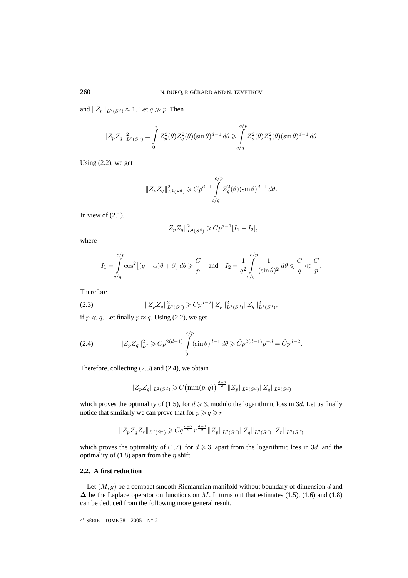and  $\|Z_p\|_{L^2(S^d)}\approx 1.$  Let  $q\gg p.$  Then

$$
||Z_p Z_q||_{L^2(S^d)}^2 = \int_0^{\pi} Z_p^2(\theta) Z_q^2(\theta) (\sin \theta)^{d-1} d\theta \ge \int_{c/q}^{c/p} Z_p^2(\theta) Z_q^2(\theta) (\sin \theta)^{d-1} d\theta.
$$

Using (2.2), we get

$$
||Z_p Z_q||_{L^2(S^d)}^2 \geq C p^{d-1} \int_{c/q}^{c/p} Z_q^2(\theta) (\sin \theta)^{d-1} d\theta.
$$

In view of  $(2.1)$ ,

$$
||Z_p Z_q||_{L^2(S^d)}^2 \geqslant Cp^{d-1}[I_1 - I_2],
$$

where

$$
I_1 = \int_{c/q}^{c/p} \cos^2[(q+\alpha)\theta + \beta] d\theta \geq \frac{C}{p} \quad \text{and} \quad I_2 = \frac{1}{q^2} \int_{c/q}^{c/p} \frac{1}{(\sin \theta)^2} d\theta \leq \frac{C}{q} \ll \frac{C}{p}.
$$

Therefore

(2.3) 
$$
||Z_p Z_q||_{L^2(S^d)}^2 \geq C p^{d-2} ||Z_p||_{L^2(S^d)}^2 ||Z_q||_{L^2(S^d)}^2,
$$

if  $p \ll q$ . Let finally  $p \approx q$ . Using (2.2), we get

(2.4) 
$$
||Z_p Z_q||_{L^2}^2 \geqslant C p^{2(d-1)} \int\limits_{0}^{c/p} (\sin \theta)^{d-1} d\theta \geqslant \tilde{C} p^{2(d-1)} p^{-d} = \tilde{C} p^{d-2}.
$$

Therefore, collecting (2.3) and (2.4), we obtain

$$
||Z_p Z_q||_{L^2(S^d)} \geqslant C \left(\min(p, q)\right)^{\frac{d-2}{2}} ||Z_p||_{L^2(S^d)} ||Z_q||_{L^2(S^d)}
$$

which proves the optimality of (1.5), for  $d \ge 3$ , modulo the logarithmic loss in 3d. Let us finally notice that similarly we can prove that for  $p \ge q \ge r$ 

$$
||Z_p Z_q Z_r||_{L^2(S^d)} \geqslant Cq^{\frac{d-2}{2}} r^{\frac{d-1}{2}} ||Z_p||_{L^2(S^d)} ||Z_q||_{L^2(S^d)} ||Z_r||_{L^2(S^d)}
$$

which proves the optimality of (1.7), for  $d \ge 3$ , apart from the logarithmic loss in 3d, and the optimality of (1.8) apart from the  $\eta$  shift.

# **2.2. A first reduction**

Let  $(M, g)$  be a compact smooth Riemannian manifold without boundary of dimension d and  $\Delta$  be the Laplace operator on functions on M. It turns out that estimates (1.5), (1.6) and (1.8) can be deduced from the following more general result.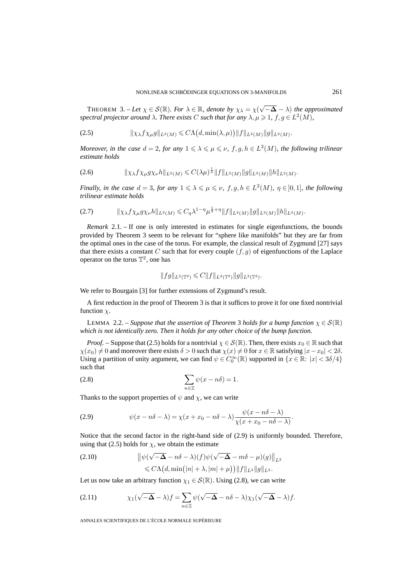THEOREM 3. – Let  $\chi \in \mathcal{S}(\mathbb{R})$ . For  $\lambda \in \mathbb{R}$ , denote by  $\chi_{\lambda} = \chi(\sqrt{-\Delta} - \lambda)$  the approximated *spectral projector around*  $\lambda$ *. There exists* C *such that for any*  $\lambda, \mu \geq 1$ ,  $f, g \in L^2(M)$ *,* 

$$
(2.5) \t\t\t\t\|\chi_{\lambda}f\chi_{\mu}g\|_{L^{2}(M)} \leq C\Lambda\big(d,\min(\lambda,\mu)\big)\|f\|_{L^{2}(M)}\|g\|_{L^{2}(M)}.
$$

*Moreover, in the case*  $d = 2$ , for any  $1 \leq \lambda \leq \mu \leq \nu$ ,  $f, g, h \in L^2(M)$ , the following trilinear *estimate holds*

$$
(2.6) \t\t ||\chi_{\lambda} f \chi_{\mu} g \chi_{\nu} h||_{L^{2}(M)} \leq C(\lambda \mu)^{\frac{1}{4}} ||f||_{L^{2}(M)} ||g||_{L^{2}(M)} ||h||_{L^{2}(M)}.
$$

*Finally, in the case*  $d = 3$ *, for any*  $1 \leq \lambda \leq \mu \leq \nu$ ,  $f, g, h \in L^2(M)$ ,  $\eta \in ]0,1]$ *, the following trilinear estimate holds*

$$
(2.7) \t\t ||\chi_{\lambda} f \chi_{\mu} g \chi_{\nu} h||_{L^{2}(M)} \leq C_{\eta} \lambda^{1-\eta} \mu^{\frac{1}{2}+\eta} ||f||_{L^{2}(M)} ||g||_{L^{2}(M)} ||h||_{L^{2}(M)}.
$$

*Remark* 2.1. – If one is only interested in estimates for single eigenfunctions, the bounds provided by Theorem 3 seem to be relevant for "sphere like manifolds" but they are far from the optimal ones in the case of the torus. For example, the classical result of Zygmund [27] says that there exists a constant C such that for every couple  $(f,g)$  of eigenfunctions of the Laplace operator on the torus  $\mathbb{T}^2$ , one has

$$
||fg||_{L^2(\mathbb{T}^2)} \leqslant C||f||_{L^2(\mathbb{T}^2)}||g||_{L^2(\mathbb{T}^2)}.
$$

We refer to Bourgain [3] for further extensions of Zygmund's result.

A first reduction in the proof of Theorem 3 is that it suffices to prove it for one fixed nontrivial function  $\chi$ .

LEMMA 2.2. – *Suppose that the assertion of Theorem* 3 *holds for a bump function*  $\chi \in \mathcal{S}(\mathbb{R})$ *which is not identically zero. Then it holds for any other choice of the bump function.*

*Proof.* – Suppose that (2.5) holds for a nontrivial  $\chi \in S(\mathbb{R})$ . Then, there exists  $x_0 \in \mathbb{R}$  such that  $\chi(x_0) \neq 0$  and moreover there exists  $\delta > 0$  such that  $\chi(x) \neq 0$  for  $x \in \mathbb{R}$  satisfying  $|x-x_0| < 2\delta$ . Using a partition of unity argument, we can find  $\psi \in C_0^{\infty}(\mathbb{R})$  supported in  $\{x \in \mathbb{R}: |x| < 3\delta/4\}$ such that

(2.8) 
$$
\sum_{n\in\mathbb{Z}}\psi(x-n\delta)=1.
$$

Thanks to the support properties of  $\psi$  and  $\chi$ , we can write

(2.9) 
$$
\psi(x - n\delta - \lambda) = \chi(x + x_0 - n\delta - \lambda) \frac{\psi(x - n\delta - \lambda)}{\chi(x + x_0 - n\delta - \lambda)}.
$$

Notice that the second factor in the right-hand side of (2.9) is uniformly bounded. Therefore, using that (2.5) holds for  $\chi$ , we obtain the estimate

(2.10) 
$$
\|\psi(\sqrt{-\Delta} - n\delta - \lambda)(f)\psi(\sqrt{-\Delta} - m\delta - \mu)(g)\|_{L^2} \leq C\Lambda\left(d, \min\left(|n| + \lambda, |m| + \mu\right)\right) \|f\|_{L^2} \|g\|_{L^2}.
$$

Let us now take an arbitrary function  $\chi_1 \in \mathcal{S}(\mathbb{R})$ . Using (2.8), we can write

(2.11) 
$$
\chi_1(\sqrt{-\Delta} - \lambda)f = \sum_{n \in \mathbb{Z}} \psi(\sqrt{-\Delta} - n\delta - \lambda)\chi_1(\sqrt{-\Delta} - \lambda)f.
$$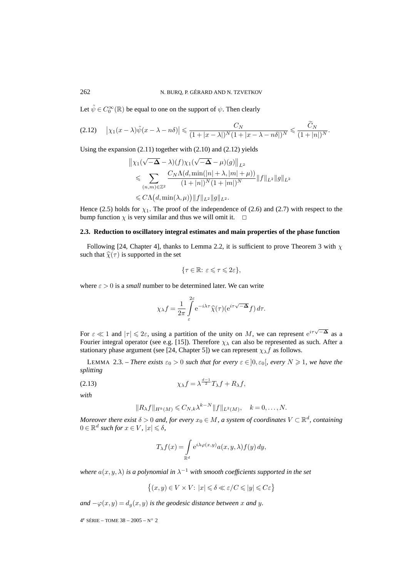Let  $\tilde{\psi} \in C_0^\infty(\mathbb{R})$  be equal to one on the support of  $\psi$ . Then clearly

$$
(2.12) \quad \left|\chi_1(x-\lambda)\tilde{\psi}(x-\lambda-n\delta)\right| \leq \frac{C_N}{(1+|x-\lambda|)^N(1+|x-\lambda-n\delta|)^N} \leq \frac{\widetilde{C}_N}{(1+|n|)^N}.
$$

Using the expansion  $(2.11)$  together with  $(2.10)$  and  $(2.12)$  yields

$$
\begin{aligned} &\left\|\chi_1(\sqrt{-\Delta}-\lambda)(f)\chi_1(\sqrt{-\Delta}-\mu)(g)\right\|_{L^2}\\ &\leqslant \sum_{(n,m)\in\mathbb{Z}^2}\frac{C_N\Lambda(d,\min(|n|+\lambda,|m|+\mu))}{(1+|n|)^N(1+|m|)^N}\|f\|_{L^2}\|g\|_{L^2}\\ &\leqslant C\Lambda\big(d,\min(\lambda,\mu)\big)\|f\|_{L^2}\|g\|_{L^2}. \end{aligned}
$$

Hence (2.5) holds for  $\chi_1$ . The proof of the independence of (2.6) and (2.7) with respect to the bump function  $\chi$  is very similar and thus we will omit it.  $\Box$ 

# **2.3. Reduction to oscillatory integral estimates and main properties of the phase function**

Following [24, Chapter 4], thanks to Lemma 2.2, it is sufficient to prove Theorem 3 with  $\chi$ such that  $\hat{\chi}(\tau)$  is supported in the set

$$
\{\tau\in\mathbb{R}\colon\varepsilon\leqslant\tau\leqslant2\varepsilon\},
$$

where  $\varepsilon > 0$  is a *small* number to be determined later. We can write

$$
\chi_{\lambda} f = \frac{1}{2\pi} \int_{\varepsilon}^{2\varepsilon} e^{-i\lambda \tau} \widehat{\chi}(\tau) (e^{i\tau \sqrt{-\Delta}} f) d\tau.
$$

For  $\varepsilon \ll 1$  and  $|\tau| \leq 2\varepsilon$ , using a partition of the unity on M, we can represent  $e^{i\tau\sqrt{-\Delta}}$  as a Fourier integral operator (see e.g. [15]). Therefore  $\chi_{\lambda}$  can also be represented as such. After a stationary phase argument (see [24, Chapter 5]) we can represent  $\chi_{\lambda} f$  as follows.

LEMMA 2.3. – *There exists*  $\varepsilon_0 > 0$  *such that for every*  $\varepsilon \in ]0, \varepsilon_0[$ *, every*  $N \ge 1$ *, we have the splitting*

$$
\chi_{\lambda}f = \lambda^{\frac{d-1}{2}}T_{\lambda}f + R_{\lambda}f,
$$

*with*

$$
||R_{\lambda}f||_{H^{k}(M)} \leq C_{N,k}\lambda^{k-N}||f||_{L^{2}(M)}, \quad k=0,\ldots,N.
$$

*Moreover there exist*  $\delta > 0$  *and, for every*  $x_0 \in M$ *, a system of coordinates*  $V \subset \mathbb{R}^d$ *, containing*  $0 \in \mathbb{R}^d$  such for  $x \in V$ ,  $|x| \leq \delta$ ,

$$
T_{\lambda}f(x) = \int_{\mathbb{R}^d} e^{i\lambda \varphi(x,y)} a(x,y,\lambda) f(y) dy,
$$

*where*  $a(x, y, \lambda)$  *is a polynomial in*  $\lambda^{-1}$  *with smooth coefficients supported in the set* 

$$
\left\{(x,y)\in V\times V\colon |x|\leqslant \delta\ll \varepsilon/C\leqslant |y|\leqslant C\varepsilon\right\}
$$

*and*  $-\varphi(x, y) = d_g(x, y)$  *is the geodesic distance between* x *and* y.

 $4^e$  SÉRIE – TOME  $38 - 2005 - N^{\circ} 2$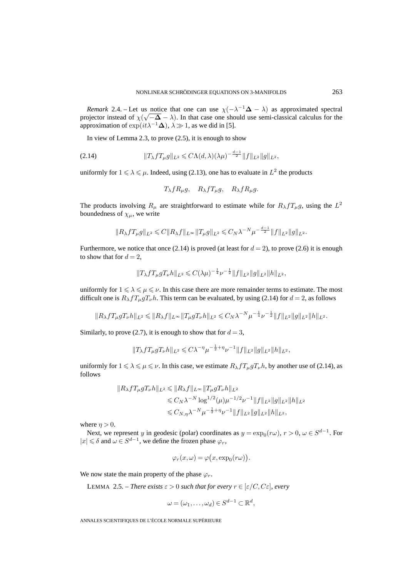*Remark* 2.4. – Let us notice that one can use  $\chi(-\lambda^{-1}\Delta - \lambda)$  as approximated spectral *Nemark 2.4.* – Let us notice that one can use  $\chi$ ( $\sim \Delta - \lambda$ ) as approximated spectral projector instead of  $\chi$ ( $\sqrt{-\Delta} - \lambda$ ). In that case one should use semi-classical calculus for the approximation of  $\exp(it\lambda^{-1}\Delta)$ ,  $\lambda \gg 1$ , as we did in [5].

In view of Lemma 2.3, to prove (2.5), it is enough to show

(2.14) 
$$
||T_{\lambda} f T_{\mu} g||_{L^2} \leq C \Lambda(d, \lambda) (\lambda \mu)^{-\frac{d-1}{2}} ||f||_{L^2} ||g||_{L^2},
$$

uniformly for  $1 \leq \lambda \leq \mu$ . Indeed, using (2.13), one has to evaluate in  $L^2$  the products

$$
T_{\lambda} f R_{\mu} g, \quad R_{\lambda} f T_{\mu} g, \quad R_{\lambda} f R_{\mu} g.
$$

The products involving  $R_{\mu}$  are straightforward to estimate while for  $R_{\lambda} f T_{\mu} g$ , using the  $L^2$ boundedness of  $\chi_{\mu}$ , we write

$$
||R_{\lambda} f T_{\mu} g||_{L^2} \leqslant C ||R_{\lambda} f||_{L^{\infty}} ||T_{\mu} g||_{L^2} \leqslant C_N \lambda^{-N} \mu^{-\frac{d-1}{2}} ||f||_{L^2} ||g||_{L^2}.
$$

Furthermore, we notice that once (2.14) is proved (at least for  $d = 2$ ), to prove (2.6) it is enough to show that for  $d = 2$ ,

$$
||T_{\lambda} f T_{\mu} g T_{\nu} h||_{L^2} \leqslant C(\lambda \mu)^{-\frac{1}{4}} \nu^{-\frac{1}{2}} ||f||_{L^2} ||g||_{L^2} ||h||_{L^2},
$$

uniformly for  $1 \leq \lambda \leq \mu \leq \nu$ . In this case there are more remainder terms to estimate. The most difficult one is  $R_{\lambda} f T_{\mu} g T_{\nu} h$ . This term can be evaluated, by using (2.14) for  $d = 2$ , as follows

$$
||R_{\lambda} f T_{\mu} g T_{\nu} h||_{L^2} \le ||R_{\lambda} f||_{L^{\infty}} ||T_{\mu} g T_{\nu} h||_{L^2} \le C_N \lambda^{-N} \mu^{-\frac{1}{4}} \nu^{-\frac{1}{2}} ||f||_{L^2} ||g||_{L^2} ||h||_{L^2}.
$$

Similarly, to prove (2.7), it is enough to show that for  $d = 3$ ,

$$
||T_{\lambda} f T_{\mu} g T_{\nu} h||_{L^2} \leq C\lambda^{-\eta} \mu^{-\frac{1}{2}+\eta} \nu^{-1} ||f||_{L^2} ||g||_{L^2} ||h||_{L^2},
$$

uniformly for  $1 \leq \lambda \leq \mu \leq \nu$ . In this case, we estimate  $R_{\lambda}fT_{\mu}gT_{\nu}h$ , by another use of (2.14), as follows

$$
||R_{\lambda} f T_{\mu} g T_{\nu} h||_{L^2} \le ||R_{\lambda} f||_{L^{\infty}} ||T_{\mu} g T_{\nu} h||_{L^2}
$$
  
\n
$$
\le C_N \lambda^{-N} \log^{1/2}(\mu) \mu^{-1/2} \nu^{-1} ||f||_{L^2} ||g||_{L^2} ||h||_{L^2}
$$
  
\n
$$
\le C_{N, \eta} \lambda^{-N} \mu^{-\frac{1}{2} + \eta} \nu^{-1} ||f||_{L^2} ||g||_{L^2} ||h||_{L^2},
$$

where  $\eta > 0$ .

Next, we represent y in geodesic (polar) coordinates as  $y = \exp_0(r\omega)$ ,  $r > 0$ ,  $\omega \in S^{d-1}$ . For  $|x| \leq \delta$  and  $\omega \in S^{d-1}$ , we define the frozen phase  $\varphi_r$ ,

$$
\varphi_r(x,\omega) = \varphi\big(x, \exp_0(r\omega)\big).
$$

We now state the main property of the phase  $\varphi_r$ .

LEMMA 2.5. – *There exists*  $\varepsilon > 0$  *such that for every*  $r \in [\varepsilon / C, C \varepsilon]$ , every

$$
\omega = (\omega_1, \dots, \omega_d) \in S^{d-1} \subset \mathbb{R}^d,
$$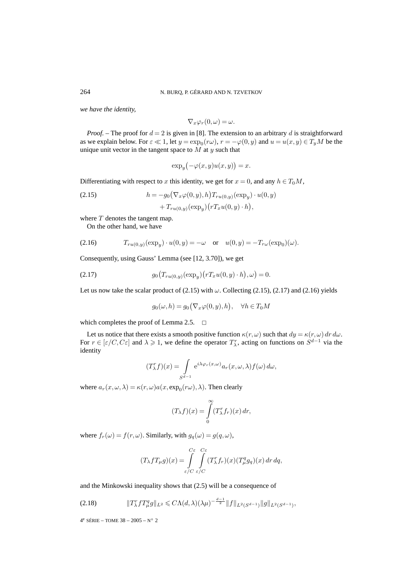*we have the identity,*

$$
\nabla_x \varphi_r(0,\omega) = \omega.
$$

*Proof.* – The proof for  $d = 2$  is given in [8]. The extension to an arbitrary d is straightforward as we explain below. For  $\varepsilon \ll 1$ , let  $y = \exp_0(r\omega)$ ,  $r = -\varphi(0, y)$  and  $u = u(x, y) \in T_yM$  be the unique unit vector in the tangent space to  $M$  at  $y$  such that

$$
\exp_u\bigl(-\varphi(x,y)u(x,y)\bigr)=x.
$$

Differentiating with respect to x this identity, we get for  $x = 0$ , and any  $h \in T_0M$ ,

(2.15) 
$$
h = -g_0(\nabla_x \varphi(0, y), h) T_{ru(0, y)}(\exp_y) \cdot u(0, y) + T_{ru(0, y)}(\exp_y)(r T_x u(0, y) \cdot h),
$$

where  $T$  denotes the tangent map.

On the other hand, we have

(2.16) 
$$
T_{ru(0,y)}(\exp_y) \cdot u(0,y) = -\omega \text{ or } u(0,y) = -T_{r\omega}(\exp_0)(\omega).
$$

Consequently, using Gauss' Lemma (see [12, 3.70]), we get

(2.17) 
$$
g_0\big(T_{ru(0,y)}(\exp_y)(rT_xu(0,y)\cdot h),\omega\big)=0.
$$

Let us now take the scalar product of  $(2.15)$  with  $\omega$ . Collecting  $(2.15)$ ,  $(2.17)$  and  $(2.16)$  yields

$$
g_0(\omega, h) = g_0(\nabla_x \varphi(0, y), h), \quad \forall h \in T_0M
$$

which completes the proof of Lemma 2.5.  $\Box$ 

Let us notice that there exists a smooth positive function  $\kappa(r,\omega)$  such that  $dy = \kappa(r,\omega) dr d\omega$ . For  $r \in [\varepsilon/C, C\varepsilon]$  and  $\lambda \geq 1$ , we define the operator  $T_{\lambda}^r$ , acting on functions on  $S^{d-1}$  via the identity

$$
(T_{\lambda}^{r}f)(x) = \int_{S^{d-1}} e^{i\lambda \varphi_r(x,\omega)} a_r(x,\omega,\lambda) f(\omega) d\omega,
$$

where  $a_r(x, \omega, \lambda) = \kappa(r, \omega) a(x, \exp_0(r\omega), \lambda)$ . Then clearly

$$
(T_{\lambda}f)(x) = \int_{0}^{\infty} (T_{\lambda}^{r} f_{r})(x) dr,
$$

where  $f_r(\omega) = f(r, \omega)$ . Similarly, with  $g_q(\omega) = g(q, \omega)$ ,

$$
(T_{\lambda} f T_{\mu} g)(x) = \int_{\varepsilon/C}^{C\varepsilon} \int_{\varepsilon/C}^{C\varepsilon} (T_{\lambda}^r f_r)(x) (T_{\mu}^q g_q)(x) dr dq,
$$

and the Minkowski inequality shows that (2.5) will be a consequence of

$$
(2.18) \t\t\t\t||T_{\lambda}^{\tau} f T_{\mu}^{\tau} g||_{L^2} \leq C \Lambda(d, \lambda) (\lambda \mu)^{-\frac{d-1}{2}} ||f||_{L^2(S^{d-1})} ||g||_{L^2(S^{d-1})},
$$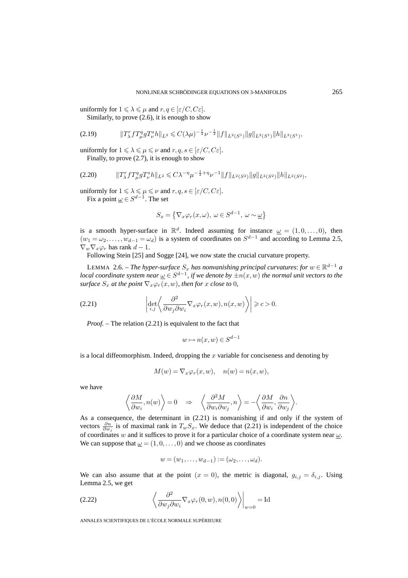uniformly for  $1 \leqslant \lambda \leqslant \mu$  and  $r, q \in [\varepsilon / C, C \varepsilon]$ .

Similarly, to prove (2.6), it is enough to show

$$
(2.19) \t\t\t\t||T_{\lambda}^{\mathsf{T}}fT_{\mu}^{q}gT_{\nu}^{s}h||_{L^{2}} \leq C(\lambda\mu)^{-\frac{1}{4}}\nu^{-\frac{1}{2}}||f||_{L^{2}(S^{1})}||g||_{L^{2}(S^{1})}||h||_{L^{2}(S^{1})},
$$

uniformly for  $1 \leq \lambda \leq \mu \leq \nu$  and  $r, q, s \in [\varepsilon / C, C \varepsilon]$ . Finally, to prove (2.7), it is enough to show

-Tr λfT<sup>q</sup> µgT<sup>s</sup> <sup>ν</sup> h-<sup>L</sup><sup>2</sup> - Cλ−ηµ<sup>−</sup> <sup>1</sup> <sup>2</sup> <sup>+</sup>ην−<sup>1</sup>f-L2(S2)g-L2(S2)h-<sup>L</sup>2(S2) (2.20) ,

uniformly for  $1 \leqslant \lambda \leqslant \mu \leqslant \nu$  and  $r, q, s \in [\varepsilon / C, C \varepsilon].$ 

Fix a point 
$$
\underline{\omega} \in S^{d-1}
$$
. The set

$$
S_x = \left\{ \nabla_x \varphi_r(x, \omega), \ \omega \in S^{d-1}, \ \omega \sim \underline{\omega} \right\}
$$

is a smooth hyper-surface in  $\mathbb{R}^d$ . Indeed assuming for instance  $\underline{\omega} = (1, 0, \dots, 0)$ , then  $(w_1 = \omega_2, \ldots, w_{d-1} = \omega_d)$  is a system of coordinates on  $S^{d-1}$  and according to Lemma 2.5,  $\nabla_w \nabla_x \varphi_r$  has rank  $d-1$ .

Following Stein [25] and Sogge [24], we now state the crucial curvature property.

LEMMA 2.6. – *The hyper-surface*  $S_x$  *has nonvanishing principal curvatures: for*  $w \in \mathbb{R}^{d-1}$  *a local coordinate system near*  $\underline{\omega} \in S^{d-1}$ , *if we denote by*  $\pm n(x, \omega)$  *the normal unit vectors to the surface*  $S_x$  *at the point*  $\nabla_x \varphi_r(x, w)$ *, then for* x *close to* 0*,* 

(2.21) 
$$
\left| \det_{i,j} \left\langle \frac{\partial^2}{\partial w_j \partial w_i} \nabla_x \varphi_r(x, w), n(x, w) \right\rangle \right| \geqslant c > 0.
$$

*Proof.* – The relation (2.21) is equivalent to the fact that

$$
w \mapsto n(x, w) \in S^{d-1}
$$

is a local diffeomorphism. Indeed, dropping the  $x$  variable for conciseness and denoting by

$$
M(w) = \nabla_x \varphi_r(x, w), \quad n(w) = n(x, w),
$$

we have

$$
\left\langle \frac{\partial M}{\partial w_i}, n(w) \right\rangle = 0 \quad \Rightarrow \quad \left\langle \frac{\partial^2 M}{\partial w_i \partial w_j}, n \right\rangle = -\left\langle \frac{\partial M}{\partial w_i}, \frac{\partial n}{\partial w_j} \right\rangle.
$$

As a consequence, the determinant in (2.21) is nonvanishing if and only if the system of vectors  $\frac{\partial n}{\partial w_j}$  is of maximal rank in  $T_w S_x$ . We deduce that (2.21) is independent of the choice of coordinates w and it suffices to prove it for a particular choice of a coordinate system near  $\omega$ . We can suppose that  $\omega = (1, 0, \ldots, 0)$  and we choose as coordinates

$$
w=(w_1,\ldots,w_{d-1}):=(\omega_2,\ldots,\omega_d).
$$

We can also assume that at the point  $(x = 0)$ , the metric is diagonal,  $g_{i,j} = \delta_{i,j}$ . Using Lemma 2.5, we get

(2.22) 
$$
\left\langle \frac{\partial^2}{\partial w_j \partial w_i} \nabla_x \varphi_r(0, w), n(0, 0) \right\rangle \Big|_{w=0} = \text{Id}
$$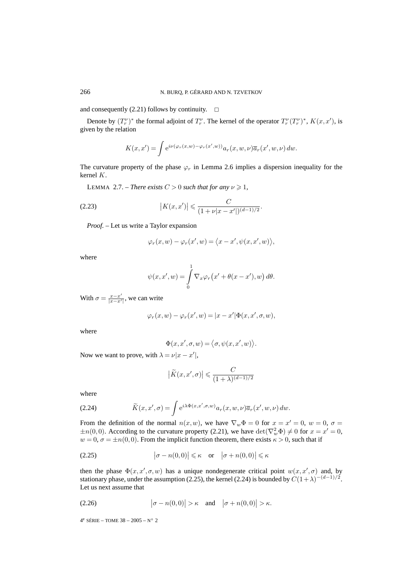and consequently (2.21) follows by continuity.  $\Box$ 

Denote by  $(T_r^{\nu})^*$  the formal adjoint of  $T_r^{\nu}$ . The kernel of the operator  $T_r^{\nu}(T_r^{\nu})^*$ ,  $K(x, x')$ , is given by the relation

$$
K(x, x') = \int e^{i\nu(\varphi_r(x, w) - \varphi_r(x', w))} a_r(x, w, \nu) \overline{a}_r(x', w, \nu) dw.
$$

The curvature property of the phase  $\varphi_r$  in Lemma 2.6 implies a dispersion inequality for the kernel K.

LEMMA 2.7. – *There exists*  $C > 0$  *such that for any*  $\nu \ge 1$ *,* 

(2.23) 
$$
|K(x,x')| \leq \frac{C}{(1+\nu|x-x'|)^{(d-1)/2}}.
$$

*Proof. –* Let us write a Taylor expansion

$$
\varphi_r(x,w) - \varphi_r(x',w) = \langle x - x', \psi(x, x', w) \rangle,
$$

where

$$
\psi(x, x', w) = \int_{0}^{1} \nabla_x \varphi_r(x' + \theta(x - x'), w) d\theta.
$$

With  $\sigma = \frac{x - x'}{|x - x'|}$ , we can write

$$
\varphi_r(x, w) - \varphi_r(x', w) = |x - x'| \Phi(x, x', \sigma, w),
$$

where

$$
\Phi(x, x', \sigma, w) = \langle \sigma, \psi(x, x', w) \rangle.
$$

Now we want to prove, with  $\lambda = \nu |x - x'|$ ,

$$
\left| \tilde{K}(x, x', \sigma) \right| \leqslant \frac{C}{(1 + \lambda)^{(d-1)/2}}
$$

where

(2.24) 
$$
\widetilde{K}(x, x', \sigma) = \int e^{i\lambda \Phi(x, x', \sigma, w)} a_r(x, w, \nu) \overline{a}_r(x', w, \nu) dw.
$$

From the definition of the normal  $n(x, w)$ , we have  $\nabla_w \Phi = 0$  for  $x = x' = 0$ ,  $w = 0$ ,  $\sigma =$  $\pm n(0,0)$ . According to the curvature property (2.21), we have  $\det(\nabla_w^2 \Phi) \neq 0$  for  $x = x' = 0$ ,  $w = 0$ ,  $\sigma = \pm n(0, 0)$ . From the implicit function theorem, there exists  $\kappa > 0$ , such that if

(2.25) 
$$
|\sigma - n(0,0)| \leq \kappa \quad \text{or} \quad |\sigma + n(0,0)| \leq \kappa
$$

then the phase  $\Phi(x, x', \sigma, w)$  has a unique nondegenerate critical point  $w(x, x', \sigma)$  and, by stationary phase, under the assumption (2.25), the kernel (2.24) is bounded by  $C(1+\lambda)^{-(d-1)/2}$ . Let us next assume that

$$
(2.26) \qquad |\sigma - n(0,0)| > \kappa \quad \text{and} \quad |\sigma + n(0,0)| > \kappa.
$$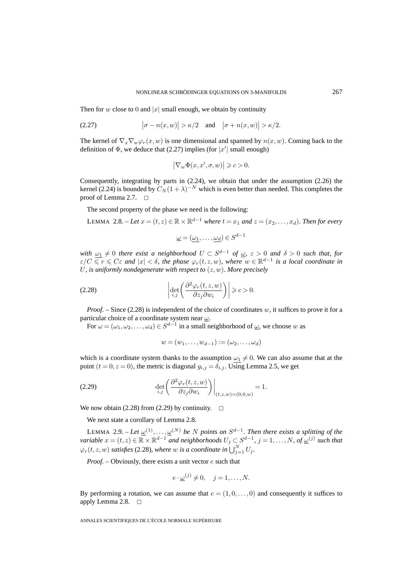Then for w close to 0 and |x| small enough, we obtain by continuity

(2.27) 
$$
\big|\sigma - n(x,w)\big| > \kappa/2 \quad \text{and} \quad \big|\sigma + n(x,w)\big| > \kappa/2.
$$

The kernel of  $\nabla_x \nabla_w \varphi_r(x, w)$  is one dimensional and spanned by  $n(x, w)$ . Coming back to the definition of  $\Phi$ , we deduce that (2.27) implies (for  $|x'|$  small enough)

$$
\big|\nabla_w \Phi(x,x',\sigma,w)\big|\geqslant c>0.
$$

Consequently, integrating by parts in (2.24), we obtain that under the assumption (2.26) the kernel (2.24) is bounded by  $C_N(1+\lambda)^{-N}$  which is even better than needed. This completes the proof of Lemma 2.7.  $\Box$ 

The second property of the phase we need is the following:

LEMMA 2.8. – Let  $x = (t, z) \in \mathbb{R} \times \mathbb{R}^{d-1}$  where  $t = x_1$  and  $z = (x_2, \ldots, x_d)$ . Then for every

$$
\underline{\omega} = (\underline{\omega_1}, \dots, \underline{\omega_d}) \in S^{d-1}
$$

*with*  $\omega_1 \neq 0$  *there exist a neighborhood*  $U \subset S^{d-1}$  *of*  $\underline{\omega}$ ,  $\varepsilon > 0$  *and*  $\delta > 0$  *such that, for*  $\epsilon/C \leqslant r \leqslant C\varepsilon$  and  $|x| < \delta$ , the phase  $\varphi_r(t,z,w)$ , where  $w \in \mathbb{R}^{d-1}$  is a local coordinate in U*, is uniformly nondegenerate with respect to* (z,w)*. More precisely*

(2.28) 
$$
\left|\det_{i,j}\left(\frac{\partial^2 \varphi_r(t,z,w)}{\partial z_j \partial w_i}\right)\right| \geqslant c > 0.
$$

*Proof.* – Since  $(2.28)$  is independent of the choice of coordinates w, it suffices to prove it for a particular choice of a coordinate system near  $\omega$ .

For  $\omega = (\omega_1, \omega_2, \dots, \omega_d) \in S^{d-1}$  in a small neighborhood of  $\underline{\omega}$ , we choose w as

$$
w = (w_1, \ldots, w_{d-1}) := (\omega_2, \ldots, \omega_d)
$$

which is a coordinate system thanks to the assumption  $\omega_1 \neq 0$ . We can also assume that at the point  $(t = 0, z = 0)$ , the metric is diagonal  $g_{i,j} = \delta_{i,j}$ . Using Lemma 2.5, we get

(2.29) 
$$
\det_{i,j}\left(\frac{\partial^2 \varphi_r(t,z,w)}{\partial z_j \partial w_i}\right)\Big|_{(t,z,w)=(0,0,w)} = 1.
$$

We now obtain (2.28) from (2.29) by continuity.  $\Box$ 

We next state a corollary of Lemma 2.8.

LEMMA 2.9. – Let  $\underline{\omega}^{(1)}, \ldots, \underline{\omega}^{(N)}$  be N points on  $S^{d-1}$ . Then there exists a splitting of the *variable*  $x = (t, z) \in \mathbb{R} \times \mathbb{R}^{d-1}$  *and neighborhoods*  $U_j \subset S^{d-1}$ ,  $j = 1, \ldots, N$ , of  $\underline{\omega}^{(j)}$  such that  $\varphi_r(t, z, w)$  satisfies (2.28), where w is a coordinate in  $\bigcup_{j=1}^N U_j$ .

*Proof. –* Obviously, there exists a unit vector e such that

$$
e \cdot \underline{\omega}^{(j)} \neq 0, \quad j = 1, \dots, N.
$$

By performing a rotation, we can assume that  $e = (1, 0, \ldots, 0)$  and consequently it suffices to apply Lemma 2.8.  $\Box$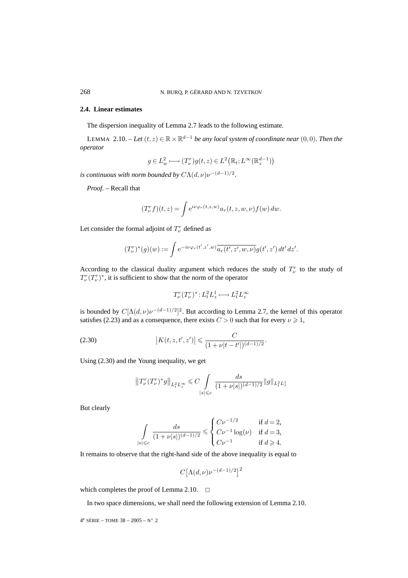# **2.4. Linear estimates**

The dispersion inequality of Lemma 2.7 leads to the following estimate.

LEMMA 2.10. – *Let*  $(t, z)$  ∈  $\mathbb{R} \times \mathbb{R}^{d-1}$  *be any local system of coordinate near*  $(0, 0)$ *. Then the operator*

$$
g \in L^2_w \longmapsto (T^r_\nu)g(t,z) \in L^2\big(\mathbb{R}_t;L^\infty(\mathbb{R}^{d-1}_z)\big)
$$

*is continuous with norm bounded by*  $C\Lambda(d,\nu)\nu^{-(d-1)/2}$ .

*Proof. –* Recall that

$$
(T_{\nu}^r f)(t,z) = \int e^{i\nu\varphi_r(t,z,w)} a_r(t,z,w,\nu) f(w) dw.
$$

Let consider the formal adjoint of  $T_{\nu}^{r}$  defined as

$$
(T_{\nu}^r)^*(g)(w) := \int e^{-i\nu\varphi_r(t',z',w)} \overline{a_r(t',z',w,\nu)} g(t',z') dt' dz'.
$$

According to the classical duality argument which reduces the study of  $T_{\nu}^{r}$  to the study of  $T_{\nu}^r(T_{\nu}^r)^*$ , it is sufficient to show that the norm of the operator

$$
T_{\nu}^r(T_{\nu}^r)^*: L_t^2 L_z^1 \longmapsto L_t^2 L_z^{\infty}
$$

is bounded by  $C[\Lambda(d,\nu)\nu^{-(d-1)/2}]^2$ . But according to Lemma 2.7, the kernel of this operator satisfies (2.23) and as a consequence, there exists  $C > 0$  such that for every  $\nu \ge 1$ ,

(2.30) 
$$
\left| K(t, z, t', z') \right| \leq \frac{C}{(1 + \nu |t - t'|)^{(d-1)/2}}.
$$

Using (2.30) and the Young inequality, we get

$$
\left\|T^r_\nu(T^r_\nu)^*g\right\|_{L^2_tL^\infty_z}\leqslant C\int\limits_{|s|\leqslant c}\frac{ds}{(1+\nu|s|)^{(d-1)/2}}\|g\|_{L^2_tL^1_z}
$$

But clearly

$$
\int\limits_{|s|\leqslant c}\frac{ds}{(1+\nu|s|)^{(d-1)/2}}\leqslant \begin{cases} C\nu^{-1/2} & \text{ if } d=2,\\ C\nu^{-1}\log(\nu) & \text{ if } d=3,\\ C\nu^{-1} & \text{ if } d\geqslant 4.\end{cases}
$$

It remains to observe that the right-hand side of the above inequality is equal to

$$
C[\Lambda(d,\nu)\nu^{-(d-1)/2}]^2
$$

which completes the proof of Lemma 2.10.  $\Box$ 

In two space dimensions, we shall need the following extension of Lemma 2.10.

 $4^e$  SÉRIE – TOME  $38 - 2005 - N° 2$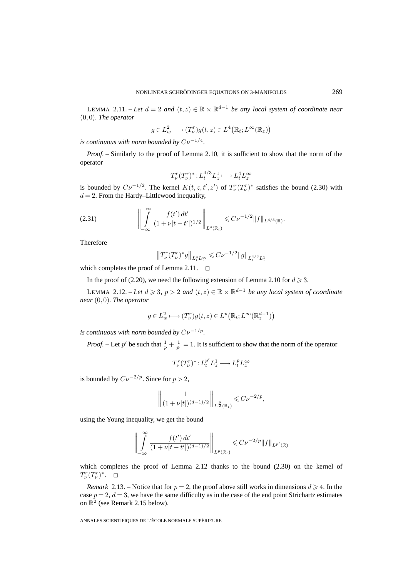LEMMA 2.11. – Let  $d = 2$  and  $(t, z) \in \mathbb{R} \times \mathbb{R}^{d-1}$  be any local system of coordinate near (0, 0)*. The operator*

$$
g \in L^2_w \longmapsto (T^r_\nu) g(t, z) \in L^4(\mathbb{R}_t; L^\infty(\mathbb{R}_z))
$$

*is continuous with norm bounded by*  $Cv^{-1/4}$ .

*Proof. –* Similarly to the proof of Lemma 2.10, it is sufficient to show that the norm of the operator

$$
T_{\nu}^r(T_{\nu}^r)^*: L_t^{4/3}L_z^1 \longmapsto L_t^4 L_z^{\infty}
$$

is bounded by  $C\nu^{-1/2}$ . The kernel  $K(t, z, t', z')$  of  $T_{\nu}^r(T_{\nu}^r)^*$  satisfies the bound (2.30) with  $d = 2$ . From the Hardy–Littlewood inequality,

$$
(2.31) \qquad \qquad \bigg\| \int_{-\infty}^{\infty} \frac{f(t') dt'}{(1 + \nu |t - t'|)^{1/2}} \bigg\|_{L^{4}(\mathbb{R}_{t})} \leqslant C \nu^{-1/2} \|f\|_{L^{4/3}(\mathbb{R})}.
$$

Therefore

$$
\left\|T^r_\nu(T^r_\nu)^*g\right\|_{L^4_tL^\infty_z}\leqslant C\nu^{-1/2}\|g\|_{L^{4/3}_tL^1_z}
$$

which completes the proof of Lemma 2.11.  $\Box$ 

In the proof of (2.20), we need the following extension of Lemma 2.10 for  $d \ge 3$ .

LEMMA 2.12. – *Let*  $d \ge 3$ ,  $p > 2$  *and*  $(t, z) \in \mathbb{R} \times \mathbb{R}^{d-1}$  *be any local system of coordinate near* (0, 0)*. The operator*

$$
g \in L^2_w \longmapsto (T^r_\nu)g(t, z) \in L^p\big(\mathbb{R}_t; L^\infty(\mathbb{R}^{d-1}_z)\big)
$$

*is continuous with norm bounded by*  $Cv^{-1/p}$ *.* 

*Proof.* – Let p' be such that  $\frac{1}{p} + \frac{1}{p'} = 1$ . It is sufficient to show that the norm of the operator

$$
T_{\nu}^r(T_{\nu}^r)^*: L_t^{p'} L_z^1 \longmapsto L_t^p L_z^{\infty}
$$

is bounded by  $C\nu^{-2/p}$ . Since for  $p > 2$ ,

$$
\left\| \frac{1}{(1+\nu |t|)^{(d-1)/2}} \right\|_{L^{\frac{p}{2}}(\mathbb{R}_t)} \leqslant C \nu^{-2/p},
$$

using the Young inequality, we get the bound

$$
\left\| \int_{-\infty}^{\infty} \frac{f(t') dt'}{(1 + \nu |t - t'|)^{(d-1)/2}} \right\|_{L^p(\mathbb{R}_t)} \leq C \nu^{-2/p} \|f\|_{L^{p'}(\mathbb{R})}
$$

which completes the proof of Lemma 2.12 thanks to the bound (2.30) on the kernel of  $T_{\nu}^r(T_{\nu}^r)^*$ .  $\Box$ 

*Remark* 2.13. – Notice that for  $p = 2$ , the proof above still works in dimensions  $d \ge 4$ . In the case  $p = 2, d = 3$ , we have the same difficulty as in the case of the end point Strichartz estimates on  $\mathbb{R}^2$  (see Remark 2.15 below).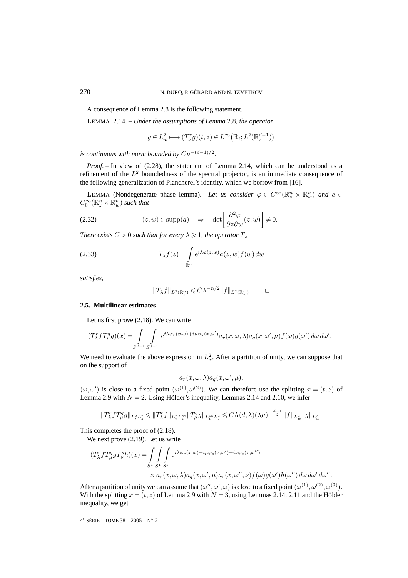A consequence of Lemma 2.8 is the following statement.

LEMMA 2.14. – *Under the assumptions of Lemma* 2.8*, the operator*

$$
g \in L^2_w \longmapsto (T^r_\nu g)(t,z) \in L^\infty\big(\mathbb{R}_t;L^2(\mathbb{R}^{d-1}_z)\big)
$$

*is continuous with norm bounded by*  $Cv^{-(d-1)/2}$ .

*Proof. –* In view of (2.28), the statement of Lemma 2.14, which can be understood as a refinement of the  $L<sup>2</sup>$  boundedness of the spectral projector, is an immediate consequence of the following generalization of Plancherel's identity, which we borrow from [16].

LEMMA (Nondegenerate phase lemma). – Let us consider  $\varphi \in C^{\infty}(\mathbb{R}^n) \times \mathbb{R}^n$  and  $a \in$  $C_0^{\infty}(\mathbb{R}^n_z\times\mathbb{R}^n_w)$  such that

(2.32) 
$$
(z, w) \in \text{supp}(a) \Rightarrow \det \left[\frac{\partial^2 \varphi}{\partial z \partial w}(z, w)\right] \neq 0.
$$

*There exists*  $C > 0$  *such that for every*  $\lambda \geq 1$ *, the operator*  $T_{\lambda}$ 

(2.33) 
$$
T_{\lambda}f(z) = \int_{\mathbb{R}^n} e^{i\lambda \varphi(z,w)} a(z,w) f(w) dw
$$

*satisfies,*

$$
||T_{\lambda}f||_{L^{2}(\mathbb{R}_{z}^{n})} \leqslant C\lambda^{-n/2}||f||_{L^{2}(\mathbb{R}_{w}^{n})}.\qquad \Box
$$

# **2.5. Multilinear estimates**

Let us first prove (2.18). We can write

$$
(T_{\lambda}^r f T_{\mu}^q g)(x)=\int\limits_{S^{d-1}}\int\limits_{S^{d-1}}{\rm e}^{i\lambda \varphi_r(x,\omega)+i\mu \varphi_q(x,\omega')}a_r(x,\omega,\lambda)a_q(x,\omega',\mu)f(\omega)g(\omega')\,d\omega\,d\omega'.
$$

We need to evaluate the above expression in  $L<sub>x</sub><sup>2</sup>$ . After a partition of unity, we can suppose that on the support of

$$
a_r(x,\omega,\lambda)a_q(x,\omega',\mu),
$$

 $(\omega, \omega')$  is close to a fixed point  $(\underline{\omega}^{(1)}, \underline{\omega}^{(2)})$ . We can therefore use the splitting  $x = (t, z)$  of Lemma 2.9 with  $N = 2$ . Using Hölder's inequality, Lemmas 2.14 and 2.10, we infer

$$
||T_{\lambda}^r f T_{\mu}^q g||_{L_t^2 L_x^2} \leq ||T_{\lambda}^r f||_{L_t^2 L_x^{\infty}} ||T_{\mu}^q g||_{L_t^{\infty} L_x^2} \leq C\Lambda(d,\lambda)(\lambda\mu)^{-\frac{d-1}{2}} ||f||_{L_w^2} ||g||_{L_w^2}.
$$

This completes the proof of (2.18).

We next prove (2.19). Let us write

$$
(T_{\lambda}^{r} f T_{\mu}^{q} g T_{\nu}^{s} h)(x) = \int_{S^{1}} \int_{S^{1}} \int_{S^{1}} e^{i\lambda \varphi_{r}(x,\omega) + i\mu \varphi_{q}(x,\omega') + i\nu \varphi_{s}(x,\omega'')}
$$

$$
\times a_{r}(x,\omega,\lambda) a_{q}(x,\omega',\mu) a_{s}(x,\omega'',\nu) f(\omega) g(\omega') h(\omega'') d\omega d\omega' d\omega''.
$$

After a partition of unity we can assume that  $(\omega'', \omega', \omega)$  is close to a fixed point  $(\underline{\omega}^{(1)}, \underline{\omega}^{(2)}, \underline{\omega}^{(3)})$ . With the splitting  $x = (t, z)$  of Lemma 2.9 with  $N = 3$ , using Lemmas 2.14, 2.11 and the Hölder inequality, we get

 $4^e$  SÉRIE – TOME 38 – 2005 – N° 2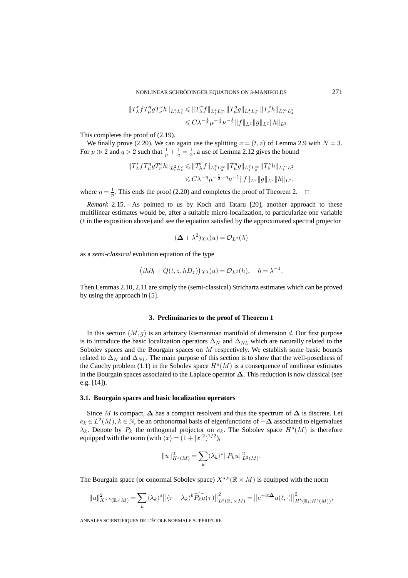NONLINEAR SCHRÖDINGER EQUATIONS ON 3-MANIFOLDS 271

$$
\begin{aligned}\|T_\lambda^r fT_\mu^qgT_\nu^sh\|_{L^2_tL^2_x} &\leqslant \|T_\lambda^r f\|_{L^4_tL^\infty_x}\|T_\mu^qg\|_{L^4_tL^\infty_x}\|T_\nu^sh\|_{L^\infty_tL^2_x}\\ &\leqslant C\lambda^{-\frac{1}{4}}\mu^{-\frac{1}{4}}\nu^{-\frac{1}{2}}\|f\|_{L^2}\|g\|_{L^2}\|h\|_{L^2}.\end{aligned}
$$

This completes the proof of (2.19).

We finally prove (2.20). We can again use the splitting  $x = (t, z)$  of Lemma 2.9 with  $N = 3$ . For  $p \gg 2$  and  $q > 2$  such that  $\frac{1}{p} + \frac{1}{q} = \frac{1}{2}$ , a use of Lemma 2.12 gives the bound

$$
\begin{aligned}\|T_\lambda^r fT_\mu^qgT_\nu^sh\|_{L^2_tL^2_x} &\leqslant \|T_\lambda^rf\|_{L^p_tL^\infty_x}\|T_\mu^qg\|_{L^q_tL^\infty_x}\|T_\nu^sh\|_{L^\infty_tL^2_x}\\ &\leqslant C\lambda^{-\eta}\mu^{-\frac{1}{2}+\eta}\nu^{-1}\|f\|_{L^2}\|g\|_{L^2}\|h\|_{L^2},\end{aligned}
$$

where  $\eta = \frac{1}{p}$ . This ends the proof (2.20) and completes the proof of Theorem 2.  $\Box$ 

*Remark* 2.15. – As pointed to us by Koch and Tataru [20], another approach to these multilinear estimates would be, after a suitable micro-localization, to particularize one variable (t in the exposition above) and see the equation satisfied by the approximated spectral projector

$$
(\Delta + \lambda^2)\chi_{\lambda}(u) = \mathcal{O}_{L^2}(\lambda)
$$

as a *semi-classical* evolution equation of the type

$$
(ih\partial_t + Q(t, z, hD_z))\chi_{\lambda}(u) = \mathcal{O}_{L^2}(h), \quad h = \lambda^{-1}.
$$

Then Lemmas 2.10, 2.11 are simply the (semi-classical) Strichartz estimates which can be proved by using the approach in [5].

#### **3. Preliminaries to the proof of Theorem 1**

In this section  $(M, g)$  is an arbitrary Riemannian manifold of dimension d. Our first purpose is to introduce the basic localization operators  $\Delta_N$  and  $\Delta_{NL}$  which are naturally related to the Sobolev spaces and the Bourgain spaces on M respectively. We establish some basic bounds related to  $\Delta_N$  and  $\Delta_{NL}$ . The main purpose of this section is to show that the well-posedness of the Cauchy problem (1.1) in the Sobolev space  $H<sup>s</sup>(M)$  is a consequence of nonlinear estimates in the Bourgain spaces associated to the Laplace operator **∆**. This reduction is now classical (see e.g. [14]).

#### **3.1. Bourgain spaces and basic localization operators**

Since M is compact,  $\Delta$  has a compact resolvent and thus the spectrum of  $\Delta$  is discrete. Let e<sup>k</sup> ∈ L<sup>2</sup>(M), k ∈ N, be an orthonormal basis of eigenfunctions of −**∆** associated to eigenvalues  $\lambda_k$ . Denote by  $P_k$  the orthogonal projector on  $e_k$ . The Sobolev space  $H<sup>s</sup>(M)$  is therefore equipped with the norm (with  $\langle x \rangle = (1 + |x|^2)^{1/2}$ ),

$$
||u||^2_{H^s(M)} = \sum_k \langle \lambda_k \rangle^s ||P_k u||^2_{L^2(M)}.
$$

The Bourgain space (or conormal Sobolev space)  $X^{s,b}(\mathbb{R} \times M)$  is equipped with the norm

$$
||u||_{X^{s,b}(\mathbb{R}\times M)}^2 = \sum_k \langle \lambda_k \rangle^s ||\langle \tau + \lambda_k \rangle^b \widehat{P_k u}(\tau)||_{L^2(\mathbb{R}_\tau \times M)}^2 = ||e^{-it\Delta} u(t,\cdot)||_{H^b(\mathbb{R}_t;H^s(M))}^2,
$$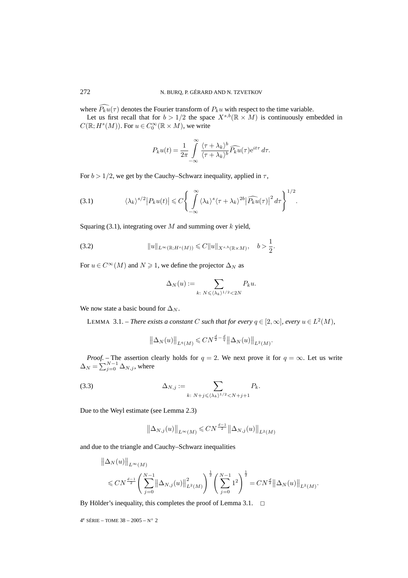where  $P_k u(\tau)$  denotes the Fourier transform of  $P_k u$  with respect to the time variable.

Let us first recall that for  $b > 1/2$  the space  $X^{s,b}(\mathbb{R} \times M)$  is continuously embedded in  $C(\mathbb{R}; H^s(M))$ . For  $u \in C_0^{\infty}(\mathbb{R} \times M)$ , we write

$$
P_k u(t) = \frac{1}{2\pi} \int_{-\infty}^{\infty} \frac{\langle \tau + \lambda_k \rangle^b}{\langle \tau + \lambda_k \rangle^b} \widehat{P_k u}(\tau) e^{it\tau} d\tau.
$$

For  $b > 1/2$ , we get by the Cauchy–Schwarz inequality, applied in  $\tau$ ,

(3.1) 
$$
\langle \lambda_k \rangle^{s/2} |P_k u(t)| \leq C \left\{ \int_{-\infty}^{\infty} \langle \lambda_k \rangle^s \langle \tau + \lambda_k \rangle^{2b} |\widehat{P_k u}(\tau)|^2 d\tau \right\}^{1/2}.
$$

Squaring (3.1), integrating over  $M$  and summing over  $k$  yield,

(3.2) 
$$
||u||_{L^{\infty}(\mathbb{R};H^{s}(M))} \leq C||u||_{X^{s,b}(\mathbb{R} \times M)}, \quad b > \frac{1}{2}.
$$

For  $u \in C^{\infty}(M)$  and  $N \ge 1$ , we define the projector  $\Delta_N$  as

$$
\Delta_N(u) := \sum_{k: \ N \leqslant \langle \lambda_k \rangle^{1/2} < 2N} P_k u.
$$

We now state a basic bound for  $\Delta_N$ .

LEMMA 3.1. – *There exists a constant* C *such that for every*  $q \in [2, \infty]$ *, every*  $u \in L^2(M)$ *,* 

$$
\|\Delta_N(u)\|_{L^q(M)} \leq C N^{\frac{d}{2} - \frac{d}{q}} \|\Delta_N(u)\|_{L^2(M)}.
$$

*Proof.* – The assertion clearly holds for  $q = 2$ . We next prove it for  $q = \infty$ . Let us write  $\Delta_N = \sum_{j=0}^{N-1} \Delta_{N,j}$ , where

(3.3) 
$$
\Delta_{N,j} := \sum_{k: \ N+j \leq \langle \lambda_k \rangle^{1/2} < N+j+1} P_k.
$$

Due to the Weyl estimate (see Lemma 2.3)

$$
\left\| \Delta_{N,j}(u) \right\|_{L^{\infty}(M)} \leqslant CN^{\frac{d-1}{2}} \left\| \Delta_{N,j}(u) \right\|_{L^{2}(M)}
$$

and due to the triangle and Cauchy–Schwarz inequalities

$$
\begin{aligned} \left\| \Delta_N (u) \right\|_{L^\infty(M)} \\ \leqslant C N^{\frac{d-1}{2}} \Bigg( \sum_{j=0}^{N-1} \left\| \Delta_{N,j}(u) \right\|_{L^2(M)}^2 \Bigg)^{\frac{1}{2}} \Bigg( \sum_{j=0}^{N-1} \mathbf{1}^2 \Bigg)^{\frac{1}{2}} = C N^{\frac{d}{2}} \big\| \Delta_N (u) \big\|_{L^2(M)} . \end{aligned}
$$

By Hölder's inequality, this completes the proof of Lemma 3.1.  $\Box$ 

 $4^e$  SÉRIE – TOME  $38 - 2005 - N° 2$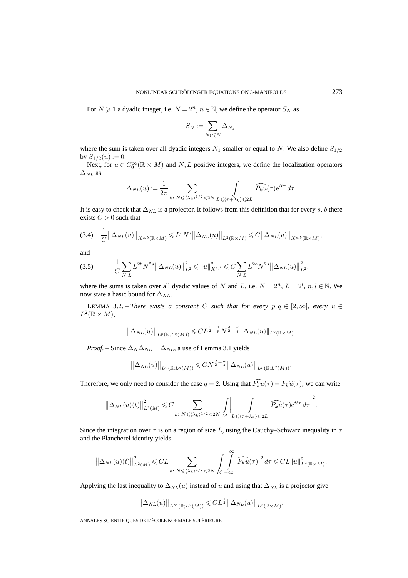For  $N \ge 1$  a dyadic integer, i.e.  $N = 2<sup>n</sup>$ ,  $n \in \mathbb{N}$ , we define the operator  $S_N$  as

$$
S_N:=\sum_{N_1\leqslant N}\Delta_{N_1},
$$

where the sum is taken over all dyadic integers  $N_1$  smaller or equal to N. We also define  $S_{1/2}$ by  $S_{1/2}(u) := 0$ .

Next, for  $u \in C_0^{\infty}(\mathbb{R} \times M)$  and  $N, L$  positive integers, we define the localization operators  $\Delta_{NL}$  as

$$
\Delta_{NL}(u) := \frac{1}{2\pi} \sum_{k: \ N \leqslant \langle \lambda_k \rangle^{1/2} < 2N} \int_{L \leqslant \langle \tau + \lambda_k \rangle \leqslant 2L} \widehat{P_k u}(\tau) e^{it\tau} d\tau.
$$

It is easy to check that  $\Delta_{NL}$  is a projector. It follows from this definition that for every s, b there exists  $C > 0$  such that

$$
(3.4) \quad \frac{1}{C} \left\| \Delta_{NL}(u) \right\|_{X^{s,b}(\mathbb{R}\times M)} \leqslant L^b N^s \left\| \Delta_{NL}(u) \right\|_{L^2(\mathbb{R}\times M)} \leqslant C \left\| \Delta_{NL}(u) \right\|_{X^{s,b}(\mathbb{R}\times M)},
$$

and

$$
(3.5) \qquad \frac{1}{C} \sum_{N,L} L^{2b} N^{2s} \left\| \Delta_{NL}(u) \right\|_{L^2}^2 \leqslant \|u\|_{X^{s,b}}^2 \leqslant C \sum_{N,L} L^{2b} N^{2s} \left\| \Delta_{NL}(u) \right\|_{L^2}^2,
$$

where the sums is taken over all dyadic values of N and L, i.e.  $N = 2<sup>n</sup>$ ,  $L = 2<sup>l</sup>$ ,  $n, l \in \mathbb{N}$ . We now state a basic bound for  $\Delta_{NL}$ .

LEMMA 3.2. – *There exists a constant* C *such that for every*  $p, q \in [2, \infty]$ *, every*  $u \in$  $L^2(\mathbb{R} \times M)$ ,

$$
\left\|\Delta_{NL}(u)\right\|_{L^p(\mathbb{R};L^q(M))} \leqslant CL^{\frac{1}{2}-\frac{1}{p}}N^{\frac{d}{2}-\frac{d}{q}}\|\Delta_{NL}(u)\|_{L^2(\mathbb{R}\times M)}.
$$

*Proof.* – Since  $\Delta_N \Delta_{NL} = \Delta_{NL}$ , a use of Lemma 3.1 yields

$$
\left\|\Delta_{NL}(u)\right\|_{L^p(\mathbb{R};L^q(M))} \leqslant CN^{\frac{d}{2}-\frac{d}{q}}\left\|\Delta_{NL}(u)\right\|_{L^p(\mathbb{R};L^2(M))}.
$$

Therefore, we only need to consider the case  $q = 2$ . Using that  $P_k u(\tau) = P_k \hat{u}(\tau)$ , we can write

$$
\left\|\Delta_{NL}(u)(t)\right\|_{L^2(M)}^2 \leq C \sum_{k:\ N \leqslant \langle \lambda_k \rangle^{1/2} < 2N} \int\left| \int\limits_{L \leqslant \langle \tau + \lambda_k \rangle \leqslant 2L} \widehat{P_k u}(\tau) e^{it\tau} d\tau \right|^2.
$$

Since the integration over  $\tau$  is on a region of size L, using the Cauchy–Schwarz inequality in  $\tau$ and the Plancherel identity yields

$$
\left\|\Delta_{NL}(u)(t)\right\|_{L^2(M)}^2 \leqslant CL \sum_{k:\ N\leqslant \langle \lambda_k\rangle^{1/2} < 2N} \int\limits_{M} \int\limits_{-\infty}^{\infty} \left|\widehat{P_k u}(\tau)\right|^2 d\tau \leqslant CL \|u\|_{L^2(\mathbb{R}\times M)}^2.
$$

Applying the last inequality to  $\Delta_{NL}(u)$  instead of u and using that  $\Delta_{NL}$  is a projector give

$$
\left\|\Delta_{NL}(u)\right\|_{L^{\infty}(\mathbb{R};L^2(M))} \leqslant CL^{\frac{1}{2}}\left\|\Delta_{NL}(u)\right\|_{L^2(\mathbb{R}\times M)}.
$$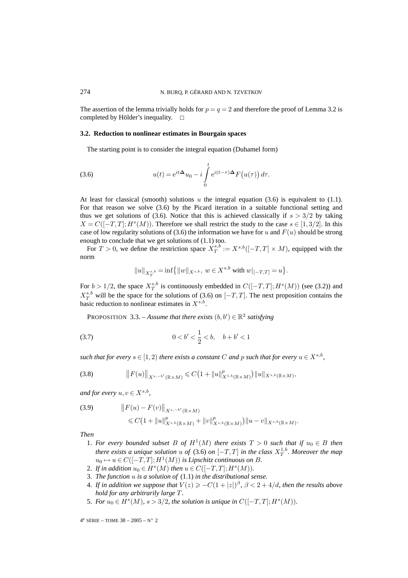The assertion of the lemma trivially holds for  $p = q = 2$  and therefore the proof of Lemma 3.2 is completed by Hölder's inequality.  $\square$ 

## **3.2. Reduction to nonlinear estimates in Bourgain spaces**

The starting point is to consider the integral equation (Duhamel form)

(3.6) 
$$
u(t) = e^{it\Delta}u_0 - i \int_0^t e^{i(t-\tau)\Delta} F(u(\tau)) d\tau.
$$

At least for classical (smooth) solutions u the integral equation (3.6) is equivalent to (1.1). For that reason we solve (3.6) by the Picard iteration in a suitable functional setting and thus we get solutions of (3.6). Notice that this is achieved classically if  $s > 3/2$  by taking  $X = C([-T, T]; H<sup>s</sup>(M))$ . Therefore we shall restrict the study to the case  $s \in [1, 3/2]$ . In this case of low regularity solutions of (3.6) the information we have for u and  $F(u)$  should be strong enough to conclude that we get solutions of (1.1) too.

For  $T > 0$ , we define the restriction space  $X_T^{s,b} := X^{s,b}([-T,T] \times M)$ , equipped with the norm

$$
||u||_{X_T^{s,b}} = \inf \bigl\{ ||w||_{X^{s,b}},\ w\in X^{s,b} \text{ with } w|_{[-T,T]} = u\bigr\}.
$$

For  $b > 1/2$ , the space  $X^{s,b}_T$  is continuously embedded in  $C([-T,T]; H^s(M))$  (see (3.2)) and  $X_T^{s,b}$  will be the space for the solutions of (3.6) on  $[-T, T]$ . The next proposition contains the basic reduction to nonlinear estimates in  $X^{s,b}$ .

PROPOSITION 3.3. – *Assume that there exists*  $(b, b') \in \mathbb{R}^2$  *satisfying* 

$$
(3.7) \t\t 0 < b' < \frac{1}{2} < b, \t b + b' < 1
$$

*such that for every*  $s \in [1,2)$  *there exists a constant* C *and* p *such that for every*  $u \in X^{s,b}$ *,* 

$$
(3.8) \t\t\t ||F(u)||_{X^{s,-b'}(\mathbb{R}\times M)} \leq C\big(1+\|u\|_{X^{1,b}(\mathbb{R}\times M)}^p\big) \|u\|_{X^{s,b}(\mathbb{R}\times M)},
$$

*and for every*  $u, v \in X^{s,b}$ ,

(3.9) 
$$
\|F(u) - F(v)\|_{X^{s, -b'}(\mathbb{R} \times M)}
$$
  
  $\leq C(1 + \|u\|_{X^{s, b}(\mathbb{R} \times M)}^p + \|v\|_{X^{s, b}(\mathbb{R} \times M)}^p) \|u - v\|_{X^{s, b}(\mathbb{R} \times M)}.$ 

*Then*

- 1. *For every bounded subset* B of  $H^1(M)$  *there exists*  $T > 0$  *such that if*  $u_0 \in B$  *then there exists a unique solution* u of (3.6) on  $[-T, T]$  in the class  $X_T^{1,b}$ . Moreover the map  $u_0 \mapsto u \in C([-T,T]; H^1(M))$  *is Lipschitz continuous on B*.
- 2. If in addition  $u_0 \in H^s(M)$  then  $u \in C([-T,T]; H^s(M))$ .
- 3. *The function* u *is a solution of* (1.1) *in the distributional sense.*
- 4. If in addition we suppose that  $V(z) \geq -C(1+|z|)^{\beta}$ ,  $\beta < 2+4/d$ , then the results above *hold for any arbitrarily large* T *.*
- 5. For  $u_0 \in H^s(M)$ ,  $s > 3/2$ , the solution is unique in  $C([-T, T]; H^s(M))$ .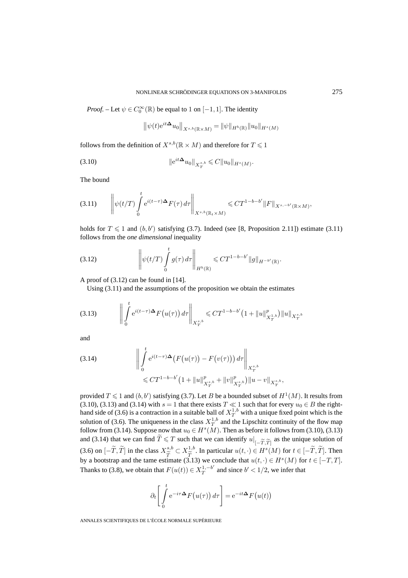*Proof.* – Let  $\psi \in C_0^{\infty}(\mathbb{R})$  be equal to 1 on  $[-1, 1]$ . The identity

$$
\left\|\psi(t)e^{it\Delta}u_0\right\|_{X^{s,b}(\mathbb{R}\times M)} = \|\psi\|_{H^b(\mathbb{R})}\|u_0\|_{H^s(M)}
$$

follows from the definition of  $X^{s,b}({\mathbb R} \times M)$  and therefore for  $T \leqslant 1$ 

(3.10) 
$$
\|e^{it\Delta}u_0\|_{X^{s,b}_T}\leqslant C\|u_0\|_{H^s(M)}.
$$

The bound

$$
(3.11) \qquad \left\| \psi(t/T) \int\limits_{0}^{t} e^{i(t-\tau)\Delta} F(\tau) d\tau \right\|_{X^{s,b}(\mathbb{R}_{t} \times M)} \leqslant C T^{1-b-b'} \|F\|_{X^{s,-b'}(\mathbb{R} \times M)},
$$

holds for  $T \leq 1$  and  $(b, b')$  satisfying (3.7). Indeed (see [8, Proposition 2.11]) estimate (3.11) follows from the *one dimensional* inequality

(3.12) 
$$
\left\| \psi(t/T) \int_{0}^{t} g(\tau) d\tau \right\|_{H^{b}(\mathbb{R})} \leqslant C T^{1-b-b'} \|g\|_{H^{-b'}(\mathbb{R})}.
$$

A proof of (3.12) can be found in [14].

Using (3.11) and the assumptions of the proposition we obtain the estimates

$$
(3.13) \qquad \left\| \int_{0}^{t} e^{i(t-\tau)\Delta} F(u(\tau)) d\tau \right\|_{X^{s,b}_{T}} \leq C T^{1-b-b'} \left( 1 + \|u\|_{X^{1,b}_{T}}^p \right) \|u\|_{X^{s,b}_{T}}
$$

and

(3.14) 
$$
\left\| \int_{0}^{t} e^{i(t-\tau)\Delta} \left( F(u(\tau)) - F(v(\tau)) \right) d\tau \right\|_{X^{s,b}_T} \leq C T^{1-b-b'} \left( 1 + \|u\|_{X^{s,b}_T}^p + \|v\|_{X^{s,b}_T}^p \right) \|u - v\|_{X^{s,b}_T},
$$

provided  $T \leqslant 1$  and  $(b, b')$  satisfying (3.7). Let  $B$  be a bounded subset of  $H^1(M)$ . It results from (3.10), (3.13) and (3.14) with  $s = 1$  that there exists  $T \ll 1$  such that for every  $u_0 \in B$  the righthand side of (3.6) is a contraction in a suitable ball of  $X_T^{1,b}$  with a unique fixed point which is the solution of (3.6). The uniqueness in the class  $X_T^{1,b}$  and the Lipschitz continuity of the flow map follow from (3.14). Suppose now that  $u_0 \in H^s(M)$ . Then as before it follows from (3.10), (3.13) and (3.14) that we can find  $T \leq T$  such that we can identify  $u|_{[-\widetilde{T},\widetilde{T}]}$  as the unique solution of (3.6) on  $[-\tilde{T}, \tilde{T}]$  in the class  $X^{s,b}_{\tilde{T}} \subset X^{1,b}_{\tilde{T}}$ . In particular  $u(t, \cdot) \in H^s(M)$  for  $t \in [-\tilde{T}, \tilde{T}]$ . Then by a bootstrap and the tame estimate (3.13) we conclude that  $u(t, \cdot) \in H^s(M)$  for  $t \in [-T, T]$ . Thanks to (3.8), we obtain that  $F(u(t)) \in X_T^{1,-b'}$  and since  $b' < 1/2$ , we infer that

$$
\partial_t \left[ \int_0^t e^{-i\tau \Delta} F(u(\tau)) d\tau \right] = e^{-it\Delta} F(u(t))
$$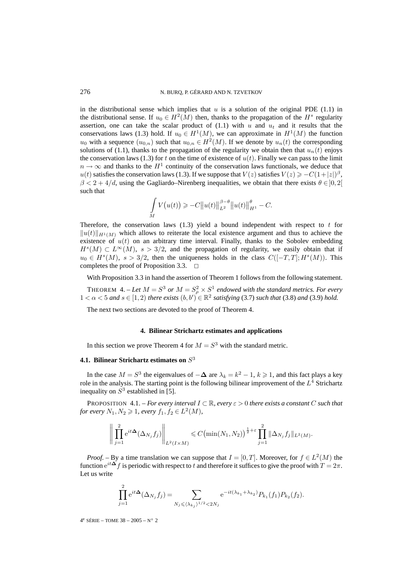in the distributional sense which implies that  $u$  is a solution of the original PDE (1.1) in the distributional sense. If  $u_0 \in H^2(M)$  then, thanks to the propagation of the  $H^s$  regularity assertion, one can take the scalar product of  $(1.1)$  with u and  $u_t$  and it results that the conservations laws (1.3) hold. If  $u_0 \in H^1(M)$ , we can approximate in  $H^1(M)$  the function  $u_0$  with a sequence  $(u_{0,n})$  such that  $u_{0,n} \in H^2(M)$ . If we denote by  $u_n(t)$  the corresponding solutions of (1.1), thanks to the propagation of the regularity we obtain then that  $u_n(t)$  enjoys the conservation laws (1.3) for t on the time of existence of  $u(t)$ . Finally we can pass to the limit  $n \to \infty$  and thanks to the  $H<sup>1</sup>$  continuity of the conservation laws functionals, we deduce that  $u(t)$  satisfies the conservation laws (1.3). If we suppose that  $V(z)$  satisfies  $V(z) \geq -C(1+|z|)^{\beta}$ ,  $\beta < 2 + 4/d$ , using the Gagliardo–Nirenberg inequalities, we obtain that there exists  $\theta \in ]0,2[$ such that

$$
\int_{M} V(u(t)) \geqslant -C \|u(t)\|_{L^{2}}^{\beta-\theta} \|u(t)\|_{H^{1}}^{\theta} - C.
$$

Therefore, the conservation laws  $(1.3)$  yield a bound independent with respect to t for  $||u(t)||_{H^1(M)}$  which allows to reiterate the local existence argument and thus to achieve the existence of  $u(t)$  on an arbitrary time interval. Finally, thanks to the Sobolev embedding  $H<sup>s</sup>(M) \subset L<sup>\infty</sup>(M)$ ,  $s > 3/2$ , and the propagation of regularity, we easily obtain that if  $u_0 \in H<sup>s</sup>(M)$ ,  $s > 3/2$ , then the uniqueness holds in the class  $C([-T,T]; H<sup>s</sup>(M))$ . This completes the proof of Proposition 3.3.  $\Box$ 

With Proposition 3.3 in hand the assertion of Theorem 1 follows from the following statement.

**THEOREM** 4. – Let  $M = S^3$  or  $M = S^2_{\rho} \times S^1$  endowed with the standard metrics. For every  $1 < \alpha < 5$  and  $s \in [1,2)$  there exists  $(b, b') \in \mathbb{R}^2$  satisfying (3.7) such that (3.8) and (3.9) hold.

The next two sections are devoted to the proof of Theorem 4.

#### **4. Bilinear Strichartz estimates and applications**

In this section we prove Theorem 4 for  $M = S<sup>3</sup>$  with the standard metric.

# **4.1. Bilinear Strichartz estimates on**  $S<sup>3</sup>$

In the case  $M = S^3$  the eigenvalues of  $-\Delta$  are  $\lambda_k = k^2 - 1$ ,  $k \ge 1$ , and this fact plays a key role in the analysis. The starting point is the following bilinear improvement of the  $L<sup>4</sup>$  Strichartz inequality on  $S<sup>3</sup>$  established in [5].

PROPOSITION 4.1. – *For every interval*  $I \subset \mathbb{R}$ *, every*  $\varepsilon > 0$  *there exists a constant* C *such that for every*  $N_1, N_2 \geq 1$ , every  $f_1, f_2 \in L^2(M)$ ,

$$
\left\| \prod_{j=1}^{2} e^{it\mathbf{\Delta}}(\Delta_{N_j} f_j) \right\|_{L^2(I \times M)} \leq C \big( \min(N_1, N_2) \big)^{\frac{1}{2} + \varepsilon} \prod_{j=1}^{2} \|\Delta_{N_j} f_j\|_{L^2(M)}.
$$

*Proof.* – By a time translation we can suppose that  $I = [0, T]$ . Moreover, for  $f \in L^2(M)$  the function  $e^{it\Delta} f$  is periodic with respect to t and therefore it suffices to give the proof with  $T = 2\pi$ . Let us write

$$
\prod_{j=1}^{2} e^{it\Delta}(\Delta_{N_j} f_j) = \sum_{N_j \leq \langle \lambda_{k_j} \rangle^{1/2} < 2N_j} e^{-it(\lambda_{k_1} + \lambda_{k_2})} P_{k_1}(f_1) P_{k_2}(f_2).
$$

 $4^e$  SÉRIE – TOME 38 – 2005 – N° 2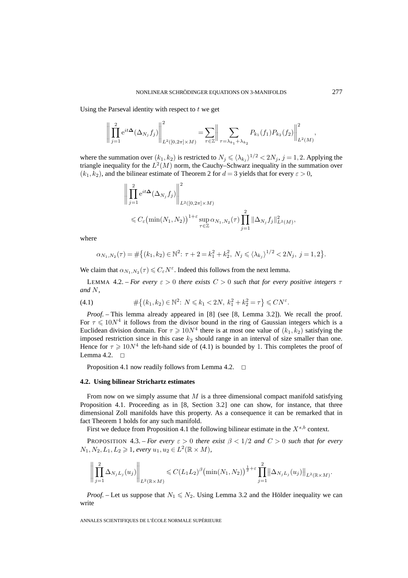Using the Parseval identity with respect to  $t$  we get

$$
\left\| \prod_{j=1}^{2} e^{it\Delta} (\Delta_{N_j} f_j) \right\|_{L^2([0,2\pi]\times M)}^2 = \sum_{\tau \in \mathbb{Z}} \left\| \sum_{\tau = \lambda_{k_1} + \lambda_{k_2}} P_{k_1}(f_1) P_{k_2}(f_2) \right\|_{L^2(M)}^2,
$$

where the summation over  $(k_1, k_2)$  is restricted to  $N_j \leq \langle \lambda_{k_j} \rangle^{1/2} < 2N_j$ ,  $j = 1, 2$ . Applying the triangle inequality for the  $L^2(M)$  norm, the Cauchy–Schwarz inequality in the summation over  $(k_1, k_2)$ , and the bilinear estimate of Theorem 2 for  $d = 3$  yields that for every  $\varepsilon > 0$ ,

$$
\left\| \prod_{j=1}^{2} e^{it\mathbf{\Delta}}(\Delta_{N_j} f_j) \right\|_{L^2([0,2\pi] \times M)}^2
$$
  
\$\leqslant C\_{\varepsilon}(\min(N\_1, N\_2))^{1+\varepsilon} \sup\_{\tau \in \mathbb{Z}} \alpha\_{N\_1,N\_2}(\tau) \prod\_{j=1}^{2} \|\Delta\_{N\_j} f\_j\|\_{L^2(M)}^2,

where

$$
\alpha_{N_1,N_2}(\tau) = \# \big\{ (k_1, k_2) \in \mathbb{N}^2 \colon \tau + 2 = k_1^2 + k_2^2, \ N_j \le \langle \lambda_{k_j} \rangle^{1/2} < 2N_j, \ j = 1, 2 \big\}.
$$

We claim that  $\alpha_{N_1,N_2}(\tau) \leq C_{\varepsilon} N^{\varepsilon}$ . Indeed this follows from the next lemma.

LEMMA 4.2. – *For every*  $\varepsilon > 0$  *there exists*  $C > 0$  *such that for every positive integers*  $\tau$ *and* N*,*

(4.1) 
$$
\#\{(k_1,k_2)\in\mathbb{N}^2\colon N\leq k_1<2N,\ k_1^2+k_2^2=\tau\}\leq CN^{\varepsilon}.
$$

*Proof. –* This lemma already appeared in [8] (see [8, Lemma 3.2]). We recall the proof. For  $\tau \leq 10N^4$  it follows from the divisor bound in the ring of Gaussian integers which is a Euclidean division domain. For  $\tau \geq 10N^4$  there is at most one value of  $(k_1, k_2)$  satisfying the imposed restriction since in this case  $k_2$  should range in an interval of size smaller than one. Hence for  $\tau \geq 10N^4$  the left-hand side of (4.1) is bounded by 1. This completes the proof of Lemma 4.2.  $\Box$ 

Proposition 4.1 now readily follows from Lemma 4.2.  $\Box$ 

#### **4.2. Using bilinear Strichartz estimates**

From now on we simply assume that  $M$  is a three dimensional compact manifold satisfying Proposition 4.1. Proceeding as in [8, Section 3.2] one can show, for instance, that three dimensional Zoll manifolds have this property. As a consequence it can be remarked that in fact Theorem 1 holds for any such manifold.

First we deduce from Proposition 4.1 the following bilinear estimate in the  $X^{s,b}$  context.

PROPOSITION 4.3. – *For every*  $\varepsilon > 0$  *there exist*  $\beta < 1/2$  *and*  $C > 0$  *such that for every*  $N_1, N_2, L_1, L_2 ≥ 1$ , every  $u_1, u_2 ∈ L^2(\mathbb{R} × M)$ ,

$$
\left\| \prod_{j=1}^2 \Delta_{N_j L_j}(u_j) \right\|_{L^2(\mathbb{R} \times M)} \leq C (L_1 L_2)^{\beta} \left( \min(N_1, N_2) \right)^{\frac{1}{2} + \varepsilon} \prod_{j=1}^2 \left\| \Delta_{N_j L_j}(u_j) \right\|_{L^2(\mathbb{R} \times M)}.
$$

*Proof.* – Let us suppose that  $N_1 \leq N_2$ . Using Lemma 3.2 and the Hölder inequality we can write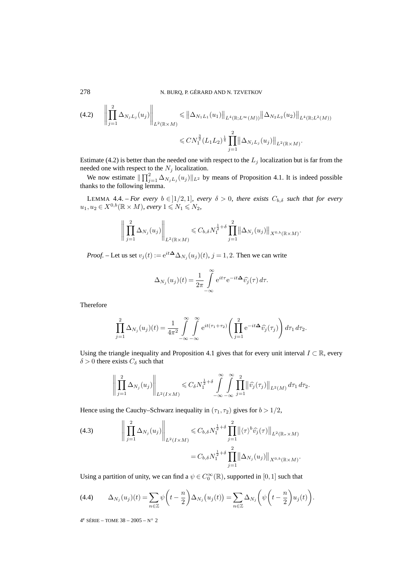$$
(4.2) \qquad \left\| \prod_{j=1}^{2} \Delta_{N_{j}L_{j}}(u_{j}) \right\|_{L^{2}(\mathbb{R} \times M)} \leq \left\| \Delta_{N_{1}L_{1}}(u_{1}) \right\|_{L^{4}(\mathbb{R};L^{\infty}(M))} \left\| \Delta_{N_{2}L_{2}}(u_{2}) \right\|_{L^{4}(\mathbb{R};L^{2}(M))}
$$

$$
\leq CN_{1}^{\frac{3}{2}}(L_{1}L_{2})^{\frac{1}{4}} \prod_{j=1}^{2} \left\| \Delta_{N_{j}L_{j}}(u_{j}) \right\|_{L^{2}(\mathbb{R} \times M)}.
$$

Estimate (4.2) is better than the needed one with respect to the  $L_j$  localization but is far from the needed one with respect to the  $N_j$  localization.

We now estimate  $\|\prod_{j=1}^2 \Delta_{N_jL_j}(u_j)\|_{L^2}$  by means of Proposition 4.1. It is indeed possible thanks to the following lemma.

LEMMA 4.4. – *For every*  $b \in ]1/2,1]$ *, every*  $\delta > 0$ *, there exists*  $C_{b,\delta}$  *such that for every*  $u_1, u_2 \in X^{0,b}(\mathbb{R} \times M)$ , every  $1 \leqslant N_1 \leqslant N_2$ ,

$$
\left\| \prod_{j=1}^2 \Delta_{N_j}(u_j) \right\|_{L^2(\mathbb{R} \times M)} \leq C_{b,\delta} N_1^{\frac{1}{2}+\delta} \prod_{j=1}^2 \left\| \Delta_{N_j}(u_j) \right\|_{X^{0,b}(\mathbb{R} \times M)}.
$$

*Proof.* – Let us set  $v_j(t) := e^{it\Delta} \Delta_{N_j}(u_j)(t)$ ,  $j = 1, 2$ . Then we can write

$$
\Delta_{N_j}(u_j)(t) = \frac{1}{2\pi} \int_{-\infty}^{\infty} e^{it\tau} e^{-it\Delta} \widehat{v_j}(\tau) d\tau.
$$

Therefore

$$
\prod_{j=1}^{2} \Delta_{N_j}(u_j)(t) = \frac{1}{4\pi^2} \int_{-\infty}^{\infty} \int_{-\infty}^{\infty} e^{it(\tau_1 + \tau_2)} \left( \prod_{j=1}^{2} e^{-it\Delta} \widehat{v_j}(\tau_j) \right) d\tau_1 d\tau_2.
$$

Using the triangle inequality and Proposition 4.1 gives that for every unit interval  $I \subset \mathbb{R}$ , every  $\delta > 0$  there exists  $C_{\delta}$  such that

$$
\left\| \prod_{j=1}^2 \Delta_{N_j}(u_j) \right\|_{L^2(I \times M)} \leq C_\delta N_1^{\frac{1}{2}+\delta} \int\limits_{-\infty}^{\infty} \int\limits_{-\infty}^{\infty} \prod_{j=1}^2 \left\| \widehat{v}_j(\tau_j) \right\|_{L^2(M)} d\tau_1 d\tau_2.
$$

Hence using the Cauchy–Schwarz inequality in  $(\tau_1, \tau_2)$  gives for  $b > 1/2$ ,

(4.3) 
$$
\left\| \prod_{j=1}^{2} \Delta_{N_j}(u_j) \right\|_{L^2(I \times M)} \leq C_{b,\delta} N_1^{\frac{1}{2}+\delta} \prod_{j=1}^{2} \left\| \langle \tau \rangle^b \widehat{v_j}(\tau) \right\|_{L^2(\mathbb{R}_{\tau} \times M)} = C_{b,\delta} N_1^{\frac{1}{2}+\delta} \prod_{j=1}^{2} \left\| \Delta_{N_j}(u_j) \right\|_{X^{0,b}(\mathbb{R} \times M)}.
$$

Using a partition of unity, we can find a  $\psi \in C_0^{\infty}(\mathbb{R})$ , supported in  $[0,1]$  such that

(4.4) 
$$
\Delta_{N_j}(u_j)(t) = \sum_{n \in \mathbb{Z}} \psi\left(t - \frac{n}{2}\right) \Delta_{N_j}(u_j(t)) = \sum_{n \in \mathbb{Z}} \Delta_{N_j}\left(\psi\left(t - \frac{n}{2}\right) u_j(t)\right).
$$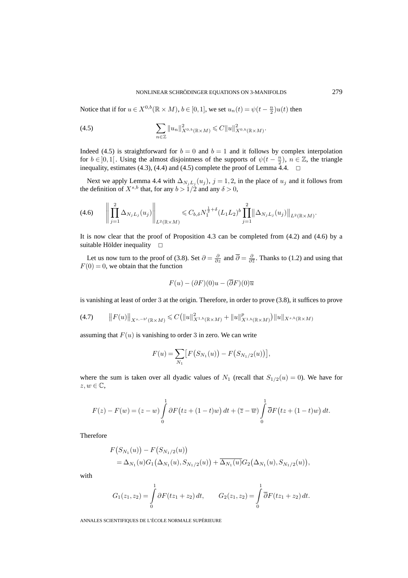Notice that if for  $u \in X^{0,b}(\mathbb{R} \times M)$ ,  $b \in [0,1]$ , we set  $u_n(t) = \psi(t - \frac{n}{2})u(t)$  then

(4.5) 
$$
\sum_{n \in \mathbb{Z}} \|u_n\|_{X^{0,b}(\mathbb{R} \times M)}^2 \leq C \|u\|_{X^{0,b}(\mathbb{R} \times M)}^2.
$$

Indeed (4.5) is straightforward for  $b = 0$  and  $b = 1$  and it follows by complex interpolation for  $b \in ]0,1[$ . Using the almost disjointness of the supports of  $\psi(t-\frac{n}{2})$ ,  $n \in \mathbb{Z}$ , the triangle inequality, estimates (4.3), (4.4) and (4.5) complete the proof of Lemma  $\overline{4.4}$ .  $\Box$ 

Next we apply Lemma 4.4 with  $\Delta_{N_jL_j}(u_j)$ ,  $j = 1, 2$ , in the place of  $u_j$  and it follows from the definition of  $X^{s,b}$  that, for any  $b > 1/2$  and any  $\delta > 0$ ,

$$
(4.6) \qquad \left\| \prod_{j=1}^{2} \Delta_{N_j L_j}(u_j) \right\|_{L^2(\mathbb{R} \times M)} \leq C_{b,\delta} N_1^{\frac{1}{2}+\delta} (L_1 L_2)^{b} \prod_{j=1}^{2} \left\| \Delta_{N_j L_j}(u_j) \right\|_{L^2(\mathbb{R} \times M)}.
$$

It is now clear that the proof of Proposition 4.3 can be completed from (4.2) and (4.6) by a suitable Hölder inequality  $\square$ 

Let us now turn to the proof of (3.8). Set  $\partial = \frac{\partial}{\partial z}$  and  $\overline{\partial} = \frac{\partial}{\partial \overline{z}}$ . Thanks to (1.2) and using that  $F(0) = 0$ , we obtain that the function

$$
F(u) - (\partial F)(0)u - (\overline{\partial}F)(0)\overline{u}
$$

is vanishing at least of order 3 at the origin. Therefore, in order to prove (3.8), it suffices to prove

$$
(4.7) \t\t ||F(u)||_{X^{s,-b'}(\mathbb{R}\times M)} \leq C(||u||_{X^{1,b}(\mathbb{R}\times M)}^2 + ||u||_{X^{1,b}(\mathbb{R}\times M)}^p) ||u||_{X^{s,b}(\mathbb{R}\times M)}
$$

assuming that  $F(u)$  is vanishing to order 3 in zero. We can write

$$
F(u) = \sum_{N_1} \big[ F(S_{N_1}(u)) - F(S_{N_1/2}(u)) \big],
$$

where the sum is taken over all dyadic values of  $N_1$  (recall that  $S_{1/2}(u)=0$ ). We have for  $z,w \in \mathbb{C},$ 

$$
F(z) - F(w) = (z - w) \int_{0}^{1} \partial F(tz + (1 - t)w) dt + (\overline{z} - \overline{w}) \int_{0}^{1} \overline{\partial} F(tz + (1 - t)w) dt.
$$

Therefore

$$
F(S_{N_1}(u)) - F(S_{N_1/2}(u))
$$
  
=  $\Delta_{N_1}(u)G_1(\Delta_{N_1}(u), S_{N_1/2}(u)) + \overline{\Delta_{N_1}(u)}G_2(\Delta_{N_1}(u), S_{N_1/2}(u)),$ 

with

$$
G_1(z_1, z_2) = \int_0^1 \partial F(t z_1 + z_2) dt, \qquad G_2(z_1, z_2) = \int_0^1 \overline{\partial} F(t z_1 + z_2) dt.
$$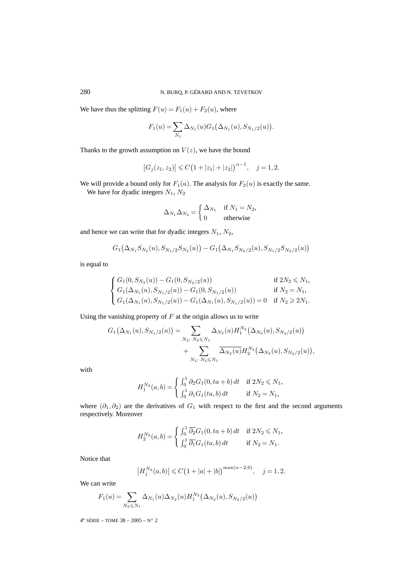We have thus the splitting  $F(u) = F_1(u) + F_2(u)$ , where

$$
F_1(u) = \sum_{N_1} \Delta_{N_1}(u) G_1(\Delta_{N_1}(u), S_{N_1/2}(u)).
$$

Thanks to the growth assumption on  $V(z)$ , we have the bound

$$
|G_j(z_1, z_2)| \leq C \big(1 + |z_1| + |z_2|\big)^{\alpha - 1}, \quad j = 1, 2.
$$

We will provide a bound only for  $F_1(u)$ . The analysis for  $F_2(u)$  is exactly the same. We have for dyadic integers  $N_1$ ,  $N_2$ 

$$
\Delta_{N_1} \Delta_{N_2} = \begin{cases} \Delta_{N_1} & \text{if } N_1 = N_2, \\ 0 & \text{otherwise} \end{cases}
$$

and hence we can write that for dyadic integers  $N_1$ ,  $N_2$ ,

$$
G_1(\Delta_{N_1}S_{N_2}(u),S_{N_1/2}S_{N_2}(u))-G_1(\Delta_{N_1}S_{N_2/2}(u),S_{N_1/2}S_{N_2/2}(u))
$$

is equal to

$$
\begin{cases} G_1(0,S_{N_2}(u))-G_1(0,S_{N_2/2}(u)) & \text{if } 2N_2 \le N_1, \\ G_1(\Delta_{N_1}(u),S_{N_1/2}(u))-G_1(0,S_{N_1/2}(u)) & \text{if } N_2=N_1, \\ G_1(\Delta_{N_1}(u),S_{N_1/2}(u))-G_1(\Delta_{N_1}(u),S_{N_1/2}(u))=0 & \text{if } N_2 \ge 2N_1. \end{cases}
$$

Using the vanishing property of  $F$  at the origin allows us to write

$$
G_1(\Delta_{N_1}(u), S_{N_1/2}(u)) = \sum_{N_2 \colon N_2 \le N_1} \Delta_{N_2}(u) H_1^{N_2}(\Delta_{N_2}(u), S_{N_2/2}(u)) + \sum_{N_2 \colon N_2 \le N_1} \overline{\Delta_{N_2}(u)} H_2^{N_2}(\Delta_{N_2}(u), S_{N_2/2}(u)),
$$

with

$$
H_1^{N_2}(a,b) = \begin{cases} \int_0^1 \partial_2 G_1(0, ta+b) dt & \text{if } 2N_2 \le N_1, \\ \int_0^1 \partial_1 G_1(ta,b) dt & \text{if } N_2 = N_1, \end{cases}
$$

where  $(\partial_1, \partial_2)$  are the derivatives of  $G_1$  with respect to the first and the second arguments respectively. Moreover

$$
H_2^{N_2}(a,b) = \begin{cases} \int_0^1 \overline{\partial_2} G_1(0, ta+b) dt & \text{if } 2N_2 \le N_1, \\ \int_0^1 \overline{\partial_1} G_1(ta, b) dt & \text{if } N_2 = N_1. \end{cases}
$$

Notice that

$$
|H_j^{N_2}(a,b)| \leq C(1+|a|+|b|)^{\max(\alpha-2,0)}, \quad j=1,2.
$$

We can write

$$
F_1(u) = \sum_{N_2 \leq N_1} \Delta_{N_1}(u) \Delta_{N_2}(u) H_1^{N_2}(\Delta_{N_2}(u), S_{N_2/2}(u))
$$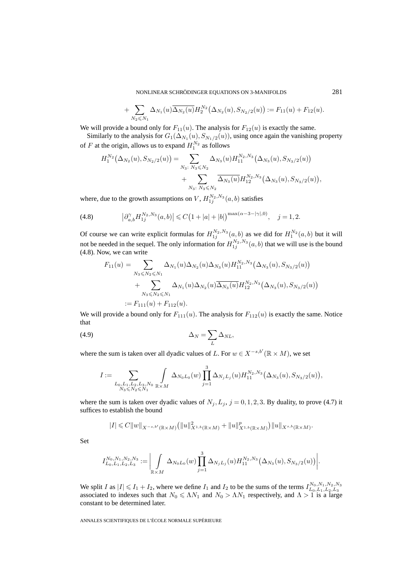NONLINEAR SCHRÖDINGER EQUATIONS ON 3-MANIFOLDS 281

+ 
$$
\sum_{N_2 \le N_1} \Delta_{N_1}(u) \overline{\Delta_{N_2}(u)} H_2^{N_2}(\Delta_{N_2}(u), S_{N_2/2}(u)) := F_{11}(u) + F_{12}(u).
$$

We will provide a bound only for  $F_{11}(u)$ . The analysis for  $F_{12}(u)$  is exactly the same.

Similarly to the analysis for  $G_1(\Delta_{N_1}(u), S_{N_1/2}(u))$ , using once again the vanishing property of F at the origin, allows us to expand  $H_1^{N_2}$  as follows

$$
H_1^{N_2}(\Delta_{N_2}(u), S_{N_2/2}(u)) = \sum_{N_3: N_3 \le N_2} \Delta_{N_3}(u) H_{11}^{N_2, N_3}(\Delta_{N_3}(u), S_{N_3/2}(u)) + \sum_{N_3: N_3 \le N_2} \overline{\Delta_{N_3}(u)} H_{12}^{N_2, N_3}(\Delta_{N_3}(u), S_{N_3/2}(u)),
$$

where, due to the growth assumptions on  $V$ ,  $H_{1j}^{N_2,N_3}(a,b)$  satisfies

(4.8) 
$$
\left|\partial_{a,b}^{\gamma}H_{1j}^{N_2,N_3}(a,b)\right| \leqslant C\left(1+|a|+|b|\right)^{\max(\alpha-3-|\gamma|,0)}, \quad j=1,2.
$$

Of course we can write explicit formulas for  $H_{1j}^{N_2,N_3}(a,b)$  as we did for  $H_1^{N_2}(a,b)$  but it will not be needed in the sequel. The only information for  $H_{1j}^{N_2,N_3}(a,b)$  that we will use is the bound (4.8). Now, we can write

$$
F_{11}(u) = \sum_{N_3 \le N_2 \le N_1} \Delta_{N_1}(u) \Delta_{N_2}(u) \Delta_{N_3}(u) H_{11}^{N_2, N_3}(\Delta_{N_3}(u), S_{N_3/2}(u)) + \sum_{N_3 \le N_2 \le N_1} \Delta_{N_1}(u) \Delta_{N_2}(u) \overline{\Delta_{N_3}(u)} H_{12}^{N_2, N_3}(\Delta_{N_3}(u), S_{N_3/2}(u))
$$
  
:=  $F_{111}(u) + F_{112}(u)$ .

We will provide a bound only for  $F_{111}(u)$ . The analysis for  $F_{112}(u)$  is exactly the same. Notice that

$$
\Delta_N = \sum_L \Delta_{NL},
$$

where the sum is taken over all dyadic values of L. For  $w \in X^{-s,b'}(\mathbb{R} \times M)$ , we set

$$
I:=\sum_{\substack{L_0,L_1,L_2,L_3,N_0\\N_3\leqslant N_2\leqslant N_1}}\int\limits_{\mathbb{R}\times M}\Delta_{N_0L_0}(w)\prod_{j=1}^3\Delta_{N_jL_j}(u)H_{11}^{N_2,N_3}\big(\Delta_{N_3}(u),S_{N_3/2}(u)\big),
$$

where the sum is taken over dyadic values of  $N_j, L_j, j = 0, 1, 2, 3$ . By duality, to prove (4.7) it suffices to establish the bound

$$
|I| \leq C||w||_{X^{-s,b'}(\mathbb{R}\times M)} (||u||_{X^{1,b}(\mathbb{R}\times M)}^2 + ||u||_{X^{1,b}(\mathbb{R}\times M)}^p) ||u||_{X^{s,b}(\mathbb{R}\times M)}.
$$

Set

$$
I_{L_0,L_1,L_2,L_3}^{N_0,N_1,N_2,N_3} := \bigg|\int\limits_{\mathbb{R}\times M} \Delta_{N_0L_0}(w) \prod_{j=1}^3 \Delta_{N_jL_j}(u) H_{11}^{N_2,N_3}(\Delta_{N_3}(u),S_{N_3/2}(u)) \bigg|.
$$

We split I as  $|I| \le I_1 + I_2$ , where we define  $I_1$  and  $I_2$  to be the sums of the terms  $I_{L_0, L_1, L_2, L_3}^{N_0, N_1, N_2, N_3}$  associated to indexes such that  $N_0 \le \Lambda N_1$  and  $N_0 > \Lambda N_1$  respectively, and  $\Lambda > 1$  is a l constant to be determined later.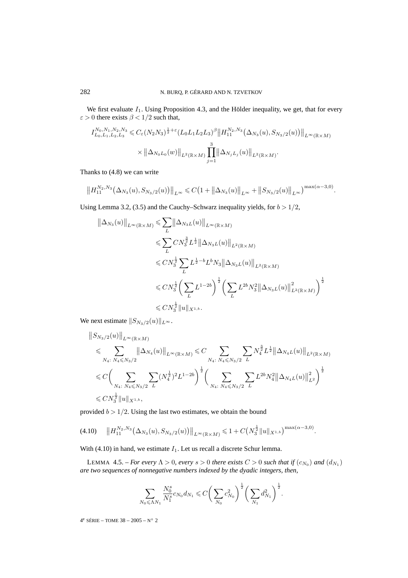We first evaluate  $I_1$ . Using Proposition 4.3, and the Hölder inequality, we get, that for every  $\varepsilon > 0$  there exists  $\beta < 1/2$  such that,

$$
I_{L_0, L_1, L_2, L_3}^{N_0, N_1, N_2, N_3} \leq C_{\varepsilon} (N_2 N_3)^{\frac{1}{2} + \varepsilon} (L_0 L_1 L_2 L_3)^{\beta} \| H_{11}^{N_2, N_3}(\Delta_{N_3}(u), S_{N_3/2}(u)) \|_{L^{\infty}(\mathbb{R} \times M)} \times \| \Delta_{N_0 L_0}(w) \|_{L^2(\mathbb{R} \times M)} \prod_{j=1}^3 \| \Delta_{N_j L_j}(u) \|_{L^2(\mathbb{R} \times M)}.
$$

Thanks to (4.8) we can write

$$
||H_{11}^{N_2,N_3}(\Delta_{N_3}(u),S_{N_3/2}(u))||_{L^{\infty}} \leq C\big(1+||\Delta_{N_3}(u)||_{L^{\infty}}+||S_{N_3/2}(u)||_{L^{\infty}}\big)^{\max(\alpha-3,0)}.
$$

Using Lemma 3.2, (3.5) and the Cauchy–Schwarz inequality yields, for  $b > 1/2$ ,

$$
\|\Delta_{N_3}(u)\|_{L^{\infty}(\mathbb{R}\times M)} \leqslant \sum_{L} \|\Delta_{N_3L}(u)\|_{L^{\infty}(\mathbb{R}\times M)}
$$
  

$$
\leqslant \sum_{L} CN_3^{\frac{3}{2}} L^{\frac{1}{2}} \|\Delta_{N_3L}(u)\|_{L^2(\mathbb{R}\times M)}
$$
  

$$
\leqslant CN_3^{\frac{1}{2}} \sum_{L} L^{\frac{1}{2}-b} L^b N_3 \|\Delta_{N_3L}(u)\|_{L^2(\mathbb{R}\times M)}
$$
  

$$
\leqslant CN_3^{\frac{1}{2}} \Big( \sum_{L} L^{1-2b} \Big)^{\frac{1}{2}} \Big( \sum_{L} L^{2b} N_3^2 \|\Delta_{N_3L}(u)\|_{L^2(\mathbb{R}\times M)}^2 \Big)^{\frac{1}{2}}
$$
  

$$
\leqslant CN_3^{\frac{1}{2}} \|u\|_{X^{1,b}}.
$$

We next estimate  $||S_{N_3/2}(u)||_{L^{\infty}}$ .

$$
\label{eq:3.1} \begin{split} &\left\|S_{N_3/2}(u)\right\|_{L^\infty(\mathbb{R}\times M)}\\ &\leqslant \sum_{N_4:\ N_4\leqslant N_3/2}\left\|\Delta_{N_4}(u)\right\|_{L^\infty(\mathbb{R}\times M)}\leqslant C\sum_{N_4:\ N_4\leqslant N_3/2}\sum_{L}N_4^{\frac{3}{2}}L^{\frac{1}{2}}\left\|\Delta_{N_4L}(u)\right\|_{L^2(\mathbb{R}\times M)}\\ &\leqslant C\bigg(\sum_{N_4:\ N_4\leqslant N_3/2}\sum_{L}(N_4^{\frac{1}{2}})^2L^{1-2b}\bigg)^{\frac{1}{2}}\bigg(\sum_{N_4:\ N_4\leqslant N_3/2}\sum_{L}L^{2b}N_4^2\left\|\Delta_{N_4L}(u)\right\|_{L^2}^2\bigg)^{\frac{1}{2}}\\ &\leqslant CN_3^{\frac{1}{2}}\|u\|_{X^{1,b}}, \end{split}
$$

provided  $b > 1/2$ . Using the last two estimates, we obtain the bound

$$
(4.10) \t\t ||H_{11}^{N_2,N_3}(\Delta_{N_3}(u),S_{N_3/2}(u))||_{L^{\infty}(\mathbb{R}\times M)} \leq 1+C\big(N_3^{\frac{1}{2}}\|u\|_{X^{1,b}}\big)^{\max(\alpha-3,0)}.
$$

With (4.10) in hand, we estimate  $I_1$ . Let us recall a discrete Schur lemma.

LEMMA 4.5. – *For every*  $\Lambda > 0$ , every  $s > 0$  there exists  $C > 0$  such that if  $(c_{N_0})$  and  $(d_{N_1})$ *are two sequences of nonnegative numbers indexed by the dyadic integers, then,*

$$
\sum_{N_0 \leqslant \Lambda N_1} \frac{N_0^s}{N_1^s} c_{N_0} d_{N_1} \leqslant C \bigg( \sum_{N_0} c_{N_0}^2 \bigg)^{\frac{1}{2}} \bigg( \sum_{N_1} d_{N_1}^2 \bigg)^{\frac{1}{2}}.
$$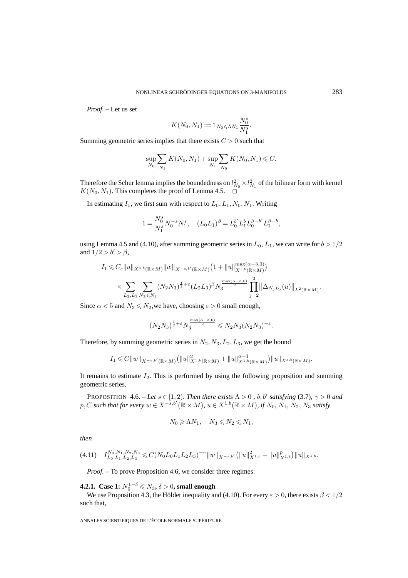*Proof. –* Let us set

$$
K(N_0, N_1) := \mathbb{1}_{N_0 \leqslant \Lambda N_1} \frac{N_0^s}{N_1^s}.
$$

Summing geometric series implies that there exists  $C > 0$  such that

$$
\sup_{N_0} \sum_{N_1} K(N_0, N_1) + \sup_{N_1} \sum_{N_0} K(N_0, N_1) \leq C.
$$

Therefore the Schur lemma implies the boundedness on  $l_{N_0}^2 \times l_{N_1}^2$  of the bilinear form with kernel  $K(N_0, N_1)$ . This completes the proof of Lemma 4.5.  $\Box$ 

In estimating  $I_1$ , we first sum with respect to  $L_0, L_1, N_0, N_1$ . Writing

$$
1 = \frac{N_0^s}{N_1^s} N_0^{-s} N_1^s, \quad (L_0 L_1)^\beta = L_0^{b'} L_1^b L_0^{\beta - b'} L_1^{\beta - b},
$$

using Lemma 4.5 and (4.10), after summing geometric series in  $L_0$ ,  $L_1$ , we can write for  $b > 1/2$ and  $1/2 > b' > \beta$ ,

$$
I_1 \leq C_{\varepsilon} \|u\|_{X^{s,b}(\mathbb{R}\times M)} \|w\|_{X^{-s,b'}(\mathbb{R}\times M)} (1 + \|u\|_{X^{1,b}(\mathbb{R}\times M)}^{\max(\alpha-3,0)})
$$
  

$$
\times \sum_{L_2, L_3} \sum_{N_3 \leq N_2} (N_2 N_3)^{\frac{1}{2} + \varepsilon} (L_2 L_3)^{\beta} N_3^{\frac{\max(\alpha-3,0)}{2}} \prod_{j=2}^3 \|\Delta_{N_j L_j}(u)\|_{L^2(\mathbb{R}\times M)}.
$$

Since  $\alpha < 5$  and  $N_3 \le N_2$ , we have, choosing  $\varepsilon > 0$  small enough,

$$
(N_2N_3)^{\frac{1}{2}+\varepsilon}N_3^{\frac{\max(\alpha-3,0)}{2}} \leqslant N_2N_3(N_2N_3)^{-\varepsilon}.
$$

Therefore, by summing geometric series in  $N_2, N_3, L_2, L_3$ , we get the bound

$$
I_1 \leq C||w||_{X^{-s,b'}(\mathbb{R}\times M)} (||u||^2_{X^{1,b}(\mathbb{R}\times M)} + ||u||^{1-1}_{X^{1,b}(\mathbb{R}\times M)})||u||_{X^{s,b}(\mathbb{R}\times M)}.
$$

It remains to estimate  $I_2$ . This is performed by using the following proposition and summing geometric series.

PROPOSITION 4.6. – *Let*  $s \in [1, 2)$ *. Then there exists*  $\Lambda > 0$ *, b, b' satisfying* (3.7)*,*  $\gamma > 0$  *and*  $p, C$  such that for every  $w \in X^{-s,b'}(\mathbb{R} \times M)$ ,  $u \in X^{1,b}(\mathbb{R} \times M)$ , if  $N_0$ ,  $N_1$ ,  $N_2$ ,  $N_3$  satisfy

$$
N_0 \geqslant \Lambda N_1, \quad N_3 \leqslant N_2 \leqslant N_1,
$$

*then*

$$
(4.11) \quad I_{L_0, L_1, L_2, L_3}^{N_0, N_1, N_2, N_3} \leq C(N_0 L_0 L_1 L_2 L_3)^{-\gamma} \|w\|_{X^{-s,b'}} \left( \|u\|_{X^{1,b}}^2 + \|u\|_{X^{1,b}}^p \right) \|u\|_{X^{s,b}}.
$$

*Proof.* – To prove Proposition 4.6, we consider three regimes:

**4.2.1.** Case 1:  $N_0^{1-\delta}$  ≤  $N_3$ ,  $\delta$  > 0, small enough

We use Proposition 4.3, the Hölder inequality and (4.10). For every  $\varepsilon > 0$ , there exists  $\beta < 1/2$ such that,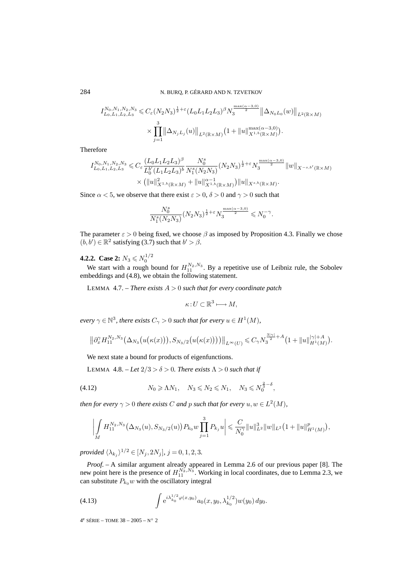$$
I_{L_0, L_1, L_2, L_3}^{N_0, N_1, N_2, N_3} \leq C_{\varepsilon} (N_2 N_3)^{\frac{1}{2} + \varepsilon} (L_0 L_1 L_2 L_3)^{\beta} N_3^{\frac{\max(\alpha - 3, 0)}{2}} \left\| \Delta_{N_0 L_0}(w) \right\|_{L^2(\mathbb{R} \times M)} \times \prod_{j=1}^3 \left\| \Delta_{N_j L_j}(u) \right\|_{L^2(\mathbb{R} \times M)} (1 + \|u\|_{X^{1, b}(\mathbb{R} \times M)}^{\max(\alpha - 3, 0)}).
$$

Therefore

$$
I_{L_0, L_1, L_2, L_3}^{N_0, N_1, N_2, N_3} \leq C_{\varepsilon} \frac{(L_0 L_1 L_2 L_3)^{\beta}}{L_0^{b'} (L_1 L_2 L_3)^{b}} \frac{N_0^{s}}{N_1^{s} (N_2 N_3)} (N_2 N_3)^{\frac{1}{2} + \varepsilon} N_3^{\frac{\max(\alpha - 3, 0)}{2}} \|w\|_{X^{-s, b'}(\mathbb{R} \times M)} \times (\|u\|_{X^{1, b}(\mathbb{R} \times M)}^2 + \|u\|_{X^{1, b}(\mathbb{R} \times M)}^{\alpha - 1}) \|u\|_{X^{s, b}(\mathbb{R} \times M)}.
$$

Since  $\alpha$  < 5, we observe that there exist  $\varepsilon > 0$ ,  $\delta > 0$  and  $\gamma > 0$  such that

$$
\frac{N_0^s}{N_1^s(N_2N_3)}\big(N_2N_3\big)^{\frac{1}{2}+\varepsilon}N_3^{\frac{\max(\alpha-3,0)}{2}}\leqslant N_0^{-\gamma}.
$$

The parameter  $\varepsilon > 0$  being fixed, we choose  $\beta$  as imposed by Proposition 4.3. Finally we chose  $(b, b') \in \mathbb{R}^2$  satisfying (3.7) such that  $b' > \beta$ .

**4.2.2.** Case 2:  $N_3 \leq N_0^{1/2}$ 

We start with a rough bound for  $H_{11}^{N_2,N_3}$ . By a repetitive use of Leibniz rule, the Sobolev embeddings and (4.8), we obtain the following statement.

LEMMA 4.7. – *There exists* A > 0 *such that for every coordinate patch*

$$
\kappa: U \subset \mathbb{R}^3 \longmapsto M,
$$

*every*  $\gamma \in \mathbb{N}^3$ *, there exists*  $C_{\gamma} > 0$  *such that for every*  $u \in H^1(M)$ *,* 

$$
\left\|\partial_x^{\gamma} H_{11}^{N_2,N_3}\big(\Delta_{N_3}\big(u(\kappa(x)\big)\big),S_{N_3/2}\big(u(\kappa(x)\big)\big)\big)\right\|_{L^{\infty}(U)} \leqslant C_{\gamma} N_3^{\frac{3|\gamma|}{2}+A}\big(1+\|u\|_{H^1(M)}^{|\gamma|+A}\big).
$$

We next state a bound for products of eigenfunctions.

LEMMA 4.8. – Let  $2/3 > \delta > 0$ . There exists  $\Lambda > 0$  such that if

(4.12) 
$$
N_0 \ge \Lambda N_1, \quad N_3 \le N_2 \le N_1, \quad N_3 \le N_0^{\frac{2}{3}-\delta},
$$

*then for every*  $\gamma > 0$  *there exists* C *and* p *such that for every*  $u, w \in L^2(M)$ *,* 

$$
\left| \int\limits_M H_{11}^{N_2,N_3}(\Delta_{N_3}(u),S_{N_3/2}(u)) P_{k_0} w \prod_{j=1}^3 P_{k_j} u \right| \leqslant \frac{C}{N_0^{\gamma}} \|u\|_{L^2}^3 \|w\|_{L^2} \big(1 + \|u\|_{H^1(M)}^p\big),
$$

*provided*  $\langle \lambda_{k_i} \rangle^{1/2} \in [N_j, 2N_j], j = 0, 1, 2, 3.$ 

*Proof. –* A similar argument already appeared in Lemma 2.6 of our previous paper [8]. The new point here is the presence of  $H_{11}^{N_2,N_3}$ . Working in local coordinates, due to Lemma 2.3, we can substitute  $P_{k_0}w$  with the oscillatory integral

(4.13) 
$$
\int e^{i\lambda_{k_0}^{1/2}\varphi(x,y_0)}a_0(x,y_0,\lambda_{k_0}^{1/2})w(y_0) dy_0.
$$

 $4^e$  SÉRIE – TOME 38 – 2005 – N° 2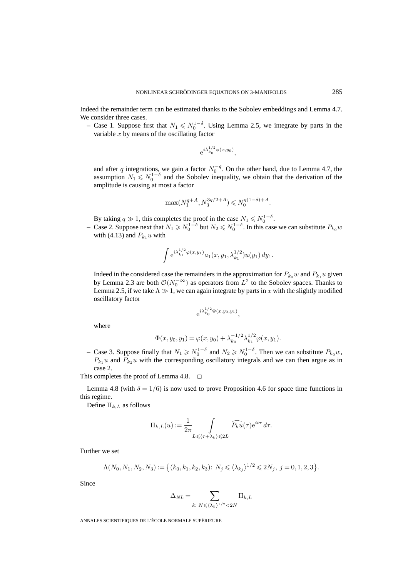Indeed the remainder term can be estimated thanks to the Sobolev embeddings and Lemma 4.7. We consider three cases.

– Case 1. Suppose first that  $N_1 \leq N_0^{1-\delta}$ . Using Lemma 2.5, we integrate by parts in the variable  $x$  by means of the oscillating factor

$$
e^{i\lambda_{k_0}^{1/2}\varphi(x,y_0)},
$$

and after q integrations, we gain a factor  $N_0^{-q}$ . On the other hand, due to Lemma 4.7, the assumption  $N_1 \leq N_0^{1-\delta}$  and the Sobolev inequality, we obtain that the derivation of the amplitude is causing at most a factor

$$
\max(N_1^{q+A},N_3^{3q/2+A})\leqslant N_0^{q(1-\delta)+A}.
$$

By taking  $q \gg 1$ , this completes the proof in the case  $N_1 \leq N_0^{1-\delta}$ .

– Case 2. Suppose next that  $N_1 \geq N_0^{1-\delta}$  but  $N_2 \leq N_0^{1-\delta}$ . In this case we can substitute  $P_{k_0}w$ with (4.13) and  $P_{k_1} u$  with

$$
\int e^{i\lambda_{k_1}^{1/2}\varphi(x,y_1)}a_1(x,y_1,\lambda_{k_1}^{1/2})u(y_1)\,dy_1.
$$

Indeed in the considered case the remainders in the approximation for  $P_{k_0}w$  and  $P_{k_1}u$  given by Lemma 2.3 are both  $\mathcal{O}(N_0^{-\infty})$  as operators from  $L^2$  to the Sobolev spaces. Thanks to Lemma 2.5, if we take  $\Lambda \gg 1$ , we can again integrate by parts in x with the slightly modified oscillatory factor

$$
e^{i\lambda_{k_0}^{1/2}\Phi(x,y_0,y_1)},
$$

where

$$
\Phi(x, y_0, y_1) = \varphi(x, y_0) + \lambda_{k_0}^{-1/2} \lambda_{k_1}^{1/2} \varphi(x, y_1).
$$

– Case 3. Suppose finally that  $N_1 \ge N_0^{1-\delta}$  and  $N_2 \ge N_0^{1-\delta}$ . Then we can substitute  $P_{k_0}$ w,  $P_{k_1}u$  and  $P_{k_2}u$  with the corresponding oscillatory integrals and we can then argue as in case 2.

This completes the proof of Lemma 4.8.  $\Box$ 

Lemma 4.8 (with  $\delta = 1/6$ ) is now used to prove Proposition 4.6 for space time functions in this regime.

Define  $\Pi_{k,L}$  as follows

$$
\Pi_{k,L}(u) := \frac{1}{2\pi} \int\limits_{L \leqslant \langle \tau + \lambda_k \rangle \leqslant 2L} \widehat{P_k u}(\tau) e^{it\tau} d\tau.
$$

Further we set

$$
\Lambda(N_0, N_1, N_2, N_3) := \left\{ (k_0, k_1, k_2, k_3) : N_j \leq \langle \lambda_{k_j} \rangle^{1/2} \leq 2N_j, \ j = 0, 1, 2, 3 \right\}.
$$

Since

$$
\Delta_{NL} = \sum_{k: N \leq \langle \lambda_k \rangle^{1/2} < 2N} \Pi_{k,L}
$$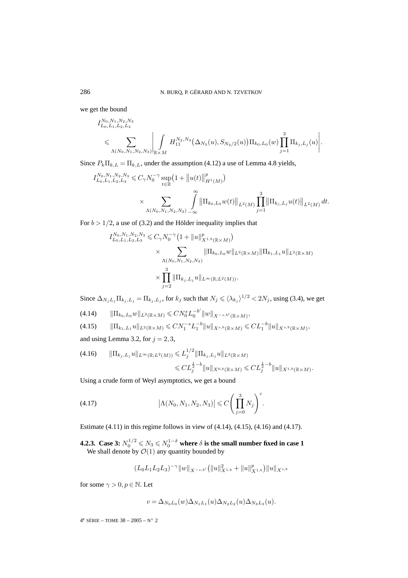we get the bound

$$
\begin{split} &I^{N_0,N_1,N_2,N_3}_{L_0,L_1,L_2,L_3} \\ &\leqslant \sum_{\Lambda(N_0,N_1,N_2,N_3)}\Bigg|\int\limits_{\mathbb{R}\times M}H^{N_2,N_3}_{11}\big(\Delta_{N_3}(u),S_{N_3/2}(u)\big)\Pi_{k_0,L_0}(w)\prod\limits_{j=1}^3\Pi_{k_j,L_j}(u)\Bigg|\,.\end{split}
$$

Since  $P_k \Pi_{k,L} = \Pi_{k,L}$ , under the assumption (4.12) a use of Lemma 4.8 yields,

$$
I_{L_0, L_1, L_2, L_3}^{N_0, N_1, N_2, N_3} \leq C_{\gamma} N_0^{-\gamma} \sup_{t \in \mathbb{R}} \left( 1 + \left\| u(t) \right\|_{H^1(M)}^p \right)
$$
  
\$\times \sum\_{\Lambda(N\_0, N\_1, N\_2, N\_3)} \int\_{-\infty}^{\infty} \left\| \Pi\_{k\_0, L\_0} w(t) \right\|\_{L^2(M)} \prod\_{j=1}^3 \left\| \Pi\_{k\_j, L\_j} u(t) \right\|\_{L^2(M)} dt.

For  $b > 1/2$ , a use of (3.2) and the Hölder inequality implies that

$$
I_{L_0, L_1, L_2, L_3}^{N_0, N_1, N_2, N_3} \leq C_{\gamma} N_0^{-\gamma} \left( 1 + ||u||_{X^{1, b}(\mathbb{R} \times M)}^p \right)
$$
  
\$\times \sum\_{\Lambda(N\_0, N\_1, N\_2, N\_3)} ||\Pi\_{k\_0, L\_0} w||\_{L^2(\mathbb{R} \times M)} ||\Pi\_{k\_1, L\_1} u||\_{L^2(\mathbb{R} \times M)}\$  
\$\times \prod\_{j=2}^3 ||\Pi\_{k\_j, L\_j} u||\_{L^\infty(\mathbb{R}; L^2(M))}\$.

Since  $\Delta_{N_jL_j}\Pi_{k_j,L_j} = \Pi_{k_j,L_j}$ , for  $k_j$  such that  $N_j \leq \langle \lambda_{k_j} \rangle^{1/2} < 2N_j$ , using (3.4), we get

$$
(4.14) \t\t ||\Pi_{k_0, L_0} w||_{L^2(\mathbb{R} \times M)} \leqslant C N_0^s L_0^{-b'} \|w\|_{X^{-s,b'}(\mathbb{R} \times M)},
$$

$$
(4.15) \t\t ||\Pi_{k_1,L_1}u||_{L^2(\mathbb{R}\times M)} \leq C N_1^{-s} L_1^{-b} ||u||_{X^{s,b}(\mathbb{R}\times M)} \leq C L_1^{-b} ||u||_{X^{s,b}(\mathbb{R}\times M)},
$$

and using Lemma 3.2, for  $j = 2, 3$ ,

$$
(4.16) \t ||\Pi_{k_j, L_j} u||_{L^{\infty}(\mathbb{R}; L^2(M))} \leq L_j^{1/2} \|\Pi_{k_j, L_j} u\|_{L^2(\mathbb{R} \times M)} \leq C L_j^{\frac{1}{2} - b} \|u\|_{X^{0,b}(\mathbb{R} \times M)} \leq C L_j^{\frac{1}{2} - b} \|u\|_{X^{1,b}(\mathbb{R} \times M)}.
$$

Using a crude form of Weyl asymptotics, we get a bound

(4.17) 
$$
|\Lambda(N_0, N_1, N_2, N_3)| \leq C \left( \prod_{j=0}^3 N_j \right)^c.
$$

Estimate (4.11) in this regime follows in view of (4.14), (4.15), (4.16) and (4.17).

**4.2.3.** Case 3:  $N_0^{1/2} \leqslant N_3 \leqslant N_0^{1-\delta}$  where  $\delta$  is the small number fixed in case 1 We shall denote by  $\mathcal{O}(1)$  any quantity bounded by

$$
(L_0L_1L_2L_3)^{-\gamma}||w||_{X^{-s,b'}}(||u||^2_{X^{1,b}}+||u||^p_{X^{1,b}})||u||_{X^{s,b}}
$$

for some  $\gamma > 0, p \in \mathbb{N}$ . Let

$$
v = \Delta_{N_0 L_0}(w) \Delta_{N_1 L_1}(u) \Delta_{N_2 L_2}(u) \Delta_{N_3 L_3}(u).
$$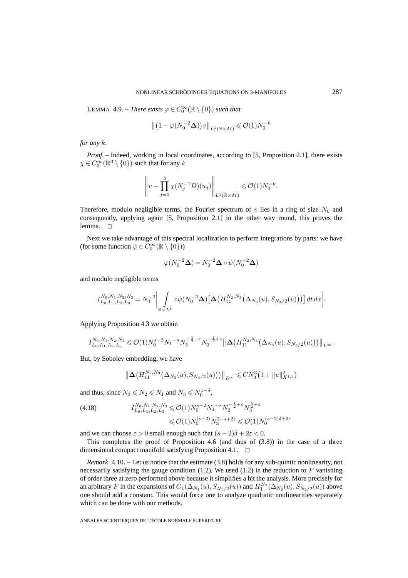LEMMA 4.9. – *There exists*  $\varphi \in C_0^{\infty}(\mathbb{R} \setminus \{0\})$  *such that* 

$$
\left\| \left( 1 - \varphi(N_0^{-2} \Delta) \right) v \right\|_{L^1(\mathbb{R} \times M)} \leqslant \mathcal{O}(1) N_0^{-k}
$$

*for any* k*.*

*Proof. –* Indeed, working in local coordinates, according to [5, Proposition 2.1], there exists  $\chi \in C_0^{\infty}(\mathbb{R}^3 \setminus \{0\})$  such that for any  $k$ 

$$
\left\|v - \prod_{j=0}^3 \chi(N_j^{-1}D)(u_j)\right\|_{L^1(\mathbb{R}\times M)} \leqslant \mathcal{O}(1)N_0^{-k}.
$$

Therefore, modulo negligible terms, the Fourier spectrum of  $v$  lies in a ring of size  $N_0$  and consequently, applying again [5, Proposition 2.1] in the other way round, this proves the lemma.  $\square$ 

Next we take advantage of this spectral localization to perform integrations by parts: we have (for some function  $\psi \in C_0^{\infty}(\mathbb{R} \setminus \{0\})$ )

$$
\varphi(N_0^{-2}\Delta) = N_0^{-2}\Delta \circ \psi(N_0^{-2}\Delta)
$$

and modulo negligible terms

$$
I_{L_0, L_1, L_2, L_3}^{N_0, N_1, N_2, N_3} = N_0^{-2} \bigg| \int_{\mathbb{R} \times M} v \psi(N_0^{-2} \Delta) \big[ \Delta \big( H_{11}^{N_2, N_3} \big( \Delta_{N_3}(u), S_{N_3/2}(u) \big) \big) \big] dt \, dx \bigg|.
$$

Applying Proposition 4.3 we obtain

$$
I_{L_0, L_1, L_2, L_3}^{N_0, N_1, N_2, N_3} \leqslant \mathcal{O}(1) N_0^{s-2} N_1^{-s} N_2^{-\frac{1}{2} + \varepsilon} N_3^{-\frac{1}{2} + \varepsilon} \left\| \Delta \left( H_{11}^{N_2, N_3} \left( \Delta_{N_3}(u), S_{N_3/2}(u) \right) \right) \right\|_{L^\infty}.
$$

But, by Sobolev embedding, we have

$$
\left\| \mathbf{\Delta} \left( H_{11}^{N_2,N_3} \big( \Delta_{N_3}(u), S_{N_3/2}(u) \big) \right) \right\|_{L^\infty} \leqslant C N_3^3 \big( 1 + \|u\|_{X^{1,b}}^2 \big)
$$

and thus, since  $N_3 \le N_2 \le N_1$  and  $N_3 \le N_0^{1-\delta}$ ,

$$
(4.18) \tI_{L_0, L_1, L_2, L_3}^{N_0, N_1, N_2, N_3} \leq \mathcal{O}(1) N_0^{s-2} N_1^{-s} N_2^{-\frac{1}{2} + \varepsilon} N_3^{\frac{5}{2} + \varepsilon}
$$
  
\$\leq \mathcal{O}(1) N\_0^{(s-2)} N\_3^{2-s+2\varepsilon} \leq \mathcal{O}(1) N\_0^{(s-2)\delta + 2\varepsilon}

and we can choose  $\varepsilon > 0$  small enough such that  $(s - 2)\delta + 2\varepsilon < 0$ .

This completes the proof of Proposition 4.6 (and thus of  $(3.8)$ ) in the case of a three dimensional compact manifold satisfying Proposition 4.1.  $\Box$ 

*Remark* 4.10. – Let us notice that the estimate (3.8) holds for any sub-quintic nonlinearity, not necessarily satisfying the gauge condition (1.2). We used (1.2) in the reduction to  $F$  vanishing of order three at zero performed above because it simplifies a bit the analysis. More precisely for an arbitrary F in the expansions of  $G_1(\Delta_{N_1}(u), S_{N_1/2}(u))$  and  $H_1^{N_2}(\Delta_{N_2}(u), S_{N_2/2}(u))$  above one should add a constant. This would force one to analyze quadratic nonlinearities separately which can be done with our methods.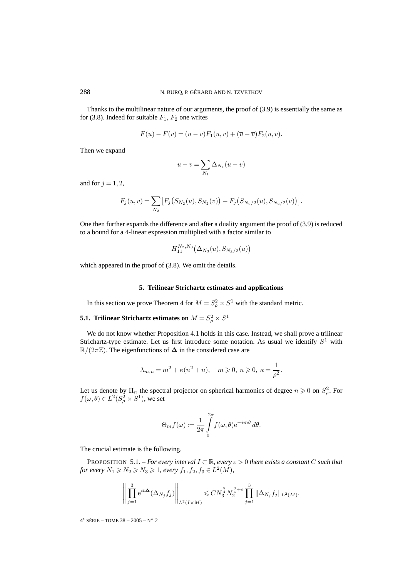Thanks to the multilinear nature of our arguments, the proof of (3.9) is essentially the same as for (3.8). Indeed for suitable  $F_1$ ,  $F_2$  one writes

$$
F(u) - F(v) = (u - v)F_1(u, v) + (\overline{u} - \overline{v})F_2(u, v).
$$

Then we expand

$$
u - v = \sum_{N_1} \Delta_{N_1}(u - v)
$$

and for  $j = 1, 2$ ,

$$
F_j(u,v) = \sum_{N_2} \big[ F_j(S_{N_2}(u), S_{N_2}(v)) - F_j(S_{N_2/2}(u), S_{N_2/2}(v)) \big].
$$

One then further expands the difference and after a duality argument the proof of (3.9) is reduced to a bound for a 4-linear expression multiplied with a factor similar to

$$
H_{11}^{N_2,N_3}\big(\Delta_{N_3}(u),S_{N_3/2}(u)\big)
$$

which appeared in the proof of (3.8). We omit the details.

# **5. Trilinear Strichartz estimates and applications**

In this section we prove Theorem 4 for  $M = S_\rho^2 \times S^1$  with the standard metric.

# **5.1. Trilinear Strichartz estimates on**  $M = S^2_\rho \times S^1$

We do not know whether Proposition 4.1 holds in this case. Instead, we shall prove a trilinear Strichartz-type estimate. Let us first introduce some notation. As usual we identify  $S<sup>1</sup>$  with  $\mathbb{R}/(2\pi\mathbb{Z})$ . The eigenfunctions of  $\Delta$  in the considered case are

$$
\lambda_{m,n} = m^2 + \kappa (n^2 + n), \quad m \ge 0, n \ge 0, \kappa = \frac{1}{\rho^2}.
$$

Let us denote by  $\Pi_n$  the spectral projector on spherical harmonics of degree  $n \geq 0$  on  $S^2_{\rho}$ . For  $f(\omega,\theta) \in L^2(S^2_\rho \times S^1)$ , we set

$$
\Theta_m f(\omega) := \frac{1}{2\pi} \int_{0}^{2\pi} f(\omega,\theta) e^{-im\theta} d\theta.
$$

The crucial estimate is the following.

PROPOSITION 5.1. – *For every interval* I ⊂ R*, every* ε > 0 *there exists a constant* C *such that for every*  $N_1 \ge N_2 \ge N_3 \ge 1$ , *every*  $f_1, f_2, f_3 \in L^2(M)$ ,

$$
\left\| \prod_{j=1}^3 e^{it\mathbf{\Delta}}(\Delta_{N_j} f_j) \right\|_{L^2(I \times M)} \leq C N_3^{\frac{5}{4}} N_2^{\frac{3}{4} + \varepsilon} \prod_{j=1}^3 \|\Delta_{N_j} f_j\|_{L^2(M)}.
$$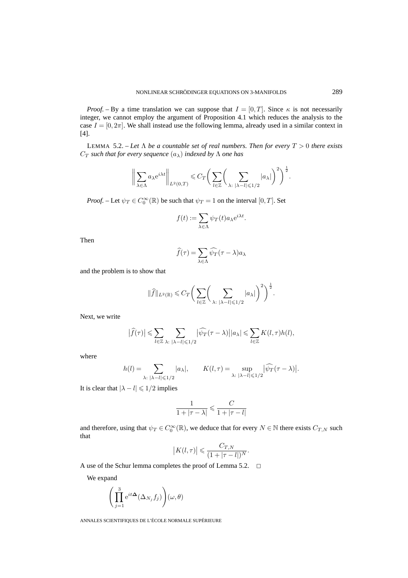*Proof.* – By a time translation we can suppose that  $I = [0, T]$ . Since  $\kappa$  is not necessarily integer, we cannot employ the argument of Proposition 4.1 which reduces the analysis to the case  $I = [0, 2\pi]$ . We shall instead use the following lemma, already used in a similar context in [4].

LEMMA 5.2. – Let  $\Lambda$  be a countable set of real numbers. Then for every  $T > 0$  there exists  $C_T$  *such that for every sequence*  $(a_\lambda)$  *indexed by*  $\Lambda$  *one has* 

$$
\bigg\|\sum_{\lambda\in\Lambda}a_{\lambda}\mathrm{e}^{i\lambda t}\bigg\|_{L^{2}(0,T)}\leqslant C_{T}\bigg(\sum_{l\in\mathbb{Z}}\bigg(\sum_{\lambda:\;|\lambda-l|\leqslant1/2}|a_{\lambda}|\bigg)^{2}\bigg)^{\frac{1}{2}}.
$$

*Proof.* – Let  $\psi_T \in C_0^{\infty}(\mathbb{R})$  be such that  $\psi_T = 1$  on the interval  $[0, T]$ . Set

$$
f(t) := \sum_{\lambda \in \Lambda} \psi_T(t) a_{\lambda} e^{i\lambda t}.
$$

Then

$$
\widehat{f}(\tau) = \sum_{\lambda \in \Lambda} \widehat{\psi}_T(\tau - \lambda) a_{\lambda}
$$

and the problem is to show that

$$
\|\widehat{f}\|_{L^2(\mathbb{R})} \leqslant C_T \bigg(\sum_{l\in\mathbb{Z}} \bigg(\sum_{\lambda:\;|\lambda-l|\leqslant 1/2} |a_\lambda|\bigg)^2\bigg)^{\frac{1}{2}}.
$$

Next, we write

$$
\big|\widehat{f}(\tau)\big|\leqslant \sum_{l\in \mathbb{Z}}\sum_{\lambda:\; |\lambda-l|\leqslant 1/2} \big|\widehat{\psi_T}(\tau-\lambda)\big||a_\lambda|\leqslant \sum_{l\in \mathbb{Z}}K(l,\tau)h(l),
$$

where

$$
h(l) = \sum_{\lambda: \ |\lambda - l| \leq 1/2} |a_{\lambda}|, \qquad K(l, \tau) = \sup_{\lambda: \ |\lambda - l| \leq 1/2} |\widehat{\psi}_T(\tau - \lambda)|.
$$

It is clear that  $|\lambda - l| \leqslant 1/2$  implies

$$
\frac{1}{1+|\tau-\lambda|} \leqslant \frac{C}{1+|\tau-l|}
$$

and therefore, using that  $\psi_T \in C_0^{\infty}(\mathbb{R})$ , we deduce that for every  $N \in \mathbb{N}$  there exists  $C_{T,N}$  such that

$$
|K(l,\tau)| \leqslant \frac{C_{T,N}}{(1+|\tau-l|)^N}.
$$

A use of the Schur lemma completes the proof of Lemma 5.2.  $\Box$ 

We expand

$$
\Biggl(\prod_{j=1}^3{\rm e}^{it\pmb\Delta}(\Delta_{N_j}f_j)\Biggr)(\omega,\theta)
$$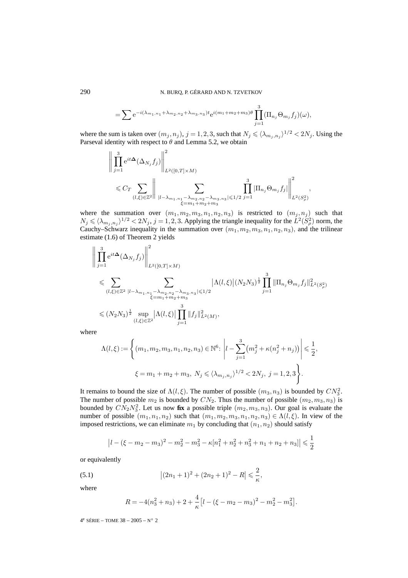$$
= \sum e^{-i(\lambda_{m_1,n_1} + \lambda_{m_2,n_2} + \lambda_{m_3,n_3})t} e^{i(m_1+m_2+m_3)\theta} \prod_{j=1}^3 (\Pi_{n_j} \Theta_{m_j} f_j)(\omega),
$$

where the sum is taken over  $(m_j, n_j)$ ,  $j = 1, 2, 3$ , such that  $N_j \leq \langle \lambda_{m_j, n_j} \rangle^{1/2} < 2N_j$ . Using the Parseval identity with respect to  $\theta$  and Lemma 5.2, we obtain

$$
\left\| \prod_{j=1}^{3} e^{it\Delta} (\Delta_{N_j} f_j) \right\|_{L^2([0,T] \times M)}^2
$$
  
\$\leq C\_T \sum\_{(l,\xi) \in \mathbb{Z}^2} \left\| \sum\_{\substack{|l - \lambda\_{m\_1,n\_1} - \lambda\_{m\_2,n\_2} - \lambda\_{m\_3,n\_3}|\leq 1/2}} \prod\_{j=1}^3 |\Pi\_{n\_j} \Theta\_{m\_j} f\_j| \right\|\_{L^2(S^2\_\rho)}^2,

where the summation over  $(m_1, m_2, m_3, n_1, n_2, n_3)$  is restricted to  $(m_j, n_j)$  such that  $N_j \leq \langle \lambda_{m_j,n_j} \rangle^{1/2} < 2N_j$ ,  $j = 1,2,3$ . Applying the triangle inequality for the  $L^2(S_\rho^2)$  norm, the Cauchy–Schwarz inequality in the summation over  $(m_1, m_2, m_3, n_1, n_2, n_3)$ , and the trilinear estimate (1.6) of Theorem 2 yields

$$
\left\| \prod_{j=1}^{3} e^{it\Delta}(\Delta_{N_j} f_j) \right\|_{L^2([0,T]\times M)}^2
$$
  
\$\leqslant \sum\_{(l,\xi)\in\mathbb{Z}^2 \atop(l,\xi)\in\mathbb{Z}^2} \sum\_{\substack{|l-\lambda\_{m\_1,n\_1}-\lambda\_{m\_2,n\_2}-\lambda\_{m\_3,n\_3}|\leqslant 1/2 \\ \xi=m\_1+m\_2+m\_3}} |\Lambda(l,\xi)| (N\_2N\_3)^{\frac{1}{2}} \prod\_{j=1}^{3} \|\Pi\_{n\_j} \Theta\_{m\_j} f\_j\|\_{L^2(S\_\rho^2)}^2  
\$\leqslant (N\_2N\_3)^{\frac{1}{2}} \sup\_{(l,\xi)\in\mathbb{Z}^2} |\Lambda(l,\xi)| \prod\_{j=1}^{3} \|f\_j\|\_{L^2(M)}^2,

where

$$
\Lambda(l,\xi) := \left\{ (m_1, m_2, m_3, n_1, n_2, n_3) \in \mathbb{N}^6 : \left| l - \sum_{j=1}^3 (m_j^2 + \kappa (n_j^2 + n_j)) \right| \leq \frac{1}{2},
$$
  

$$
\xi = m_1 + m_2 + m_3, \ N_j \leq \langle \lambda_{m_j, n_j} \rangle^{1/2} < 2N_j, \ j = 1, 2, 3 \right\}.
$$

It remains to bound the size of  $\Lambda(l,\xi)$ . The number of possible  $(m_3, n_3)$  is bounded by  $CN_3^2$ . The number of possible  $m_2$  is bounded by  $CN_2$ . Thus the number of possible  $(m_2, m_3, n_3)$  is bounded by  $CN_2N_3^2$ . Let us now **fix** a possible triple  $(m_2, m_3, n_3)$ . Our goal is evaluate the number of possible  $(m_1, n_1, n_2)$  such that  $(m_1, m_2, m_3, n_1, n_2, n_3) \in \Lambda(l, \xi)$ . In view of the imposed restrictions, we can eliminate  $m_1$  by concluding that  $(n_1, n_2)$  should satisfy

$$
\left|l - (\xi - m_2 - m_3)^2 - m_2^2 - m_3^2 - \kappa[n_1^2 + n_2^2 + n_3^2 + n_1 + n_2 + n_3]\right| \leq \frac{1}{2}
$$

or equivalently

(5.1) 
$$
\left| (2n_1+1)^2 + (2n_2+1)^2 - R \right| \leq \frac{2}{\kappa},
$$

where

$$
R = -4(n_3^2 + n_3) + 2 + \frac{4}{\kappa} \left[ l - (\xi - m_2 - m_3)^2 - m_2^2 - m_3^2 \right].
$$

 $4^e$  SÉRIE – TOME 38 – 2005 – N° 2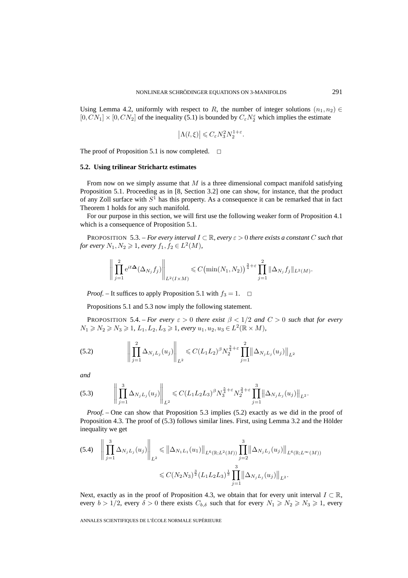Using Lemma 4.2, uniformly with respect to R, the number of integer solutions  $(n_1, n_2) \in$  $[0, CN_1] \times [0, CN_2]$  of the inequality (5.1) is bounded by  $C_{\varepsilon} N_2^{\varepsilon}$  which implies the estimate

$$
\left|\Lambda(l,\xi)\right| \leqslant C_{\varepsilon}N_3^2N_2^{1+\varepsilon}.
$$

The proof of Proposition 5.1 is now completed.  $\Box$ 

# **5.2. Using trilinear Strichartz estimates**

From now on we simply assume that  $M$  is a three dimensional compact manifold satisfying Proposition 5.1. Proceeding as in [8, Section 3.2] one can show, for instance, that the product of any Zoll surface with  $S<sup>1</sup>$  has this property. As a consequence it can be remarked that in fact Theorem 1 holds for any such manifold.

For our purpose in this section, we will first use the following weaker form of Proposition 4.1 which is a consequence of Proposition 5.1.

**PROPOSITION** 5.3. – *For every interval*  $I \subseteq \mathbb{R}$ *, every*  $\varepsilon > 0$  *there exists a constant* C *such that for every*  $N_1, N_2 \geq 1$ , every  $f_1, f_2 \in L^2(M)$ ,

$$
\left\| \prod_{j=1}^{2} e^{it\Delta} (\Delta_{N_j} f_j) \right\|_{L^2(I \times M)} \leq C \big( \min(N_1, N_2) \big)^{\frac{3}{4} + \varepsilon} \prod_{j=1}^{2} \|\Delta_{N_j} f_j\|_{L^2(M)}.
$$

*Proof.* – It suffices to apply Proposition 5.1 with  $f_3 = 1$ .  $\Box$ 

Propositions 5.1 and 5.3 now imply the following statement.

**PROPOSITION 5.4.** – *For every*  $\varepsilon > 0$  *there exist*  $\beta < 1/2$  *and*  $C > 0$  *such that for every*  $N_1 \ge N_2 \ge N_3 \ge 1$ ,  $L_1, L_2, L_3 \ge 1$ , every  $u_1, u_2, u_3 \in L^2(\mathbb{R} \times M)$ ,

(5.2) 
$$
\left\| \prod_{j=1}^{2} \Delta_{N_j L_j}(u_j) \right\|_{L^2} \leq C (L_1 L_2)^{\beta} N_2^{\frac{3}{4} + \varepsilon} \prod_{j=1}^{2} \left\| \Delta_{N_j L_j}(u_j) \right\|_{L^2}
$$

*and*

$$
(5.3) \qquad \left\| \prod_{j=1}^3 \Delta_{N_j L_j}(u_j) \right\|_{L^2} \leq C (L_1 L_2 L_3)^{\beta} N_3^{\frac{5}{4} + \varepsilon} N_2^{\frac{3}{4} + \varepsilon} \prod_{j=1}^3 \left\| \Delta_{N_j L_j}(u_j) \right\|_{L^2}.
$$

*Proof.* – One can show that Proposition 5.3 implies (5.2) exactly as we did in the proof of Proposition 4.3. The proof of (5.3) follows similar lines. First, using Lemma 3.2 and the Hölder inequality we get

$$
(5.4) \quad \left\| \prod_{j=1}^{3} \Delta_{N_j L_j}(u_j) \right\|_{L^2} \leq \left\| \Delta_{N_1 L_1}(u_1) \right\|_{L^6(\mathbb{R}; L^2(M))} \prod_{j=2}^{3} \left\| \Delta_{N_j L_j}(u_j) \right\|_{L^6(\mathbb{R}; L^\infty(M))}
$$

$$
\leq C(N_2 N_3)^{\frac{3}{2}} (L_1 L_2 L_3)^{\frac{1}{3}} \prod_{j=1}^{3} \left\| \Delta_{N_j L_j}(u_j) \right\|_{L^2}.
$$

Next, exactly as in the proof of Proposition 4.3, we obtain that for every unit interval  $I \subset \mathbb{R}$ , every  $b > 1/2$ , every  $\delta > 0$  there exists  $C_{b,\delta}$  such that for every  $N_1 \ge N_2 \ge N_3 \ge 1$ , every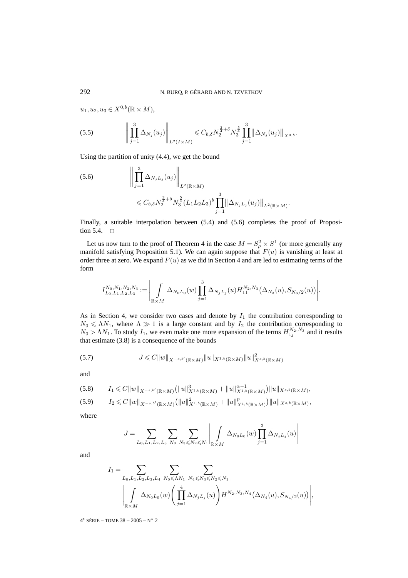$u_1, u_2, u_3 \in X^{0,b}(\mathbb{R} \times M),$ 

$$
(5.5) \qquad \left\| \prod_{j=1}^3 \Delta_{N_j}(u_j) \right\|_{L^2(I \times M)} \leq C_{b,\delta} N_2^{\frac{3}{4}+\delta} N_3^{\frac{5}{4}} \prod_{j=1}^3 \left\| \Delta_{N_j}(u_j) \right\|_{X^{0,b}}.
$$

Using the partition of unity (4.4), we get the bound

(5.6) 
$$
\left\| \prod_{j=1}^{3} \Delta_{N_j L_j}(u_j) \right\|_{L^2(\mathbb{R} \times M)} \leq C_{b,\delta} N_2^{\frac{3}{4} + \delta} N_3^{\frac{5}{4}} (L_1 L_2 L_3)^b \prod_{j=1}^{3} \left\| \Delta_{N_j L_j}(u_j) \right\|_{L^2(\mathbb{R} \times M)}.
$$

Finally, a suitable interpolation between  $(5.4)$  and  $(5.6)$  completes the proof of Proposition 5.4.  $\Box$ 

Let us now turn to the proof of Theorem 4 in the case  $M = S_\rho^2 \times S^1$  (or more generally any manifold satisfying Proposition 5.1). We can again suppose that  $F(u)$  is vanishing at least at order three at zero. We expand  $F(u)$  as we did in Section 4 and are led to estimating terms of the form

$$
I_{L_0, L_1, L_2, L_3}^{N_0, N_1, N_2, N_3} := \Bigg| \int\limits_{\mathbb{R} \times M} \Delta_{N_0 L_0}(w) \prod_{j=1}^3 \Delta_{N_j L_j}(u) H_{11}^{N_2, N_3} \big( \Delta_{N_3}(u), S_{N_3/2}(u) \big) \Bigg|.
$$

As in Section 4, we consider two cases and denote by  $I_1$  the contribution corresponding to  $N_0 \leqslant \Lambda N_1$ , where  $\Lambda \gg 1$  is a large constant and by  $I_2$  the contribution corresponding to  $N_0 > \Lambda N_1$ . To study  $I_1$ , we even make one more expansion of the terms  $H_{1j}^{N_2, N_3}$  and it results that estimate (3.8) is a consequence of the bounds

(5.7) 
$$
J \leq C||w||_{X^{-s,b'}(\mathbb{R}\times M)}||u||_{X^{1,b}(\mathbb{R}\times M)}||u||_{X^{s,b}(\mathbb{R}\times M)}^{2}
$$

and

$$
(5.8) \tI_1 \leq C||w||_{X^{-s,b'}(\mathbb{R}\times M)} (||u||_{X^{1,b}(\mathbb{R}\times M)}^3 + ||u||_{X^{1,b}(\mathbb{R}\times M)}^{\alpha-1})||u||_{X^{s,b}(\mathbb{R}\times M)},
$$

$$
(5.9) \tI_2 \leq C||w||_{X^{-s,b'}(\mathbb{R}\times M)} (||u||^2_{X^{1,b}(\mathbb{R}\times M)} + ||u||^p_{X^{1,b}(\mathbb{R}\times M)})||u||_{X^{s,b}(\mathbb{R}\times M)},
$$

where

$$
J = \sum_{L_0, L_1, L_2, L_3} \sum_{N_0} \sum_{N_3 \leq N_2 \leq N_1} \left| \int_{\mathbb{R} \times M} \Delta_{N_0 L_0}(w) \prod_{j=1}^3 \Delta_{N_j L_j}(u) \right|
$$

and

$$
I_1 = \sum_{L_0, L_1, L_2, L_3, L_4} \sum_{N_0 \leq \Lambda N_1} \sum_{N_4 \leq N_3 \leq N_2 \leq N_1} \sum_{\substack{N_4 \leq N_5 \leq N_2 \leq N_1}} \sum_{\substack{M_1 \leq N_4 \leq N_5 \leq N_4 \ \text{and} \ N_5 \leq N_6}} \sum_{\substack{N_5 \leq N_6 \leq N_7 \leq N_7}} \sum_{\substack{N_6 \leq N_7 \leq N_8 \leq N_8 \ \text{and} \ N_7 \leq N_9}} \sum_{\substack{N_7 \leq N_7 \leq N_8 \leq N_9 \ \text{and} \ N_8 \leq N_9 \leq N_9}} \sum_{\substack{N_7 \leq N_8 \leq N_9 \leq N_9 \ \text{and} \ N_9 \leq N_9 \leq N_9 \ \text{and} \ N_9 \leq N_9 \leq N_9}} \sum_{\substack{N_8 \leq N_9 \leq N_9 \leq N_9 \ \text{and} \ N_9 \leq N_9 \leq N_9 \ \text{and} \ N_9 \leq N_9 \leq N_9 \ \text{and} \ N_9 \leq N_9 \leq N_9 \leq N_9 \leq N_9 \leq N_9 \leq N_9 \leq N_9 \leq N_9 \leq N_9 \leq N_9 \leq N_9 \leq N_9 \leq N_9 \leq N_9 \leq N_9 \leq N_9 \leq N_9 \leq N_9 \leq N_9 \leq N_9 \leq N_9 \leq N_9 \leq N_9 \leq N_9 \leq N_9 \leq N_9 \leq N_9 \leq N_9 \leq N_9 \leq N_9 \leq N_9 \leq N_9 \leq N_9 \leq N_9 \leq N_9 \leq N_9 \leq N_9 \leq N_9 \leq N_9 \leq N_9 \leq N_9 \leq N_9 \leq N_9 \leq N_9 \leq N_9 \leq N_9 \leq N_9 \leq N_9 \leq N_9 \leq N_9 \leq N_9 \leq N_9 \leq N_9 \leq N_9 \leq N_9 \leq N_9 \le
$$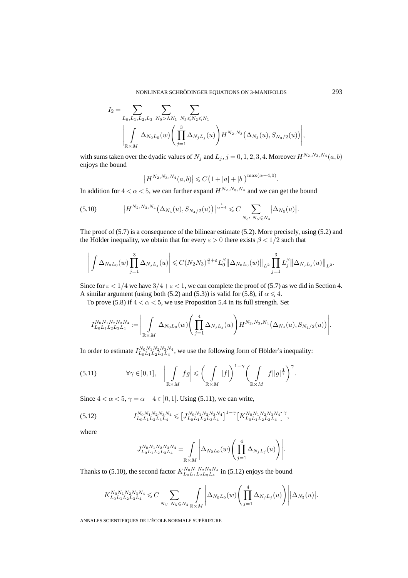$$
I_2 = \sum_{L_0, L_1, L_2, L_3} \sum_{N_0 > \Lambda N_1} \sum_{N_3 \leq N_2 \leq N_1} \sum_{N_3 \leq N_2 \leq N_1} \left( \prod_{j=1}^3 \Delta_{N_j L_j}(u) \right) H^{N_2, N_3}(\Delta_{N_3}(u), S_{N_3/2}(u)) \Bigg|,
$$

with sums taken over the dyadic values of  $N_j$  and  $L_j$ ,  $j = 0, 1, 2, 3, 4$ . Moreover  $H^{N_2, N_3, N_4}(a, b)$ enjoys the bound

$$
\left|H^{N_2,N_3,N_4}(a,b)\right| \leqslant C\big(1+|a|+|b|\big)^{\max(\alpha-4,0)}.
$$

In addition for  $4 < \alpha < 5$ , we can further expand  $H^{N_2,N_3,N_4}$  and we can get the bound

$$
(5.10) \t\t |H^{N_2,N_3,N_4}(\Delta_{N_4}(u),S_{N_4/2}(u))|^{\frac{1}{\alpha-4}} \leq C \sum_{N_5:\ N_5\leq N_4} |\Delta_{N_5}(u)|.
$$

The proof of (5.7) is a consequence of the bilinear estimate (5.2). More precisely, using (5.2) and the Hölder inequality, we obtain that for every  $\varepsilon > 0$  there exists  $\beta < 1/2$  such that

$$
\left| \int \Delta_{N_0L_0}(w) \prod_{j=1}^3 \Delta_{N_jL_j}(u) \right| \leqslant C(N_2N_3)^{\frac{3}{4}+\varepsilon} L_0^{\beta} \left\| \Delta_{N_0L_0}(w) \right\|_{L^2} \prod_{j=1}^3 L_j^{\beta} \left\| \Delta_{N_jL_j}(u) \right\|_{L^2}.
$$

Since for  $\varepsilon < 1/4$  we have  $3/4 + \varepsilon < 1$ , we can complete the proof of (5.7) as we did in Section 4. A similar argument (using both (5.2) and (5.3)) is valid for (5.8), if  $\alpha \leq 4$ .

To prove (5.8) if  $4 < \alpha < 5$ , we use Proposition 5.4 in its full strength. Set

$$
I_{L_0L_1L_2L_3L_4}^{N_0N_1N_2N_3N_4} := \Bigg|\int\limits_{\mathbb{R} \times M} \Delta_{N_0L_0}(w) \Bigg( \prod_{j=1}^4 \Delta_{N_jL_j}(u) \Bigg) H^{N_2,N_3,N_4}\big(\Delta_{N_4}(u), S_{N_4/2}(u) \big) \Bigg|.
$$

In order to estimate  $I_{L_0L_1L_2L_3L_4}^{N_0N_1N_2N_3N_4}$ , we use the following form of Hölder's inequality:

$$
(5.11) \t\t \forall \gamma \in ]0,1], \t \left| \int\limits_{\mathbb{R} \times M} fg \right| \leqslant \left( \int\limits_{\mathbb{R} \times M} |f| \right)^{1-\gamma} \left( \int\limits_{\mathbb{R} \times M} |f| |g|^{\frac{1}{\gamma}} \right)^{\gamma}.
$$

Since  $4 < \alpha < 5$ ,  $\gamma = \alpha - 4 \in ]0,1[$ . Using (5.11), we can write,

$$
(5.12) \tI_{L_0L_1L_2L_3L_4}^{N_0N_1N_2N_3N_4} \leqslant \left[ J_{L_0L_1L_2L_3L_4}^{N_0N_1N_2N_3N_4} \right]^{1-\gamma} \left[ K_{L_0L_1L_2L_3L_4}^{N_0N_1N_2N_3N_4} \right]^{\gamma},
$$

where

$$
J_{L_0L_1L_2L_3L_4}^{N_0N_1N_2N_3N_4} = \int_{\mathbb{R} \times M} \left| \Delta_{N_0L_0}(w) \left( \prod_{j=1}^4 \Delta_{N_jL_j}(u) \right) \right|.
$$

Thanks to (5.10), the second factor  $K_{L_0L_1L_2L_3L_4}^{N_0N_1N_2N_3N_4}$  in (5.12) enjoys the bound

$$
K_{L_0L_1L_2L_3L_4}^{N_0N_1N_2N_3N_4} \leqslant C \sum_{N_5\colon N_5 \leqslant N_4} \sum_{\mathbb{R}\times M} \left| \Delta_{N_0L_0}(w) \left( \prod_{j=1}^4 \Delta_{N_jL_j}(u) \right) \right| |\Delta_{N_5}(u)|.
$$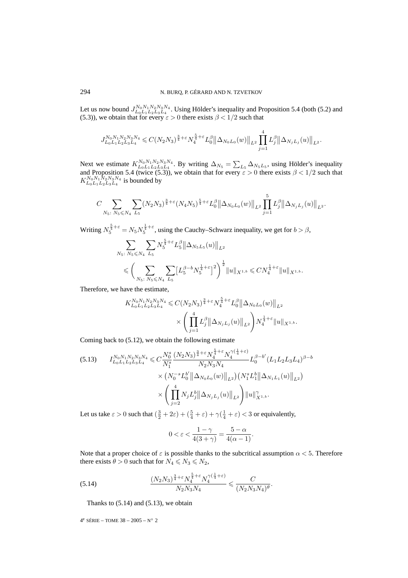Let us now bound  $J_{L_0L_1L_2L_3L_4}^{N_0N_1N_2N_3N_4}$ . Using Hölder's inequality and Proposition 5.4 (both (5.2) and (5.3)), we obtain that for every  $\varepsilon > 0$  there exists  $\beta < 1/2$  such that

$$
J_{L_0L_1L_2L_3L_4}^{N_0N_1N_2N_3N_4} \leqslant C(N_2N_3)^{\frac{3}{4}+\varepsilon} N_4^{\frac{5}{4}+\varepsilon} L_0^{\beta} \left\| \Delta_{N_0L_0}(w) \right\|_{L^2} \prod_{j=1}^4 L_j^{\beta} \left\| \Delta_{N_jL_j}(u) \right\|_{L^2}.
$$

Next we estimate  $K_{L_0L_1L_2L_3L_4}^{N_0N_1N_2N_3N_4}$ . By writing  $\Delta_{N_5} = \sum_{L_5} \Delta_{N_5L_5}$ , using Hölder's inequality and Proposition 5.4 (twice (5.3)), we obtain that for every  $\varepsilon > 0$  there exists  $\beta < 1/2$  such that  $K_{L_0L_1L_2L_3L_4}^{N_0N_1N_2N_3N_4}$  is bounded by

$$
C\sum_{N_5\colon N_5\leq N_4}\sum_{L_5}(N_2N_3)^{\frac{3}{4}+\varepsilon}(N_4N_5)^{\frac{5}{4}+\varepsilon}L_0^{\beta}\big\|\Delta_{N_0L_0}(w)\big\|_{L^2}\prod_{j=1}^5L_j^{\beta}\big\|\Delta_{N_jL_j}(u)\big\|_{L^2}.
$$

Writing  $N_5^{\frac{5}{4}+\epsilon} = N_5 N_5^{\frac{1}{4}+\epsilon}$ , using the Cauchy–Schwarz inequality, we get for  $b > \beta$ ,

$$
\begin{split} & \sum_{N_5: \ N_5 \leqslant N_4} \sum_{L_5} N_5^{\frac{5}{4}+\varepsilon} L_5^\beta \left\| \Delta_{N_5 L_5}(u) \right\|_{L^2} \\ & \leqslant \bigg( \sum_{N_5: \ N_5 \leqslant N_4} \sum_{L_5} \big[ L_5^{\beta-b} N_5^{\frac{1}{4}+\varepsilon} \big]^2 \bigg)^{\frac{1}{2}} \|u\|_{X^{1,b}} \leqslant C N_4^{\frac{1}{4}+\varepsilon} \|u\|_{X^{1,b}}. \end{split}
$$

Therefore, we have the estimate,

$$
K_{L_0L_1L_2L_3L_4}^{N_0N_1N_2N_3N_4} \leqslant C(N_2N_3)^{\frac{3}{4}+\varepsilon} N_4^{\frac{5}{4}+\varepsilon} L_0^{\beta} {\|\Delta_{N_0L_0}(w)\|}_{L^2}
$$
  

$$
\times \left( \prod_{j=1}^4 L_j^{\beta} {\|\Delta_{N_jL_j}(u)\|}_{L^2} \right) N_4^{\frac{1}{4}+\varepsilon} {\|u\|}_{X^{1,b}}.
$$

Coming back to (5.12), we obtain the following estimate

$$
(5.13) \qquad I_{L_0L_1L_2L_3L_4}^{N_0N_1N_2N_3N_4} \leq C \frac{N_0^s}{N_1^s} \frac{(N_2N_3)^{\frac{3}{4}+\varepsilon} N_4^{\frac{5}{4}+\varepsilon} N_4^{\gamma(\frac{1}{4}+\varepsilon)}}{N_2N_3N_4} L_0^{\beta-b'} (L_1L_2L_3L_4)^{\beta-b}
$$

$$
\times \left. \left( N_0^{-s} L_0^{b'} \left\| \Delta_{N_0L_0}(w) \right\|_{L^2} \right) \left( N_1^s L_1^b \left\| \Delta_{N_1L_1}(u) \right\|_{L^2} \right) \right.
$$

$$
\times \left( \prod_{j=2}^4 N_j L_j^b \left\| \Delta_{N_jL_j}(u) \right\|_{L^2} \right) \|u\|_{X^{1,b}}^{\gamma}.
$$

Let us take  $\varepsilon > 0$  such that  $(\frac{3}{2} + 2\varepsilon) + (\frac{5}{4} + \varepsilon) + \gamma(\frac{1}{4} + \varepsilon) < 3$  or equivalently,

$$
0<\varepsilon<\frac{1-\gamma}{4(3+\gamma)}=\frac{5-\alpha}{4(\alpha-1)}.
$$

Note that a proper choice of  $\varepsilon$  is possible thanks to the subcritical assumption  $\alpha$  < 5. Therefore there exists  $\theta > 0$  such that for  $N_4 \le N_3 \le N_2$ ,

(5.14) 
$$
\frac{(N_2N_3)^{\frac{3}{4}+\varepsilon}N_4^{\frac{5}{4}+\varepsilon}N_4^{\gamma(\frac{1}{4}+\varepsilon)}}{N_2N_3N_4} \leq \frac{C}{(N_2N_3N_4)^{\theta}}.
$$

Thanks to  $(5.14)$  and  $(5.13)$ , we obtain

 $4^e$  SÉRIE – TOME  $38 - 2005 - N^{\circ}$  2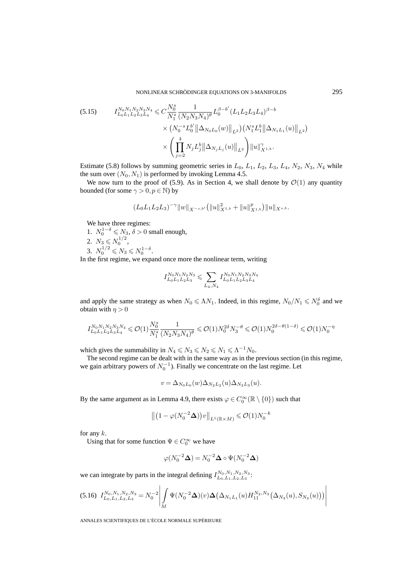NONLINEAR SCHRÖDINGER EQUATIONS ON 3-MANIFOLDS 295

$$
(5.15) \tI_{L_0L_1L_2L_3L_4}^{N_0N_1N_2N_3N_4} \leq C \frac{N_0^s}{N_1^s} \frac{1}{(N_2N_3N_4)^{\theta}} L_0^{\beta-b'} (L_1L_2L_3L_4)^{\beta-b}
$$

$$
\times \left. \left( N_0^{-s} L_0^{b'} \left\| \Delta_{N_0L_0}(w) \right\|_{L^2} \right) \left( N_1^s L_1^b \left\| \Delta_{N_1L_1}(u) \right\|_{L^2} \right) \right. \times \left. \left( \prod_{j=2}^4 N_j L_j^b \left\| \Delta_{N_jL_j}(u) \right\|_{L^2} \right) \left\| u \right\|_{X^{1,b}}^{\gamma}.
$$

Estimate (5.8) follows by summing geometric series in  $L_0$ ,  $L_1$ ,  $L_2$ ,  $L_3$ ,  $L_4$ ,  $N_2$ ,  $N_3$ ,  $N_4$  while the sum over  $(N_0, N_1)$  is performed by invoking Lemma 4.5.

We now turn to the proof of (5.9). As in Section 4, we shall denote by  $\mathcal{O}(1)$  any quantity bounded (for some  $\gamma > 0, p \in \mathbb{N}$ ) by

$$
(L_0L_1L_2L_3)^{-\gamma}\|w\|_{X^{-s,b'}}\big(\|u\|_{X^{1,b}}^2+\|u\|_{X^{1,b}}^p\big)\|u\|_{X^{s,b}}.
$$

We have three regimes:

1.  $N_0^{1-\delta} \leq N_3$ ,  $\delta > 0$  small enough, 2.  $N_3 \leq N_0^{1/2}$ , 3.  $N_0^{1/2} \leq N_3 \leq N_0^{1-\delta}$ .

In the first regime, we expand once more the nonlinear term, writing

$$
I_{L_0L_1L_2L_3}^{N_0N_1N_2N_3}\leqslant \sum\limits_{L_4,N_4}I_{L_0L_1L_2L_3L_4}^{N_0N_1N_2N_3N_4}
$$

and apply the same strategy as when  $N_0 \le \Lambda N_1$ . Indeed, in this regime,  $N_0/N_1 \le N_0^{\delta}$  and we obtain with  $\eta > 0$ 

$$
I^{N_0N_1N_2N_3N_4}_{L_0L_1L_2L_3L_4}\leqslant \mathcal{O}(1)\frac{N_0^s}{N_1^s}\frac{1}{(N_2N_3N_4)^{\theta}}\leqslant \mathcal{O}(1)N_0^{2\delta}N_3^{-\theta}\leqslant \mathcal{O}(1)N_0^{2\delta-\theta(1-\delta)}\leqslant \mathcal{O}(1)N_0^{-\eta}
$$

which gives the summability in  $N_4 \le N_3 \le N_2 \le N_1 \le \Lambda^{-1} N_0$ .

The second regime can be dealt with in the same way as in the previous section (in this regime, we gain arbitrary powers of  $N_0^{-1}$ ). Finally we concentrate on the last regime. Let

$$
v = \Delta_{N_0 L_0}(w) \Delta_{N_2 L_2}(u) \Delta_{N_3 L_3}(u).
$$

By the same argument as in Lemma 4.9, there exists  $\varphi \in C_0^{\infty}(\mathbb{R} \setminus \{0\})$  such that

$$
\left\| \left( 1 - \varphi(N_0^{-2} \Delta) \right) v \right\|_{L^1(\mathbb{R} \times M)} \leqslant \mathcal{O}(1) N_0^{-k}
$$

for any  $k$ .

Using that for some function  $\Psi \in C_0^{\infty}$  we have

$$
\varphi(N_0^{-2}\Delta) = N_0^{-2}\Delta \circ \Psi(N_0^{-2}\Delta)
$$

we can integrate by parts in the integral defining  $I_{L_0,L_1,L_2,L_3}^{N_0,N_1,N_2,N_3}$ :

$$
(5.16)\ \ I_{L_0,L_1,L_2,L_3}^{N_0,N_1,N_2,N_3} = N_0^{-2} \left| \int\limits_M \Psi(N_0^{-2} \Delta)(v) \Delta(\Delta_{N_1L_1}(u) H_{11}^{N_2,N_3}(\Delta_{N_3}(u),S_{N_3}(u))) \right|
$$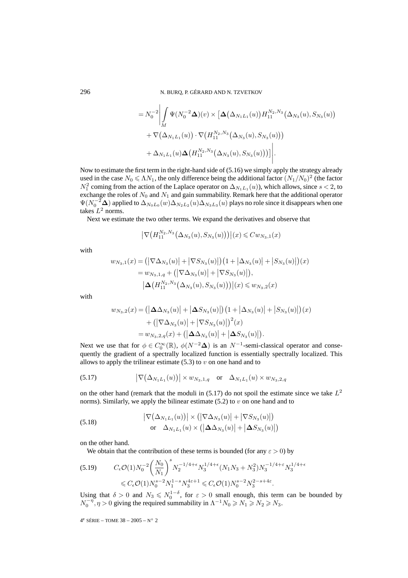$$
=N_0^{-2}\left|\int_M \Psi(N_0^{-2}\Delta)(v)\times \left[\Delta(\Delta_{N_1L_1}(u))H_{11}^{N_2,N_3}(\Delta_{N_3}(u),S_{N_3}(u))\right.\right.+\nabla(\Delta_{N_1L_1}(u))\cdot \nabla(H_{11}^{N_2,N_3}(\Delta_{N_3}(u),S_{N_3}(u)))+\Delta_{N_1L_1}(u)\Delta(H_{11}^{N_2,N_3}(\Delta_{N_3}(u),S_{N_3}(u))))\right|.
$$

Now to estimate the first term in the right-hand side of (5.16) we simply apply the strategy already used in the case  $N_0 \le \Lambda N_1$ , the only difference being the additional factor  $(N_1/N_0)^2$  (the factor  $N_1^2$  coming from the action of the Laplace operator on  $\Delta_{N_1L_1}(u)$ ), which allows, since  $s < 2$ , to exchange the roles of  $N_0$  and  $N_1$  and gain summability. Remark here that the additional operator  $\Psi(N_0^{-2}\Delta)$  applied to  $\Delta_{N_0L_0}(w)\Delta_{N_2L_2}(u)\Delta_{N_3L_3}(u)$  plays no role since it disappears when one takes  $L^2$  norms.

Next we estimate the two other terms. We expand the derivatives and observe that

$$
\left|\nabla \big(H_{11}^{N_2,N_3}\big(\Delta_{N_3}(u),S_{N_3}(u)\big)\big)\right|(x)\leqslant Cw_{N_3,1}(x)
$$

with

$$
w_{N_3,1}(x) = (|\nabla \Delta_{N_3}(u)| + |\nabla S_{N_3}(u)|) (1 + |\Delta_{N_3}(u)| + |S_{N_3}(u)|)(x)
$$
  
=  $w_{N_3,1,q} + (|\nabla \Delta_{N_3}(u)| + |\nabla S_{N_3}(u)|),$   
 $|\Delta (H_{11}^{N_2,N_3}(\Delta_{N_3}(u), S_{N_3}(u)))|(x) \leq w_{N_3,2}(x)$ 

with

$$
w_{N_3,2}(x) = (|\Delta\Delta_{N_3}(u)| + |\Delta S_{N_3}(u)|) (1 + |\Delta_{N_3}(u)| + |S_{N_3}(u)|) (x)
$$
  
+ (|\nabla\Delta\_{N\_3}(u)| + |\nabla S\_{N\_3}(u)|)^2(x)  
= w\_{N\_3,2,q}(x) + (|\Delta\Delta\_{N\_3}(u)| + |\Delta S\_{N\_3}(u)|).

Next we use that for  $\phi \in C_0^{\infty}(\mathbb{R})$ ,  $\phi(N^{-2}\Delta)$  is an  $N^{-1}$ -semi-classical operator and consequently the gradient of a spectrally localized function is essentially spectrally localized. This allows to apply the trilinear estimate  $(5.3)$  to v on one hand and to

(5.17) 
$$
\left| \nabla (\Delta_{N_1 L_1}(u)) \right| \times w_{N_3,1,q} \text{ or } \Delta_{N_1 L_1}(u) \times w_{N_3,2,q}
$$

on the other hand (remark that the moduli in  $(5.17)$  do not spoil the estimate since we take  $L^2$ norms). Similarly, we apply the bilinear estimate  $(5.2)$  to v on one hand and to

(5.18) 
$$
\left|\nabla(\Delta_{N_1L_1}(u))\right| \times \left(\left|\nabla\Delta_{N_3}(u)\right| + \left|\nabla S_{N_3}(u)\right|\right) \n\text{or}\n\Delta_{N_1L_1}(u) \times \left(\left|\Delta\Delta_{N_3}(u)\right| + \left|\Delta S_{N_3}(u)\right|\right)
$$

on the other hand.

We obtain that the contribution of these terms is bounded (for any  $\varepsilon > 0$ ) by

$$
(5.19) \qquad C_{\epsilon} \mathcal{O}(1) N_0^{-2} \left(\frac{N_0}{N_1}\right)^s N_2^{-1/4 + \epsilon} N_3^{1/4 + \epsilon} (N_1 N_3 + N_3^2) N_3^{-1/4 + \epsilon} N_3^{1/4 + \epsilon}
$$
  
\$\leqslant C\_{\epsilon} \mathcal{O}(1) N\_0^{s-2} N\_1^{1-s} N\_3^{4\epsilon+1} \leqslant C\_{\epsilon} \mathcal{O}(1) N\_0^{s-2} N\_3^{2-s+4\epsilon}.

Using that  $\delta > 0$  and  $N_3 \le N_0^{1-\delta}$ , for  $\varepsilon > 0$  small enough, this term can be bounded by  $N_0^{-\eta}$ ,  $\eta > 0$  giving the required summability in  $\Lambda^{-1} N_0 \ge N_1 \ge N_2 \ge N_3$ .

 $4^e$  SÉRIE – TOME  $38 - 2005 - N^{\circ} 2$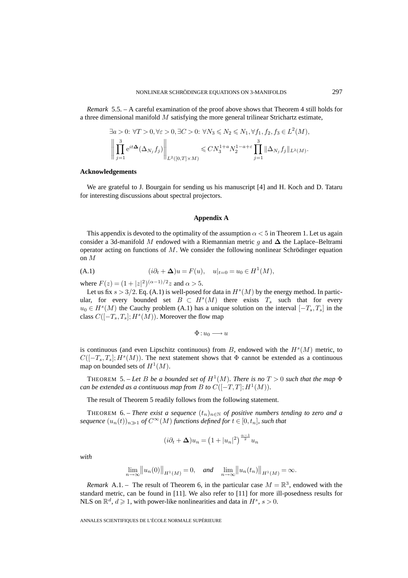*Remark* 5.5. – A careful examination of the proof above shows that Theorem 4 still holds for a three dimensional manifold  $M$  satisfying the more general trilinear Strichartz estimate,

$$
\exists a > 0: \forall T > 0, \forall \varepsilon > 0, \exists C > 0: \forall N_3 \leq N_2 \leq N_1, \forall f_1, f_2, f_3 \in L^2(M),
$$
  

$$
\left\| \prod_{j=1}^3 e^{it\Delta}(\Delta_{N_j} f_j) \right\|_{L^2([0,T] \times M)} \leq C N_3^{1+a} N_2^{1-a+\varepsilon} \prod_{j=1}^3 \|\Delta_{N_j} f_j\|_{L^2(M)}.
$$

#### **Acknowledgements**

We are grateful to J. Bourgain for sending us his manuscript [4] and H. Koch and D. Tataru for interesting discussions about spectral projectors.

### **Appendix A**

This appendix is devoted to the optimality of the assumption  $\alpha < 5$  in Theorem 1. Let us again consider a 3d-manifold M endowed with a Riemannian metric g and **∆** the Laplace–Beltrami operator acting on functions of  $M$ . We consider the following nonlinear Schrödinger equation on M

(A.1) 
$$
(i\partial_t + \Delta)u = F(u), \quad u|_{t=0} = u_0 \in H^1(M),
$$

where  $F(z) = (1 + |z|^2)^{(\alpha - 1)/2} z$  and  $\alpha > 5$ .

Let us fix  $s > 3/2$ . Eq. (A.1) is well-posed for data in  $H<sup>s</sup>(M)$  by the energy method. In particular, for every bounded set  $B \subset H<sup>s</sup>(M)$  there exists  $T<sub>s</sub>$  such that for every  $u_0 \in H<sup>s</sup>(M)$  the Cauchy problem (A.1) has a unique solution on the interval  $[-T<sub>s</sub>, T<sub>s</sub>]$  in the class  $C([-T_s, T_s]; H^s(M))$ . Moreover the flow map

$$
\Phi: u_0 \longrightarrow u
$$

is continuous (and even Lipschitz continuous) from B, endowed with the  $H<sup>s</sup>(M)$  metric, to  $C([-T<sub>s</sub>, T<sub>s</sub>]; H<sup>s</sup>(M)).$  The next statement shows that  $\Phi$  cannot be extended as a continuous map on bounded sets of  $H^1(M)$ .

THEOREM 5. – Let B be a bounded set of  $H^1(M)$ . There is no  $T > 0$  such that the map  $\Phi$ *can be extended as a continuous map from B to*  $C([-T,T]; H^1(M))$ *.* 

The result of Theorem 5 readily follows from the following statement.

THEOREM 6. – *There exist a sequence*  $(t_n)_{n\in\mathbb{N}}$  *of positive numbers tending to zero and a sequence*  $(u_n(t))_{n\gg1}$  *of*  $C^{\infty}(M)$  *functions defined for*  $t \in [0, t_n]$ *, such that* 

$$
(i\partial_t + \Delta)u_n = \left(1 + |u_n|^2\right)^{\frac{\alpha - 1}{2}}u_n
$$

*with*

$$
\lim_{n \to \infty} ||u_n(0)||_{H^1(M)} = 0, \quad \text{and} \quad \lim_{n \to \infty} ||u_n(t_n)||_{H^1(M)} = \infty.
$$

*Remark* A.1. – The result of Theorem 6, in the particular case  $M = \mathbb{R}^3$ , endowed with the standard metric, can be found in [11]. We also refer to [11] for more ill-posedness results for NLS on  $\mathbb{R}^d$ ,  $d \ge 1$ , with power-like nonlinearities and data in  $H^s$ ,  $s > 0$ .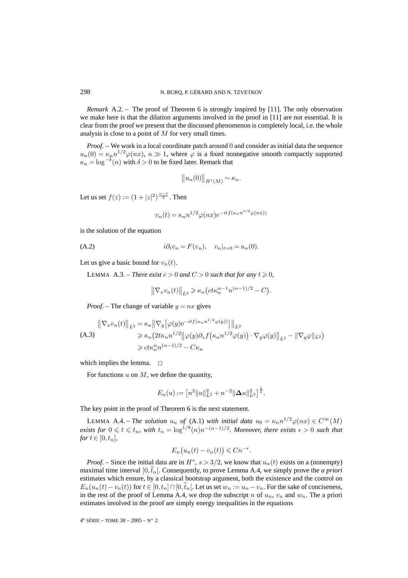*Remark* A.2. – The proof of Theorem 6 is strongly inspired by [11]. The only observation we make here is that the dilation arguments involved in the proof in [11] are not essential. It is clear from the proof we present that the discussed phenomenon is completely local, i.e. the whole analysis is close to a point of M for very small times.

*Proof.* – We work in a local coordinate patch around 0 and consider as initial data the sequence  $u_n(0) = \kappa_n n^{1/2} \varphi(nx), n \gg 1$ , where  $\varphi$  is a fixed nonnegative smooth compactly supported  $\kappa_n = \log^{-\delta}(n)$  with  $\delta > 0$  to be fixed later. Remark that

$$
||u_n(0)||_{H^1(M)} \sim \kappa_n.
$$

Let us set  $f(z) := (1 + |z|^2)^{\frac{\alpha - 1}{2}}$ . Then

$$
v_n(t) = \kappa_n n^{1/2} \varphi(nx) e^{-itf(\kappa_n n^{1/2} \varphi(nx))}
$$

is the solution of the equation

(A.2) 
$$
i\partial_t v_n = F(v_n), \quad v_n|_{t=0} = u_n(0).
$$

Let us give a basic bound for  $v_n(t)$ .

LEMMA A.3. – *There exist*  $c > 0$  *and*  $C > 0$  *such that for any*  $t \ge 0$ *,* 

$$
\left\|\nabla_x v_n(t)\right\|_{L^2} \geqslant \kappa_n \left(ct\kappa_n^{\alpha-1}n^{(\alpha-1)/2} - C\right).
$$

*Proof.* – The change of variable  $y = nx$  gives

$$
\|\nabla_x v_n(t)\|_{L^2} = \kappa_n \|\nabla_y \left[\varphi(y) e^{-it f(\kappa_n n^{1/2} \varphi(y))}\right]\|_{L^2}
$$
  
\n(A.3)  
\n
$$
\geq \kappa_n \left(2t\kappa_n n^{1/2} \|\varphi(y)\partial_z f(\kappa_n n^{1/2} \varphi(y)) \cdot \nabla_y \varphi(y)\|_{L^2} - \|\nabla_y \varphi\|_{L^2}\right)
$$
  
\n
$$
\geq ct\kappa_n^{\alpha} n^{(\alpha-1)/2} - C\kappa_n
$$

which implies the lemma.  $\square$ 

For functions  $u$  on  $M$ , we define the quantity,

$$
E_n(u) := \left[ n^2 \|u\|_{L^2}^2 + n^{-2} \|\Delta u\|_{L^2}^2 \right]^{\frac{1}{2}}.
$$

The key point in the proof of Theorem 6 is the next statement.

LEMMA A.4. – *The solution*  $u_n$  *of* (A.1) *with initial data*  $u_0 = \kappa_n n^{1/2} \varphi(nx) \in C^\infty(M)$ *exists for*  $0 \leqslant t \leqslant t_n$ , with  $t_n = \log^{1/8}(n)n^{-(\alpha-1)/2}$ . Moreover, there exists  $\epsilon > 0$  such that *for*  $t \in [0, t_n]$ *,* 

$$
E_n(u_n(t) - v_n(t)) \leq Cn^{-\epsilon}.
$$

*Proof.* – Since the initial data are in  $H^s$ ,  $s > 3/2$ , we know that  $u_n(t)$  exists on a (nonempty) maximal time interval  $[0, \tilde{t}_n]$ . Consequently, to prove Lemma A.4, we simply prove the *a priori* estimates which ensure, by a classical bootstrap argument, both the existence and the control on  $E_n(u_n(t)-v_n(t))$  for  $t \in [0,t_n] \cap [0,\tilde{t}_n]$ . Let us set  $w_n := u_n - v_n$ . For the sake of conciseness, in the rest of the proof of Lemma A.4, we drop the subscript n of  $u_n$ ,  $v_n$  and  $w_n$ . The a priori estimates involved in the proof are simply energy inequalities in the equations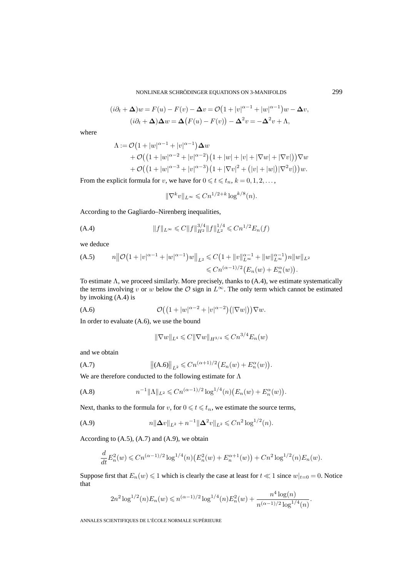$$
(i\partial_t + \Delta)w = F(u) - F(v) - \Delta v = \mathcal{O}(1 + |v|^{\alpha - 1} + |w|^{\alpha - 1})w - \Delta v,
$$
  

$$
(i\partial_t + \Delta)\Delta w = \Delta(F(u) - F(v)) - \Delta^2 v = -\Delta^2 v + \Lambda,
$$

where

$$
\Lambda := \mathcal{O}\left(1+|w|^{\alpha-1}+|v|^{\alpha-1}\right)\Delta w + \mathcal{O}\left(\left(1+|w|^{\alpha-2}+|v|^{\alpha-2}\right)\left(1+|w|+|v|+|\nabla w|+|\nabla v|\right)\right)\nabla w + \mathcal{O}\left(\left(1+|w|^{\alpha-3}+|v|^{\alpha-3}\right)\left(1+|\nabla v|^2+\left(|v|+|w|\right)|\nabla^2 v|\right)\right)w.
$$

From the explicit formula for v, we have for  $0 \leq t \leq t_n$ ,  $k = 0, 1, 2, \ldots$ ,

$$
\|\nabla^k v\|_{L^\infty} \leq Cn^{1/2+k} \log^{k/8}(n).
$$

According to the Gagliardo–Nirenberg inequalities,

(A.4) 
$$
||f||_{L^{\infty}} \leq C||f||_{H^2}^{3/4}||f||_{L^2}^{1/4} \leq Cn^{1/2}E_n(f)
$$

we deduce

(A.5) 
$$
n\|\mathcal{O}(1+|v|^{\alpha-1}+|w|^{\alpha-1})w\|_{L^2} \leq C\left(1+\|v\|_{L^\infty}^{\alpha-1}+\|w\|_{L^\infty}^{\alpha-1}\right)n\|w\|_{L^2}
$$

$$
\leq Cn^{(\alpha-1)/2}\big(E_n(w)+E_n^{\alpha}(w)\big).
$$

To estimate  $\Lambda$ , we proceed similarly. More precisely, thanks to  $(A.4)$ , we estimate systematically the terms involving v or w below the  $\mathcal O$  sign in  $L^{\infty}$ . The only term which cannot be estimated by invoking (A.4) is

$$
\mathcal{O}\big(\big(1+|w|^{\alpha-2}+|v|^{\alpha-2}\big)\big(|\nabla w|\big)\big)\nabla w.
$$

In order to evaluate (A.6), we use the bound

$$
\|\nabla w\|_{L^4} \leq C\|\nabla w\|_{H^{3/4}} \leq Cn^{3/4}E_n(w)
$$

and we obtain

(A.7) 
$$
\|(A.6)\|_{L^2} \leq Cn^{(\alpha+1)/2}\big(E_n(w) + E_n^{\alpha}(w)\big).
$$

We are therefore conducted to the following estimate for Λ

(A.8) 
$$
n^{-1} \|\Lambda\|_{L^2} \leq C n^{(\alpha-1)/2} \log^{1/4}(n) \big( E_n(w) + E_n^{\alpha}(w) \big).
$$

Next, thanks to the formula for v, for  $0 \le t \le t_n$ , we estimate the source terms,

(A.9) 
$$
n\|\Delta v\|_{L^2} + n^{-1}\|\Delta^2 v\|_{L^2} \leq Cn^2\log^{1/2}(n).
$$

According to  $(A.5)$ ,  $(A.7)$  and  $(A.9)$ , we obtain

$$
\frac{d}{dt}E_n^2(w) \leq Cn^{(\alpha-1)/2} \log^{1/4}(n) \left( E_n^2(w) + E_n^{\alpha+1}(w) \right) + Cn^2 \log^{1/2}(n) E_n(w).
$$

Suppose first that  $E_n(w) \leq 1$  which is clearly the case at least for  $t \ll 1$  since  $w|_{t=0} = 0$ . Notice that

$$
2n^2 \log^{1/2}(n) E_n(w) \le n^{(\alpha-1)/2} \log^{1/4}(n) E_n^2(w) + \frac{n^4 \log(n)}{n^{(\alpha-1)/2} \log^{1/4}(n)}.
$$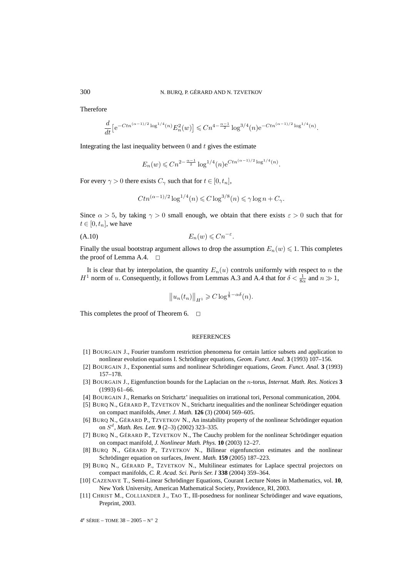Therefore

$$
\frac{d}{dt} \left[ e^{-Ctn^{(\alpha-1)/2} \log^{1/4}(n)} E_n^2(w) \right] \leq Cn^{4-\frac{\alpha-1}{2}} \log^{3/4}(n) e^{-Ctn^{(\alpha-1)/2} \log^{1/4}(n)}.
$$

Integrating the last inequality between  $\theta$  and  $t$  gives the estimate

$$
E_n(w) \leq C n^{2 - \frac{\alpha - 1}{2}} \log^{1/4}(n) e^{C t n^{(\alpha - 1)/2} \log^{1/4}(n)}.
$$

For every  $\gamma > 0$  there exists  $C_{\gamma}$  such that for  $t \in [0, t_n]$ ,

$$
Ctn^{(\alpha-1)/2}\log^{1/4}(n) \leq C\log^{3/8}(n) \leq \gamma \log n + C_{\gamma}.
$$

Since  $\alpha > 5$ , by taking  $\gamma > 0$  small enough, we obtain that there exists  $\varepsilon > 0$  such that for  $t \in [0, t_n]$ , we have

$$
(A.10) \t\t\t E_n(w) \leq Cn^{-\varepsilon}.
$$

Finally the usual bootstrap argument allows to drop the assumption  $E_n(w) \leq 1$ . This completes the proof of Lemma A.4.  $\Box$ 

It is clear that by interpolation, the quantity  $E_n(u)$  controls uniformly with respect to n the  $H^1$  norm of u. Consequently, it follows from Lemmas A.3 and A.4 that for  $\delta < \frac{1}{8\alpha}$  and  $n \gg 1$ ,

$$
||u_n(t_n)||_{H^1} \geqslant C \log^{\frac{1}{8}-\alpha\delta}(n).
$$

This completes the proof of Theorem 6.  $\Box$ 

#### **REFERENCES**

- [1] BOURGAIN J., Fourier transform restriction phenomena for certain lattice subsets and application to nonlinear evolution equations I. Schrödinger equations, *Geom. Funct. Anal.* **3** (1993) 107–156.
- [2] BOURGAIN J., Exponential sums and nonlinear Schrödinger equations, *Geom. Funct. Anal.* **3** (1993) 157–178.
- [3] BOURGAIN J., Eigenfunction bounds for the Laplacian on the n-torus, *Internat. Math. Res. Notices* **3** (1993) 61–66.
- [4] BOURGAIN J., Remarks on Strichartz' inequalities on irrational tori, Personal communication, 2004.
- [5] BURQ N., GÉRARD P., TZVETKOV N., Strichartz inequalities and the nonlinear Schrödinger equation on compact manifolds, *Amer. J. Math.* **126** (3) (2004) 569–605.
- [6] BURQ N., GÉRARD P., TZVETKOV N., An instability property of the nonlinear Schrödinger equation on  $S^d$ , *Math. Res. Lett.* **9** (2–3) (2002) 323–335.
- [7] BURQ N., GÉRARD P., TZVETKOV N., The Cauchy problem for the nonlinear Schrödinger equation on compact manifold, *J. Nonlinear Math. Phys.* **10** (2003) 12–27.
- [8] BURQ N., GÉRARD P., TZVETKOV N., Bilinear eigenfunction estimates and the nonlinear Schrödinger equation on surfaces, *Invent. Math.* **159** (2005) 187–223.
- [9] BURQ N., GÉRARD P., TZVETKOV N., Multilinear estimates for Laplace spectral projectors on compact manifolds, *C. R. Acad. Sci. Paris Ser. I* **338** (2004) 359–364.
- [10] CAZENAVE T., Semi-Linear Schrödinger Equations, Courant Lecture Notes in Mathematics, vol. **10**, New York University, American Mathematical Society, Providence, RI, 2003.
- [11] CHRIST M., COLLIANDER J., TAO T., Ill-posedness for nonlinear Schrödinger and wave equations, Preprint, 2003.

 $4^e$  SÉRIE – TOME 38 – 2005 – N° 2